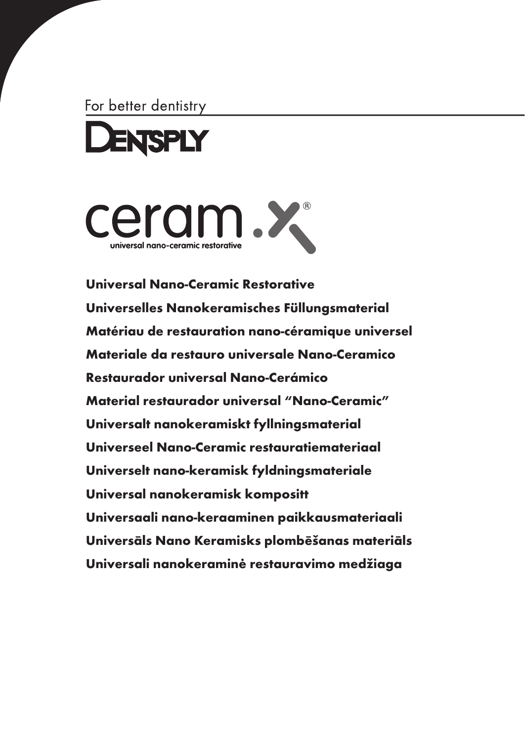For better dentistry





[Universal Nano-Ceramic Restorative](#page-2-0) [Universelles Nanokeramisches Füllungsmaterial](#page-10-0) [Matériau de restauration nano-céramique universel](#page-18-0) [Materiale da restauro universale Nano-Ceramico](#page-26-0) [Restaurador universal Nano-Cerámico](#page-34-0) [Material restaurador universal "Nano-Ceramic"](#page-42-0) [Universalt nanokeramiskt fyllningsmaterial](#page-50-0) [Universeel Nano-Ceramic restauratiemateriaal](#page-58-0) [Universelt nano-keramisk fyldningsmateriale](#page-66-0) [Universal nanokeramisk kompositt](#page-74-0) [Universaali nano-keraaminen paikkausmateriaali](#page-82-0) [Universāls Nano Keramisks plombēšanas materiāls](#page-90-0) [Universali nanokeraminė restauravimo medžiaga](#page-98-0)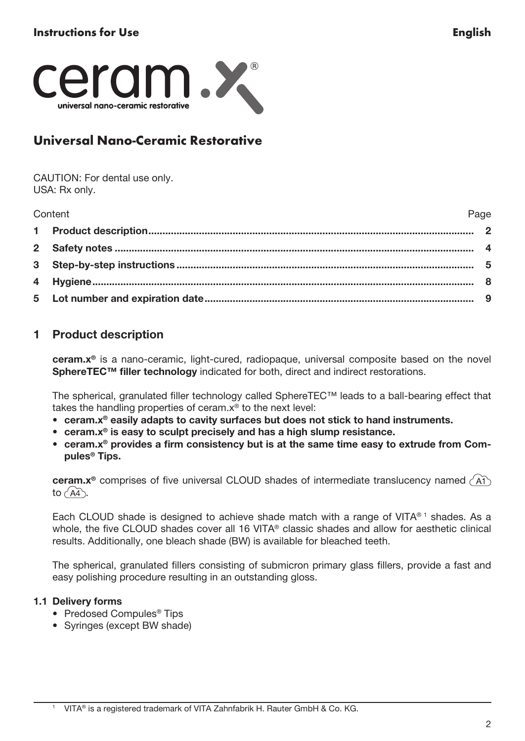<span id="page-2-0"></span>

# Universal Nano-Ceramic Restorative

CAUTION: For dental use only. USA: Rx only.

| Content | Page |
|---------|------|
|         |      |
|         |      |
|         |      |
|         |      |
|         |      |

# 1 Product description

ceram.x® is a nano-ceramic, light-cured, radiopaque, universal composite based on the novel SphereTEC™ filler technology indicated for both, direct and indirect restorations.

The spherical, granulated filler technology called SphereTEC™ leads to a ball-bearing effect that takes the handling properties of ceram.x® to the next level:

- ceram.x® easily adapts to cavity surfaces but does not stick to hand instruments.
- ceram.x® is easy to sculpt precisely and has a high slump resistance.
- ceram.x® provides a firm consistency but is at the same time easy to extrude from Compules® Tips.

ceram. $x^{\circ}$  comprises of five universal CLOUD shades of intermediate translucency named  $\overrightarrow{A1}$ to  $\widehat{AA}$ .

Each CLOUD shade is designed to achieve shade match with a range of VITA®1 shades. As a whole, the five CLOUD shades cover all 16 VITA® classic shades and allow for aesthetic clinical results. Additionally, one bleach shade (BW) is available for bleached teeth.

The spherical, granulated fillers consisting of submicron primary glass fillers, provide a fast and easy polishing procedure resulting in an outstanding gloss.

## 1.1 Delivery forms

- Predosed Compules® Tips
- Syringes (except BW shade)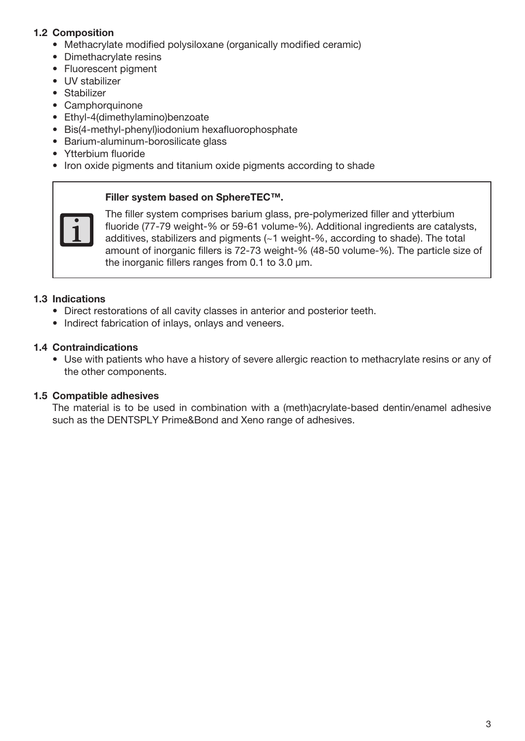## 1.2 Composition

- Methacrylate modified polysiloxane (organically modified ceramic)
- Dimethacrylate resins
- Fluorescent pigment
- UV stabilizer
- Stabilizer
- Camphorquinone
- Ethyl-4(dimethylamino)benzoate
- Bis(4-methyl-phenyl)iodonium hexafluorophosphate
- Barium-aluminum-borosilicate glass
- Ytterbium fluoride
- Iron oxide pigments and titanium oxide pigments according to shade

#### Filler system based on SphereTEC™.



The filler system comprises barium glass, pre-polymerized filler and ytterbium fluoride (77-79 weight-% or 59-61 volume-%). Additional ingredients are catalysts, additives, stabilizers and pigments (~1 weight-%, according to shade). The total amount of inorganic fillers is 72-73 weight-% (48-50 volume-%). The particle size of the inorganic fillers ranges from 0.1 to 3.0 μm.

## 1.3 Indications

- Direct restorations of all cavity classes in anterior and posterior teeth.
- Indirect fabrication of inlays, onlays and veneers.

## 1.4 Contraindications

• Use with patients who have a history of severe allergic reaction to methacrylate resins or any of the other components.

### 1.5 Compatible adhesives

The material is to be used in combination with a (meth)acrylate-based dentin/enamel adhesive such as the DENTSPLY Prime&Bond and Xeno range of adhesives.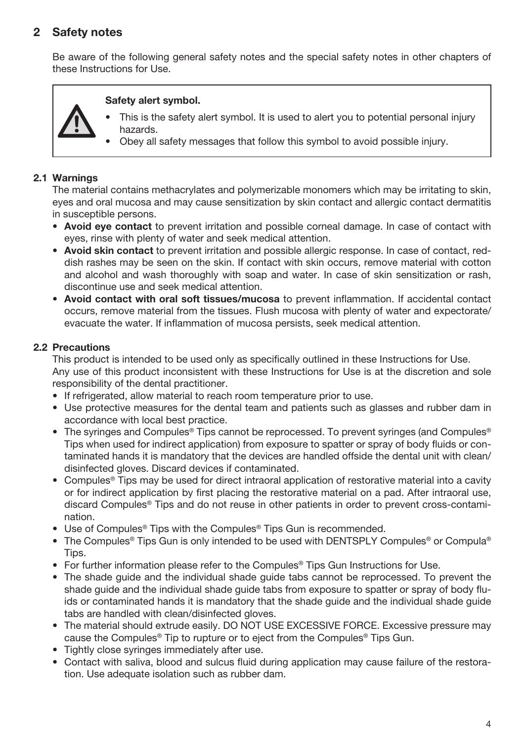# 2 Safety notes

Be aware of the following general safety notes and the special safety notes in other chapters of these Instructions for Use.

## Safety alert symbol.

- This is the safety alert symbol. It is used to alert you to potential personal injury hazards.
- Obey all safety messages that follow this symbol to avoid possible injury.

## 2.1 Warnings

The material contains methacrylates and polymerizable monomers which may be irritating to skin, eyes and oral mucosa and may cause sensitization by skin contact and allergic contact dermatitis in susceptible persons.

- Avoid eye contact to prevent irritation and possible corneal damage. In case of contact with eyes, rinse with plenty of water and seek medical attention.
- Avoid skin contact to prevent irritation and possible allergic response. In case of contact, reddish rashes may be seen on the skin. If contact with skin occurs, remove material with cotton and alcohol and wash thoroughly with soap and water. In case of skin sensitization or rash, discontinue use and seek medical attention.
- Avoid contact with oral soft tissues/mucosa to prevent inflammation. If accidental contact occurs, remove material from the tissues. Flush mucosa with plenty of water and expectorate/ evacuate the water. If inflammation of mucosa persists, seek medical attention.

## 2.2 Precautions

This product is intended to be used only as specifically outlined in these Instructions for Use. Any use of this product inconsistent with these Instructions for Use is at the discretion and sole responsibility of the dental practitioner.

- If refrigerated, allow material to reach room temperature prior to use.
- Use protective measures for the dental team and patients such as glasses and rubber dam in accordance with local best practice.
- The syringes and Compules® Tips cannot be reprocessed. To prevent syringes (and Compules®) Tips when used for indirect application) from exposure to spatter or spray of body fluids or contaminated hands it is mandatory that the devices are handled offside the dental unit with clean/ disinfected gloves. Discard devices if contaminated.
- Compules® Tips may be used for direct intraoral application of restorative material into a cavity or for indirect application by first placing the restorative material on a pad. After intraoral use, discard Compules® Tips and do not reuse in other patients in order to prevent cross-contamination.
- Use of Compules® Tips with the Compules® Tips Gun is recommended.
- The Compules® Tips Gun is only intended to be used with DENTSPLY Compules® or Compula® Tips.
- For further information please refer to the Compules® Tips Gun Instructions for Use.
- The shade guide and the individual shade guide tabs cannot be reprocessed. To prevent the shade guide and the individual shade guide tabs from exposure to spatter or spray of body fluids or contaminated hands it is mandatory that the shade guide and the individual shade guide tabs are handled with clean/disinfected gloves.
- The material should extrude easily. DO NOT USE EXCESSIVE FORCE. Excessive pressure may cause the Compules® Tip to rupture or to eject from the Compules® Tips Gun.
- Tightly close syringes immediately after use.
- Contact with saliva, blood and sulcus fluid during application may cause failure of the restoration. Use adequate isolation such as rubber dam.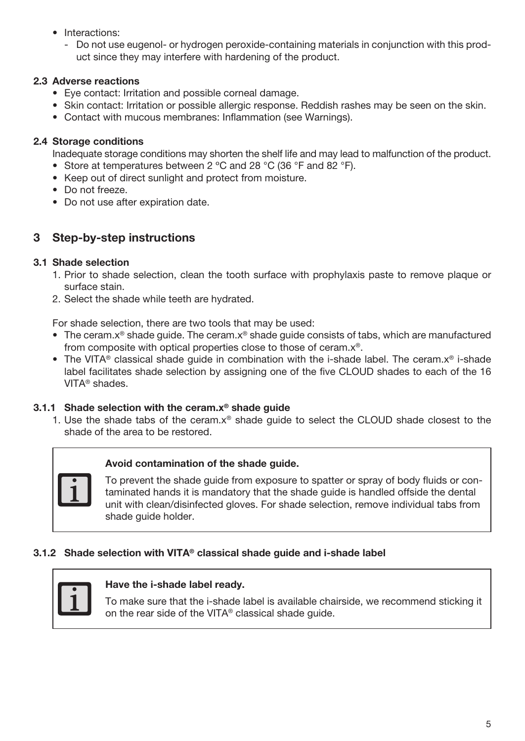- Interactions:
	- Do not use eugenol- or hydrogen peroxide-containing materials in conjunction with this product since they may interfere with hardening of the product.

# 2.3 Adverse reactions

- Eye contact: Irritation and possible corneal damage.
- Skin contact: Irritation or possible allergic response. Reddish rashes may be seen on the skin.
- Contact with mucous membranes: Inflammation (see Warnings).

# 2.4 Storage conditions

Inadequate storage conditions may shorten the shelf life and may lead to malfunction of the product.

- Store at temperatures between 2 °C and 28 °C (36 °F and 82 °F).
- Keep out of direct sunlight and protect from moisture.
- Do not freeze.
- Do not use after expiration date.

# 3 Step-by-step instructions

# 3.1 Shade selection

- 1. Prior to shade selection, clean the tooth surface with prophylaxis paste to remove plaque or surface stain.
- 2. Select the shade while teeth are hydrated.

For shade selection, there are two tools that may be used:

- The ceram. $x^{\circ}$  shade quide. The ceram. $x^{\circ}$  shade quide consists of tabs, which are manufactured from composite with optical properties close to those of ceram.x®.
- The VITA® classical shade guide in combination with the i-shade label. The ceram.x® i-shade label facilitates shade selection by assigning one of the five CLOUD shades to each of the 16 VITA® shades.

## 3.1.1 Shade selection with the ceram. $x^{\circ}$  shade guide

1. Use the shade tabs of the ceram.x® shade guide to select the CLOUD shade closest to the shade of the area to be restored.



# Avoid contamination of the shade guide.

To prevent the shade guide from exposure to spatter or spray of body fluids or contaminated hands it is mandatory that the shade guide is handled offside the dental unit with clean/disinfected gloves. For shade selection, remove individual tabs from shade guide holder.

## 3.1.2 Shade selection with VITA® classical shade guide and i-shade label



## Have the i-shade label ready.

To make sure that the i-shade label is available chairside, we recommend sticking it on the rear side of the VITA® classical shade guide.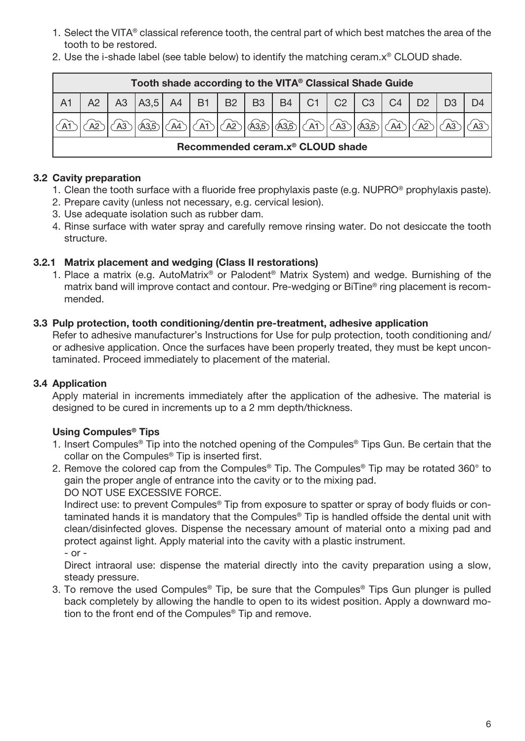- 1. Select the VITA® classical reference tooth, the central part of which best matches the area of the tooth to be restored.
- 2. Use the i-shade label (see table below) to identify the matching ceram.x® CLOUD shade.

|                | Tooth shade according to the VITA® Classical Shade Guide |  |                                                        |  |             |  |                                                                                                 |  |  |  |                  |                |  |
|----------------|----------------------------------------------------------|--|--------------------------------------------------------|--|-------------|--|-------------------------------------------------------------------------------------------------|--|--|--|------------------|----------------|--|
| A <sub>1</sub> |                                                          |  | A3   A3,5   A4   B1   B2   B3   B4   C1   C2   C3   C4 |  |             |  |                                                                                                 |  |  |  |                  | D <sub>2</sub> |  |
|                |                                                          |  |                                                        |  | $\sqrt{AT}$ |  | $ \langle$ A2 $ \rangle$ (A3,5 $ \langle$ A3,5 $ \langle$ A1 $\rangle$ ( $\rangle$ A3 $\rangle$ |  |  |  | $\widehat{A3.5}$ | A <sup>2</sup> |  |
|                | Recommended ceram.x <sup>®</sup> CLOUD shade             |  |                                                        |  |             |  |                                                                                                 |  |  |  |                  |                |  |

## 3.2 Cavity preparation

- 1. Clean the tooth surface with a fluoride free prophylaxis paste (e.g. NUPRO® prophylaxis paste).
- 2. Prepare cavity (unless not necessary, e.g. cervical lesion).
- 3. Use adequate isolation such as rubber dam.
- 4. Rinse surface with water spray and carefully remove rinsing water. Do not desiccate the tooth structure.

## 3.2.1 Matrix placement and wedging (Class II restorations)

1. Place a matrix (e.g. AutoMatrix® or Palodent® Matrix System) and wedge. Burnishing of the matrix band will improve contact and contour. Pre-wedging or BiTine® ring placement is recommended.

## 3.3 Pulp protection, tooth conditioning/dentin pre-treatment, adhesive application

Refer to adhesive manufacturer's Instructions for Use for pulp protection, tooth conditioning and/ or adhesive application. Once the surfaces have been properly treated, they must be kept uncontaminated. Proceed immediately to placement of the material.

## 3.4 Application

Apply material in increments immediately after the application of the adhesive. The material is designed to be cured in increments up to a 2 mm depth/thickness.

## Using Compules® Tips

- 1. Insert Compules® Tip into the notched opening of the Compules® Tips Gun. Be certain that the collar on the Compules® Tip is inserted first.
- 2. Remove the colored cap from the Compules® Tip. The Compules® Tip may be rotated 360° to gain the proper angle of entrance into the cavity or to the mixing pad.

DO NOT USE EXCESSIVE FORCE.

Indirect use: to prevent Compules® Tip from exposure to spatter or spray of body fluids or contaminated hands it is mandatory that the Compules® Tip is handled offside the dental unit with clean/disinfected gloves. Dispense the necessary amount of material onto a mixing pad and protect against light. Apply material into the cavity with a plastic instrument.

- or -

Direct intraoral use: dispense the material directly into the cavity preparation using a slow, steady pressure.

3. To remove the used Compules® Tip, be sure that the Compules® Tips Gun plunger is pulled back completely by allowing the handle to open to its widest position. Apply a downward motion to the front end of the Compules® Tip and remove.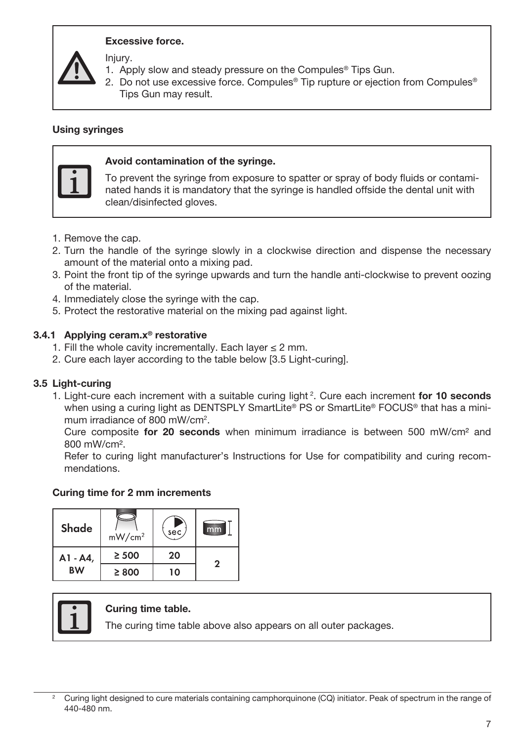## Excessive force.

Injury.

- 1. Apply slow and steady pressure on the Compules® Tips Gun.
- 2. Do not use excessive force. Compules<sup>®</sup> Tip rupture or ejection from Compules<sup>®</sup> Tips Gun may result.

#### Using syringes



## Avoid contamination of the syringe.

To prevent the syringe from exposure to spatter or spray of body fluids or contaminated hands it is mandatory that the syringe is handled offside the dental unit with clean/disinfected gloves.

- 1. Remove the cap.
- 2. Turn the handle of the syringe slowly in a clockwise direction and dispense the necessary amount of the material onto a mixing pad.
- 3. Point the front tip of the syringe upwards and turn the handle anti-clockwise to prevent oozing of the material.
- 4. Immediately close the syringe with the cap.
- 5. Protect the restorative material on the mixing pad against light.

## 3.4.1 Applying ceram.x® restorative

- 1. Fill the whole cavity incrementally. Each layer ≤ 2 mm.
- 2. Cure each layer according to the table below [3.5 Light-curing].

## 3.5 Light-curing

1. Light-cure each increment with a suitable curing light<sup>2</sup>. Cure each increment for 10 seconds when using a curing light as DENTSPLY SmartLite® PS or SmartLite® FOCUS® that has a minimum irradiance of 800 mW/cm<sup>2</sup>.

Cure composite for 20 seconds when minimum irradiance is between 500 mW/cm<sup>2</sup> and 800 mW/cm².

Refer to curing light manufacturer's Instructions for Use for compatibility and curing recommendations.

#### Curing time for 2 mm increments

| Shade     | mW/cm <sup>2</sup> | sec |   |
|-----------|--------------------|-----|---|
| A1 - A4,  | $\geq 500$         | 20  | っ |
| <b>BW</b> | $\geq 800$         | 10  |   |



#### Curing time table.

The curing time table above also appears on all outer packages.

<sup>2</sup> Curing light designed to cure materials containing camphorquinone (CQ) initiator. Peak of spectrum in the range of 440-480 nm.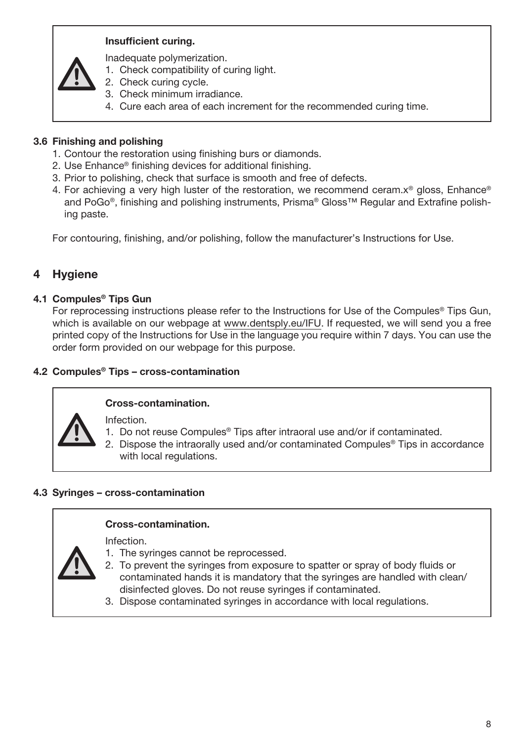## Insufficient curing.

Inadequate polymerization.

- 1. Check compatibility of curing light.
- 2. Check curing cycle.
- 3. Check minimum irradiance.
- 4. Cure each area of each increment for the recommended curing time.

## 3.6 Finishing and polishing

- 1. Contour the restoration using finishing burs or diamonds.
- 2. Use Enhance® finishing devices for additional finishing.
- 3. Prior to polishing, check that surface is smooth and free of defects.
- 4. For achieving a very high luster of the restoration, we recommend ceram.x® gloss, Enhance® and PoGo®, finishing and polishing instruments, Prisma® Gloss™ Regular and Extrafine polishing paste.

For contouring, finishing, and/or polishing, follow the manufacturer's Instructions for Use.

# 4 Hygiene

## 4.1 Compules® Tips Gun

For reprocessing instructions please refer to the Instructions for Use of the Compules<sup>®</sup> Tips Gun, which is available on our webpage at www.dentsply.eu/IFU. If requested, we will send you a free printed copy of the Instructions for Use in the language you require within 7 days. You can use the order form provided on our webpage for this purpose.

## 4.2 Compules® Tips – cross-contamination



## Cross-contamination.

Infection.

- 1. Do not reuse Compules® Tips after intraoral use and/or if contaminated.
- 2. Dispose the intraorally used and/or contaminated Compules® Tips in accordance with local regulations.

## 4.3 Syringes – cross-contamination

## Cross-contamination. Infection.

- 1. The syringes cannot be reprocessed.
- 2. To prevent the syringes from exposure to spatter or spray of body fluids or contaminated hands it is mandatory that the syringes are handled with clean/ disinfected gloves. Do not reuse syringes if contaminated.
- 3. Dispose contaminated syringes in accordance with local regulations.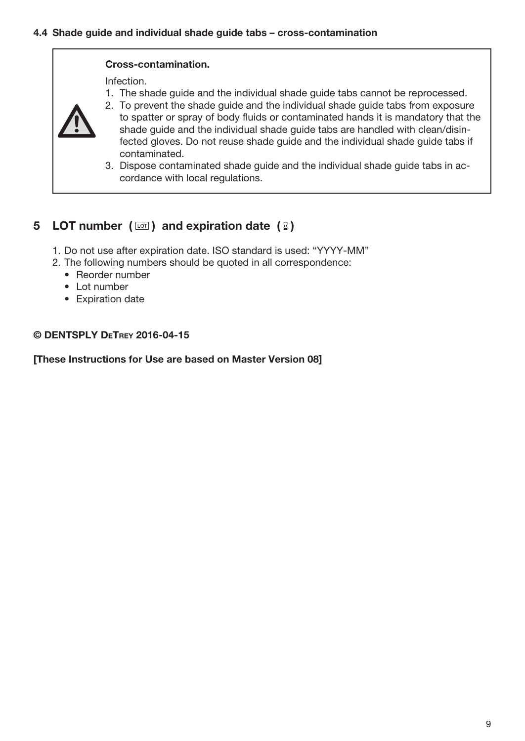#### Cross-contamination.

Infection.

1. The shade guide and the individual shade guide tabs cannot be reprocessed.



- 2. To prevent the shade guide and the individual shade guide tabs from exposure to spatter or spray of body fluids or contaminated hands it is mandatory that the shade guide and the individual shade guide tabs are handled with clean/disinfected gloves. Do not reuse shade guide and the individual shade guide tabs if contaminated.
- 3. Dispose contaminated shade guide and the individual shade guide tabs in accordance with local regulations.

# 5 LOT number  $(\Box)$  and expiration date  $(\Box)$

- 1. Do not use after expiration date. ISO standard is used: "YYYY-MM"
- 2. The following numbers should be quoted in all correspondence:
	- Reorder number
	- Lot number
	- Expiration date

## © DENTSPLY DeTrey 2016-04-15

[These Instructions for Use are based on Master Version 08]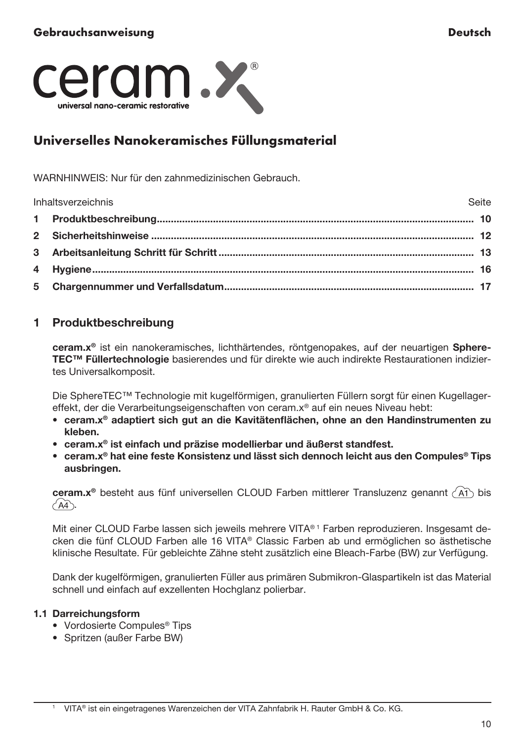<span id="page-10-0"></span>

# Universelles Nanokeramisches Füllungsmaterial

WARNHINWEIS: Nur für den zahnmedizinischen Gebrauch.

| Inhaltsverzeichnis<br>Seite |  |
|-----------------------------|--|
|                             |  |
|                             |  |
|                             |  |
|                             |  |
|                             |  |

# 1 Produktbeschreibung

ceram.x® ist ein nanokeramisches, lichthärtendes, röntgenopakes, auf der neuartigen Sphere-TEC™ Füllertechnologie basierendes und für direkte wie auch indirekte Restaurationen indiziertes Universalkomposit.

Die SphereTEC™ Technologie mit kugelförmigen, granulierten Füllern sorgt für einen Kugellagereffekt, der die Verarbeitungseigenschaften von ceram.x® auf ein neues Niveau hebt:

- ceram.x® adaptiert sich gut an die Kavitätenflächen, ohne an den Handinstrumenten zu kleben.
- ceram.x® ist einfach und präzise modellierbar und äußerst standfest.
- ceram.x® hat eine feste Konsistenz und lässt sich dennoch leicht aus den Compules® Tips ausbringen.

ceram. $x^{\circ}$  besteht aus fünf universellen CLOUD Farben mittlerer Transluzenz genannt  $\overrightarrow{AB}$  bis  $\angle$ A4

Mit einer CLOUD Farbe lassen sich jeweils mehrere VITA® 1 Farben reproduzieren. Insgesamt decken die fünf CLOUD Farben alle 16 VITA® Classic Farben ab und ermöglichen so ästhetische klinische Resultate. Für gebleichte Zähne steht zusätzlich eine Bleach-Farbe (BW) zur Verfügung.

Dank der kugelförmigen, granulierten Füller aus primären Submikron-Glaspartikeln ist das Material schnell und einfach auf exzellenten Hochglanz polierbar.

## 1.1 Darreichungsform

- Vordosierte Compules® Tips
- Spritzen (außer Farbe BW)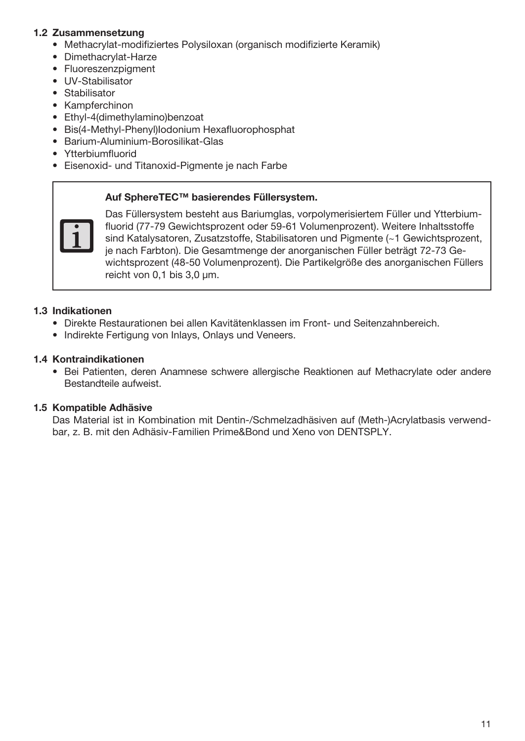## 1.2 Zusammensetzung

- Methacrylat-modifiziertes Polysiloxan (organisch modifizierte Keramik)
- Dimethacrylat-Harze
- Fluoreszenzpigment
- UV-Stabilisator
- Stabilisator
- Kampferchinon
- Ethyl-4(dimethylamino)benzoat
- Bis(4-Methyl-Phenyl)Iodonium Hexafluorophosphat
- Barium-Aluminium-Borosilikat-Glas
- Ytterbiumfluorid
- Eisenoxid- und Titanoxid-Pigmente je nach Farbe

#### Auf SphereTEC™ basierendes Füllersystem.



Das Füllersystem besteht aus Bariumglas, vorpolymerisiertem Füller und Ytterbiumfluorid (77-79 Gewichtsprozent oder 59-61 Volumenprozent). Weitere Inhaltsstoffe sind Katalysatoren, Zusatzstoffe, Stabilisatoren und Pigmente (~1 Gewichtsprozent, je nach Farbton). Die Gesamtmenge der anorganischen Füller beträgt 72-73 Gewichtsprozent (48-50 Volumenprozent). Die Partikelgröße des anorganischen Füllers reicht von 0.1 bis 3.0 um.

## 1.3 Indikationen

- Direkte Restaurationen bei allen Kavitätenklassen im Front- und Seitenzahnbereich.
- Indirekte Fertigung von Inlays, Onlays und Veneers.

## 1.4 Kontraindikationen

• Bei Patienten, deren Anamnese schwere allergische Reaktionen auf Methacrylate oder andere Bestandteile aufweist.

## 1.5 Kompatible Adhäsive

Das Material ist in Kombination mit Dentin-/Schmelzadhäsiven auf (Meth-)Acrylatbasis verwendbar, z. B. mit den Adhäsiv-Familien Prime&Bond und Xeno von DENTSPLY.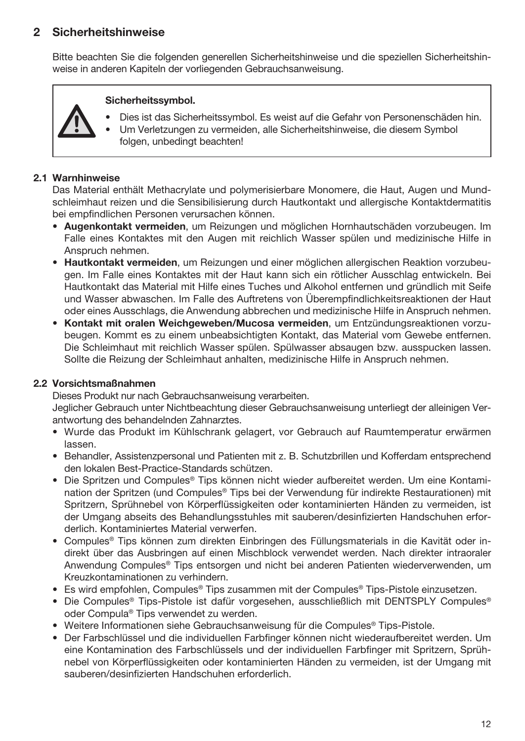# 2 Sicherheitshinweise

Bitte beachten Sie die folgenden generellen Sicherheitshinweise und die speziellen Sicherheitshinweise in anderen Kapiteln der vorliegenden Gebrauchsanweisung.

### Sicherheitssymbol.

- Dies ist das Sicherheitssymbol. Es weist auf die Gefahr von Personenschäden hin.
- Um Verletzungen zu vermeiden, alle Sicherheitshinweise, die diesem Symbol folgen, unbedingt beachten!

## 2.1 Warnhinweise

Das Material enthält Methacrylate und polymerisierbare Monomere, die Haut, Augen und Mundschleimhaut reizen und die Sensibilisierung durch Hautkontakt und allergische Kontaktdermatitis bei empfindlichen Personen verursachen können.

- Augenkontakt vermeiden, um Reizungen und möglichen Hornhautschäden vorzubeugen. Im Falle eines Kontaktes mit den Augen mit reichlich Wasser spülen und medizinische Hilfe in Anspruch nehmen.
- Hautkontakt vermeiden, um Reizungen und einer möglichen allergischen Reaktion vorzubeugen. Im Falle eines Kontaktes mit der Haut kann sich ein rötlicher Ausschlag entwickeln. Bei Hautkontakt das Material mit Hilfe eines Tuches und Alkohol entfernen und gründlich mit Seife und Wasser abwaschen. Im Falle des Auftretens von Überempfindlichkeitsreaktionen der Haut oder eines Ausschlags, die Anwendung abbrechen und medizinische Hilfe in Anspruch nehmen.
- Kontakt mit oralen Weichgeweben/Mucosa vermeiden, um Entzündungsreaktionen vorzubeugen. Kommt es zu einem unbeabsichtigten Kontakt, das Material vom Gewebe entfernen. Die Schleimhaut mit reichlich Wasser spülen. Spülwasser absaugen bzw. ausspucken lassen. Sollte die Reizung der Schleimhaut anhalten, medizinische Hilfe in Anspruch nehmen.

## 2.2 Vorsichtsmaßnahmen

Dieses Produkt nur nach Gebrauchsanweisung verarbeiten.

Jeglicher Gebrauch unter Nichtbeachtung dieser Gebrauchsanweisung unterliegt der alleinigen Verantwortung des behandelnden Zahnarztes.

- Wurde das Produkt im Kühlschrank gelagert, vor Gebrauch auf Raumtemperatur erwärmen lassen.
- Behandler, Assistenzpersonal und Patienten mit z. B. Schutzbrillen und Kofferdam entsprechend den lokalen Best-Practice-Standards schützen.
- Die Spritzen und Compules® Tips können nicht wieder aufbereitet werden. Um eine Kontamination der Spritzen (und Compules® Tips bei der Verwendung für indirekte Restaurationen) mit Spritzern, Sprühnebel von Körperflüssigkeiten oder kontaminierten Händen zu vermeiden, ist der Umgang abseits des Behandlungsstuhles mit sauberen/desinfizierten Handschuhen erforderlich. Kontaminiertes Material verwerfen.
- Compules® Tips können zum direkten Einbringen des Füllungsmaterials in die Kavität oder indirekt über das Ausbringen auf einen Mischblock verwendet werden. Nach direkter intraoraler Anwendung Compules® Tips entsorgen und nicht bei anderen Patienten wiederverwenden, um Kreuzkontaminationen zu verhindern.
- Es wird empfohlen, Compules® Tips zusammen mit der Compules® Tips-Pistole einzusetzen.
- Die Compules® Tips-Pistole ist dafür vorgesehen, ausschließlich mit DENTSPLY Compules® oder Compula® Tips verwendet zu werden.
- Weitere Informationen siehe Gebrauchsanweisung für die Compules® Tips-Pistole.
- Der Farbschlüssel und die individuellen Farbfinger können nicht wiederaufbereitet werden. Um eine Kontamination des Farbschlüssels und der individuellen Farbfinger mit Spritzern, Sprühnebel von Körperflüssigkeiten oder kontaminierten Händen zu vermeiden, ist der Umgang mit sauberen/desinfizierten Handschuhen erforderlich.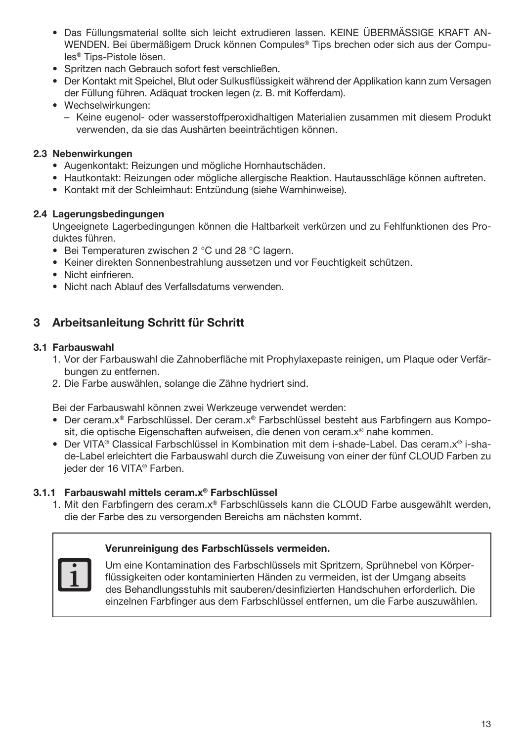- Das Füllungsmaterial sollte sich leicht extrudieren lassen. KEINE ÜBERMÄSSIGE KRAFT AN-WENDEN. Bei übermäßigem Druck können Compules® Tips brechen oder sich aus der Compules® Tips-Pistole lösen.
- Spritzen nach Gebrauch sofort fest verschließen.
- Der Kontakt mit Speichel, Blut oder Sulkusflüssigkeit während der Applikation kann zum Versagen der Füllung führen. Adäquat trocken legen (z. B. mit Kofferdam).
- Wechselwirkungen:
	- Keine eugenol- oder wasserstoffperoxidhaltigen Materialien zusammen mit diesem Produkt verwenden, da sie das Aushärten beeinträchtigen können.

## 2.3 Nebenwirkungen

- Augenkontakt: Reizungen und mögliche Hornhautschäden.
- Hautkontakt: Reizungen oder mögliche allergische Reaktion. Hautausschläge können auftreten.
- Kontakt mit der Schleimhaut: Entzündung (siehe Warnhinweise).

#### 2.4 Lagerungsbedingungen

Ungeeignete Lagerbedingungen können die Haltbarkeit verkürzen und zu Fehlfunktionen des Produktes führen.

- Bei Temperaturen zwischen 2 °C und 28 °C lagern.
- Keiner direkten Sonnenbestrahlung aussetzen und vor Feuchtigkeit schützen.
- Nicht einfrieren.
- Nicht nach Ablauf des Verfallsdatums verwenden.

# 3 Arbeitsanleitung Schritt für Schritt

## 3.1 Farbauswahl

- 1. Vor der Farbauswahl die Zahnoberfläche mit Prophylaxepaste reinigen, um Plaque oder Verfärbungen zu entfernen.
- 2. Die Farbe auswählen, solange die Zähne hydriert sind.

Bei der Farbauswahl können zwei Werkzeuge verwendet werden:

- Der ceram.x® Farbschlüssel. Der ceram.x® Farbschlüssel besteht aus Farbfingern aus Komposit, die optische Eigenschaften aufweisen, die denen von ceram.x® nahe kommen.
- Der VITA® Classical Farbschlüssel in Kombination mit dem i-shade-Label. Das ceram.x® i-shade-Label erleichtert die Farbauswahl durch die Zuweisung von einer der fünf CLOUD Farben zu jeder der 16 VITA® Farben.

## 3.1.1 Farbauswahl mittels ceram.x® Farbschlüssel

1. Mit den Farbfingern des ceram.x® Farbschlüssels kann die CLOUD Farbe ausgewählt werden, die der Farbe des zu versorgenden Bereichs am nächsten kommt.

## Verunreinigung des Farbschlüssels vermeiden.



Um eine Kontamination des Farbschlüssels mit Spritzern, Sprühnebel von Körperflüssigkeiten oder kontaminierten Händen zu vermeiden, ist der Umgang abseits des Behandlungsstuhls mit sauberen/desinfizierten Handschuhen erforderlich. Die einzelnen Farbfinger aus dem Farbschlüssel entfernen, um die Farbe auszuwählen.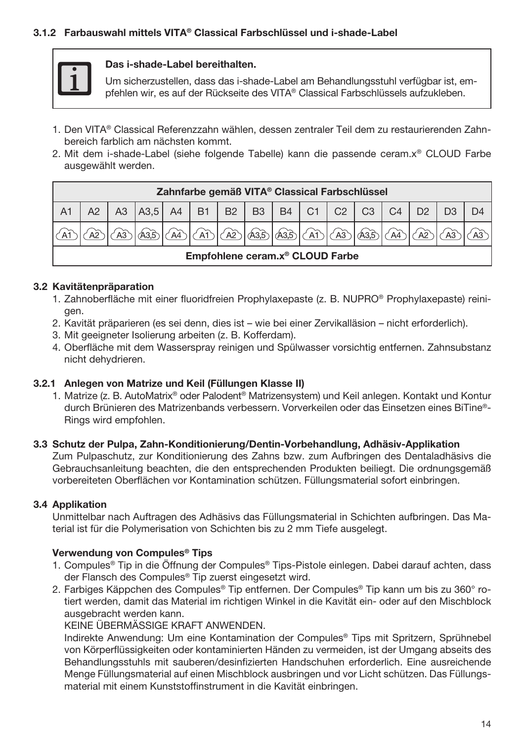

#### Das i-shade-Label bereithalten.

Um sicherzustellen, dass das i-shade-Label am Behandlungsstuhl verfügbar ist, empfehlen wir, es auf der Rückseite des VITA® Classical Farbschlüssels aufzukleben.

- 1. Den VITA® Classical Referenzzahn wählen, dessen zentraler Teil dem zu restaurierenden Zahnbereich farblich am nächsten kommt.
- 2. Mit dem i-shade-Label (siehe folgende Tabelle) kann die passende ceram.x® CLOUD Farbe ausgewählt werden.

| Zahnfarbe gemäß VITA® Classical Farbschlüssel      |  |                                              |  |  |  |  |  |  |  |    |                |    |  |  |
|----------------------------------------------------|--|----------------------------------------------|--|--|--|--|--|--|--|----|----------------|----|--|--|
|                                                    |  | A3   A3,5   A4   B1   B2   B3   B4   C1   C2 |  |  |  |  |  |  |  | C3 | C <sub>4</sub> | D2 |  |  |
| 1 (AD (AD 1 AB 1 AB 1 AB 1 (AD 1 (AB 1<br>A4<br>A2 |  |                                              |  |  |  |  |  |  |  |    |                |    |  |  |
| Empfohlene ceram.x <sup>®</sup> CLOUD Farbe        |  |                                              |  |  |  |  |  |  |  |    |                |    |  |  |

## 3.2 Kavitätenpräparation

- 1. Zahnoberfläche mit einer fluoridfreien Prophylaxepaste (z. B. NUPRO® Prophylaxepaste) reinigen.
- 2. Kavität präparieren (es sei denn, dies ist wie bei einer Zervikalläsion nicht erforderlich).
- 3. Mit geeigneter Isolierung arbeiten (z. B. Kofferdam).
- 4. Oberfläche mit dem Wasserspray reinigen und Spülwasser vorsichtig entfernen. Zahnsubstanz nicht dehydrieren.

## 3.2.1 Anlegen von Matrize und Keil (Füllungen Klasse II)

1. Matrize (z. B. AutoMatrix® oder Palodent® Matrizensystem) und Keil anlegen. Kontakt und Kontur durch Brünieren des Matrizenbands verbessern. Vorverkeilen oder das Einsetzen eines BiTine®- Rings wird empfohlen.

## 3.3 Schutz der Pulpa, Zahn-Konditionierung/Dentin-Vorbehandlung, Adhäsiv-Applikation

Zum Pulpaschutz, zur Konditionierung des Zahns bzw. zum Aufbringen des Dentaladhäsivs die Gebrauchsanleitung beachten, die den entsprechenden Produkten beiliegt. Die ordnungsgemäß vorbereiteten Oberflächen vor Kontamination schützen. Füllungsmaterial sofort einbringen.

## 3.4 Applikation

Unmittelbar nach Auftragen des Adhäsivs das Füllungsmaterial in Schichten aufbringen. Das Material ist für die Polymerisation von Schichten bis zu 2 mm Tiefe ausgelegt.

## Verwendung von Compules® Tips

- 1. Compules® Tip in die Öffnung der Compules® Tips-Pistole einlegen. Dabei darauf achten, dass der Flansch des Compules® Tip zuerst eingesetzt wird.
- 2. Farbiges Käppchen des Compules® Tip entfernen. Der Compules® Tip kann um bis zu 360° rotiert werden, damit das Material im richtigen Winkel in die Kavität ein- oder auf den Mischblock ausgebracht werden kann.

KEINE ÜBERMÄSSIGE KRAFT ANWENDEN.

Indirekte Anwendung: Um eine Kontamination der Compules® Tips mit Spritzern, Sprühnebel von Körperflüssigkeiten oder kontaminierten Händen zu vermeiden, ist der Umgang abseits des Behandlungsstuhls mit sauberen/desinfizierten Handschuhen erforderlich. Eine ausreichende Menge Füllungsmaterial auf einen Mischblock ausbringen und vor Licht schützen. Das Füllungsmaterial mit einem Kunststoffinstrument in die Kavität einbringen.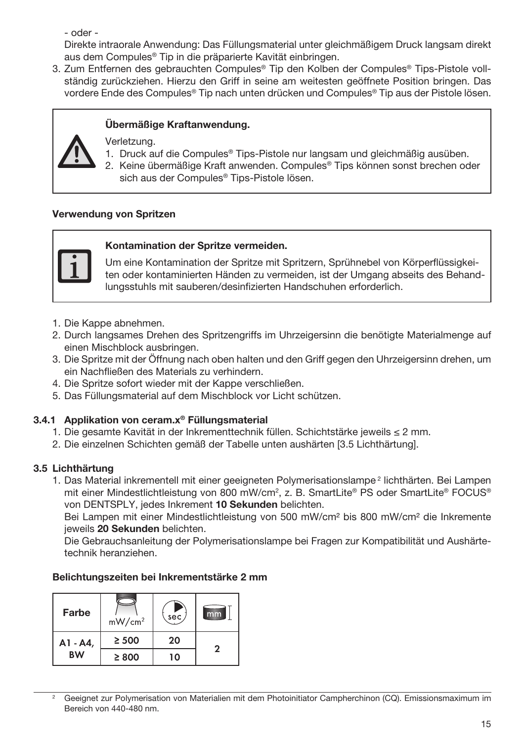- oder -

Direkte intraorale Anwendung: Das Füllungsmaterial unter gleichmäßigem Druck langsam direkt aus dem Compules® Tip in die präparierte Kavität einbringen.

3. Zum Entfernen des gebrauchten Compules® Tip den Kolben der Compules® Tips-Pistole vollständig zurückziehen. Hierzu den Griff in seine am weitesten geöffnete Position bringen. Das vordere Ende des Compules® Tip nach unten drücken und Compules® Tip aus der Pistole lösen.

# Übermäßige Kraftanwendung.

Verletzung.

- 1. Druck auf die Compules® Tips-Pistole nur langsam und gleichmäßig ausüben.
- 2. Keine übermäßige Kraft anwenden. Compules® Tips können sonst brechen oder sich aus der Compules® Tips-Pistole lösen.

## Verwendung von Spritzen



## Kontamination der Spritze vermeiden.

Um eine Kontamination der Spritze mit Spritzern, Sprühnebel von Körperflüssigkeiten oder kontaminierten Händen zu vermeiden, ist der Umgang abseits des Behandlungsstuhls mit sauberen/desinfizierten Handschuhen erforderlich.

- 1. Die Kappe abnehmen.
- 2. Durch langsames Drehen des Spritzengriffs im Uhrzeigersinn die benötigte Materialmenge auf einen Mischblock ausbringen.
- 3. Die Spritze mit der Öffnung nach oben halten und den Griff gegen den Uhrzeigersinn drehen, um ein Nachfließen des Materials zu verhindern.
- 4. Die Spritze sofort wieder mit der Kappe verschließen.
- 5. Das Füllungsmaterial auf dem Mischblock vor Licht schützen.

## 3.4.1 Applikation von ceram.x® Füllungsmaterial

- 1. Die gesamte Kavität in der Inkrementtechnik füllen. Schichtstärke jeweils ≤ 2 mm.
- 2. Die einzelnen Schichten gemäß der Tabelle unten aushärten [3.5 Lichthärtung].

## 3.5 Lichthärtung

1. Das Material inkrementell mit einer geeigneten Polymerisationslampe<sup>2</sup> lichthärten. Bei Lampen mit einer Mindestlichtleistung von 800 mW/cm2 , z. B. SmartLite® PS oder SmartLite® FOCUS® von DENTSPLY, jedes Inkrement 10 Sekunden belichten.

Bei Lampen mit einer Mindestlichtleistung von 500 mW/cm² bis 800 mW/cm² die Inkremente jeweils 20 Sekunden belichten.

Die Gebrauchsanleitung der Polymerisationslampe bei Fragen zur Kompatibilität und Aushärtetechnik heranziehen.

## Belichtungszeiten bei Inkrementstärke 2 mm

| Farbe     | mW/cm <sup>2</sup> | sec | mm |
|-----------|--------------------|-----|----|
| A1 - A4,  | $\geq$ 500         | 20  | 2  |
| <b>BW</b> | $\geq 800$         | 10  |    |

<sup>2</sup> Geeignet zur Polymerisation von Materialien mit dem Photoinitiator Campherchinon (CQ). Emissionsmaximum im Bereich von 440-480 nm.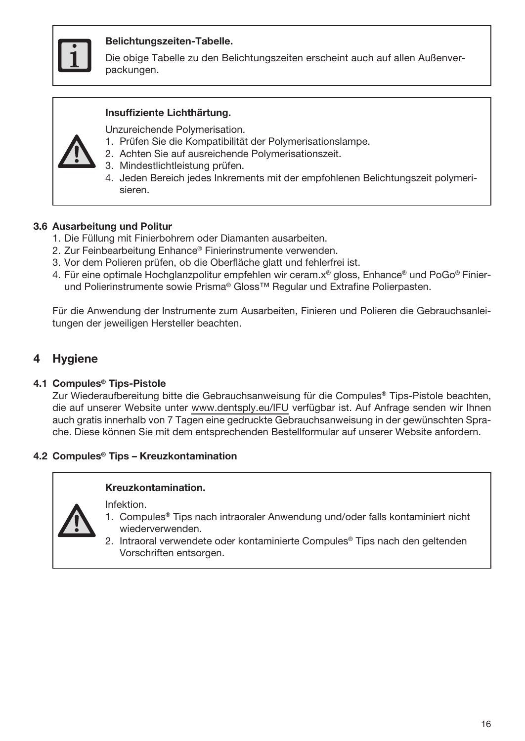

## Belichtungszeiten-Tabelle.

Die obige Tabelle zu den Belichtungszeiten erscheint auch auf allen Außenverpackungen.

## Insuffiziente Lichthärtung.

Unzureichende Polymerisation.

- 1. Prüfen Sie die Kompatibilität der Polymerisationslampe.
- 2. Achten Sie auf ausreichende Polymerisationszeit.
- 3. Mindestlichtleistung prüfen.
- 4. Jeden Bereich jedes Inkrements mit der empfohlenen Belichtungszeit polymerisieren.

## 3.6 Ausarbeitung und Politur

- 1. Die Füllung mit Finierbohrern oder Diamanten ausarbeiten.
- 2. Zur Feinbearbeitung Enhance® Finierinstrumente verwenden.
- 3. Vor dem Polieren prüfen, ob die Oberfläche glatt und fehlerfrei ist.
- 4. Für eine optimale Hochglanzpolitur empfehlen wir ceram.x® gloss, Enhance® und PoGo® Finierund Polierinstrumente sowie Prisma® Gloss™ Regular und Extrafine Polierpasten.

Für die Anwendung der Instrumente zum Ausarbeiten, Finieren und Polieren die Gebrauchsanleitungen der jeweiligen Hersteller beachten.

## **Hygiene**

#### 4.1 Compules® Tips-Pistole

Zur Wiederaufbereitung bitte die Gebrauchsanweisung für die Compules® Tips-Pistole beachten, die auf unserer Website unter www.dentsply.eu/IFU verfügbar ist. Auf Anfrage senden wir Ihnen auch gratis innerhalb von 7 Tagen eine gedruckte Gebrauchsanweisung in der gewünschten Sprache. Diese können Sie mit dem entsprechenden Bestellformular auf unserer Website anfordern.

#### 4.2 Compules® Tips – Kreuzkontamination

#### Kreuzkontamination.

Infektion.



- 1. Compules® Tips nach intraoraler Anwendung und/oder falls kontaminiert nicht wiederverwenden.
- 2. Intraoral verwendete oder kontaminierte Compules® Tips nach den geltenden Vorschriften entsorgen.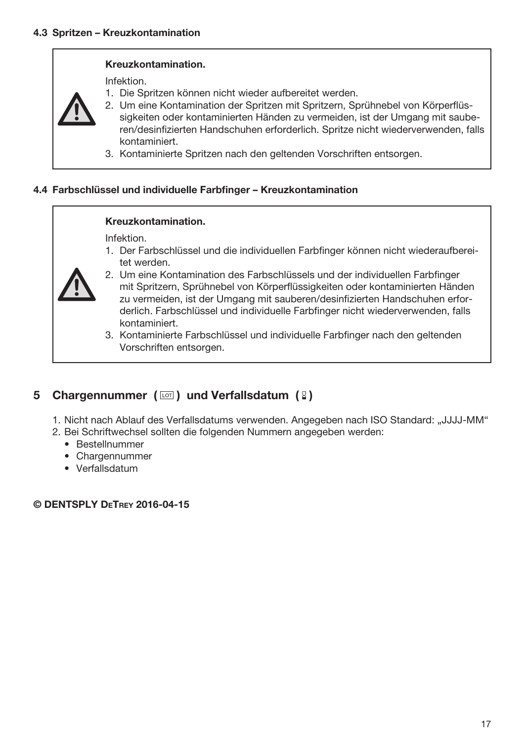## Kreuzkontamination.

Infektion.

- 1. Die Spritzen können nicht wieder aufbereitet werden.
- 2. Um eine Kontamination der Spritzen mit Spritzern, Sprühnebel von Körperflüssigkeiten oder kontaminierten Händen zu vermeiden, ist der Umgang mit sauberen/desinfizierten Handschuhen erforderlich. Spritze nicht wiederverwenden, falls
	- kontaminiert.
- 3. Kontaminierte Spritzen nach den geltenden Vorschriften entsorgen.

## 4.4 Farbschlüssel und individuelle Farbfinger – Kreuzkontamination

#### Kreuzkontamination.

Infektion.

1. Der Farbschlüssel und die individuellen Farbfinger können nicht wiederaufbereitet werden.



- 2. Um eine Kontamination des Farbschlüssels und der individuellen Farbfinger mit Spritzern, Sprühnebel von Körperflüssigkeiten oder kontaminierten Händen zu vermeiden, ist der Umgang mit sauberen/desinfizierten Handschuhen erforderlich. Farbschlüssel und individuelle Farbfinger nicht wiederverwenden, falls kontaminiert.
- 3. Kontaminierte Farbschlüssel und individuelle Farbfinger nach den geltenden Vorschriften entsorgen.

# 5 Chargennummer ( $\text{cm}$ ) und Verfallsdatum (2)

- 1. Nicht nach Ablauf des Verfallsdatums verwenden. Angegeben nach ISO Standard: "JJJJ-MM"
- 2. Bei Schriftwechsel sollten die folgenden Nummern angegeben werden:
	- Bestellnummer
	- Chargennummer
	- Verfallsdatum

© DENTSPLY DeTrey 2016-04-15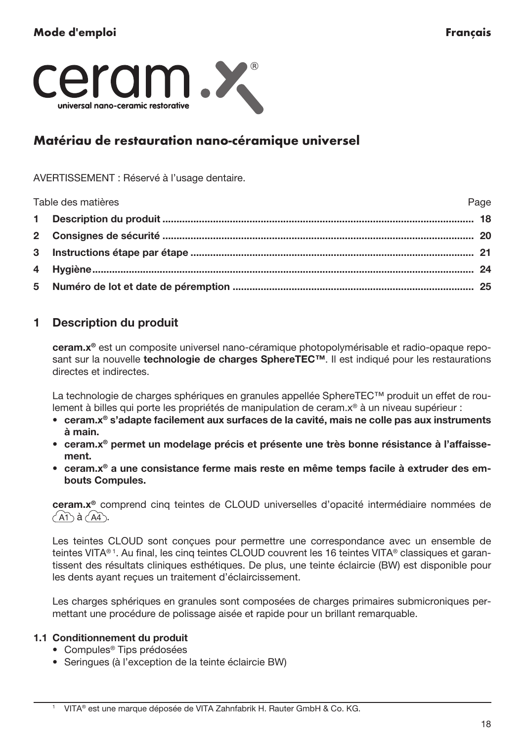<span id="page-18-0"></span>

# Matériau de restauration nano-céramique universel

#### AVERTISSEMENT : Réservé à l'usage dentaire.

| Table des matières | Page |
|--------------------|------|
|                    |      |
|                    |      |
|                    |      |
|                    |      |
|                    |      |

# 1 Description du produit

ceram.x® est un composite universel nano-céramique photopolymérisable et radio-opaque reposant sur la nouvelle technologie de charges SphereTEC™. Il est indiqué pour les restaurations directes et indirectes.

La technologie de charges sphériques en granules appellée SphereTEC™ produit un effet de roulement à billes qui porte les propriétés de manipulation de ceram.x® à un niveau supérieur :

- ceram.x® s'adapte facilement aux surfaces de la cavité, mais ne colle pas aux instruments à main.
- ceram.x® permet un modelage précis et présente une très bonne résistance à l'affaissement.
- ceram.x® a une consistance ferme mais reste en même temps facile à extruder des embouts Compules.

ceram.x® comprend cinq teintes de CLOUD universelles d'opacité intermédiaire nommées de  $\widehat{A}$ h à  $\widehat{A}$ h.

Les teintes CLOUD sont conçues pour permettre une correspondance avec un ensemble de teintes VITA® 1. Au final, les cinq teintes CLOUD couvrent les 16 teintes VITA® classiques et garantissent des résultats cliniques esthétiques. De plus, une teinte éclaircie (BW) est disponible pour les dents ayant reçues un traitement d'éclaircissement.

Les charges sphériques en granules sont composées de charges primaires submicroniques permettant une procédure de polissage aisée et rapide pour un brillant remarquable.

## 1.1 Conditionnement du produit

- Compules® Tips prédosées
- Seringues (à l'exception de la teinte éclaircie BW)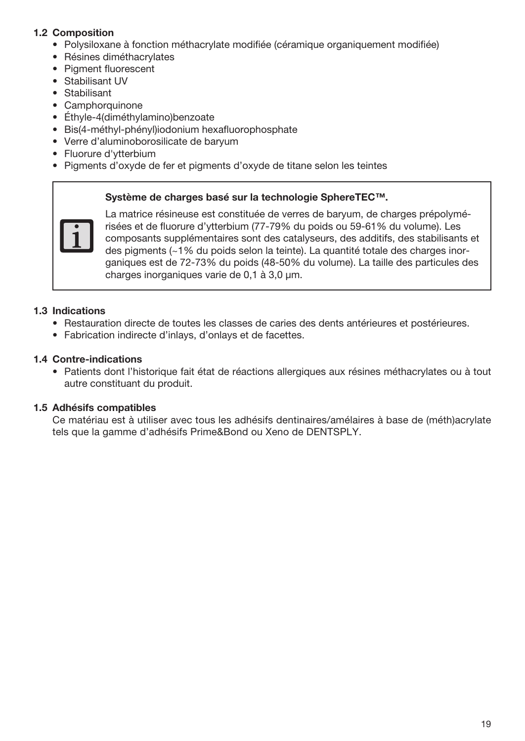## 1.2 Composition

- Polysiloxane à fonction méthacrylate modifiée (céramique organiquement modifiée)
- Résines diméthacrylates
- Pigment fluorescent
- Stabilisant UV
- Stabilisant
- Camphorquinone
- Éthyle-4(diméthylamino)benzoate
- Bis(4-méthyl-phényl)iodonium hexafluorophosphate
- Verre d'aluminoborosilicate de baryum
- Fluorure d'ytterbium
- Pigments d'oxyde de fer et pigments d'oxyde de titane selon les teintes

#### Système de charges basé sur la technologie SphereTEC™.



La matrice résineuse est constituée de verres de baryum, de charges prépolymérisées et de fluorure d'ytterbium (77-79% du poids ou 59-61% du volume). Les composants supplémentaires sont des catalyseurs, des additifs, des stabilisants et des pigments (~1% du poids selon la teinte). La quantité totale des charges inorganiques est de 72-73% du poids (48-50% du volume). La taille des particules des charges inorganiques varie de 0.1 à 3.0 um.

## 1.3 Indications

- Restauration directe de toutes les classes de caries des dents antérieures et postérieures.
- Fabrication indirecte d'inlays, d'onlays et de facettes.

## 1.4 Contre-indications

• Patients dont l'historique fait état de réactions allergiques aux résines méthacrylates ou à tout autre constituant du produit.

## 1.5 Adhésifs compatibles

Ce matériau est à utiliser avec tous les adhésifs dentinaires/amélaires à base de (méth)acrylate tels que la gamme d'adhésifs Prime&Bond ou Xeno de DENTSPLY.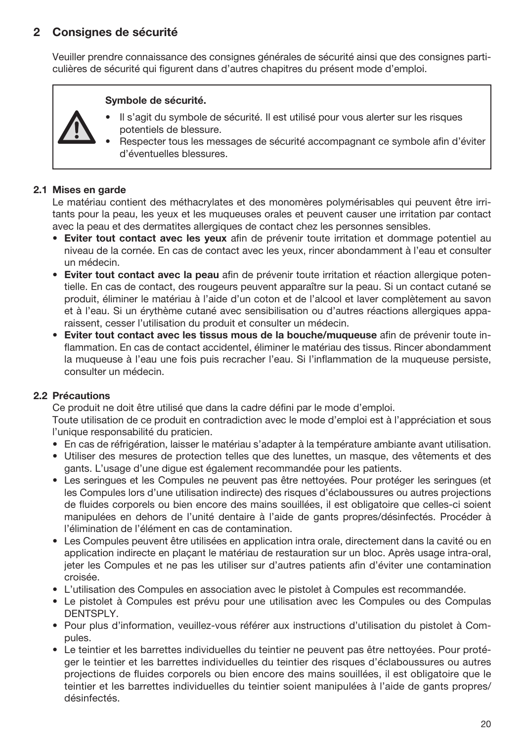# 2 Consignes de sécurité

Veuiller prendre connaissance des consignes générales de sécurité ainsi que des consignes particulières de sécurité qui figurent dans d'autres chapitres du présent mode d'emploi.

#### Symbole de sécurité.

- Il s'agit du symbole de sécurité. Il est utilisé pour vous alerter sur les risques potentiels de blessure.
- Respecter tous les messages de sécurité accompagnant ce symbole afin d'éviter d'éventuelles blessures.

## 2.1 Mises en garde

Le matériau contient des méthacrylates et des monomères polymérisables qui peuvent être irritants pour la peau, les yeux et les muqueuses orales et peuvent causer une irritation par contact avec la peau et des dermatites allergiques de contact chez les personnes sensibles.

- Eviter tout contact avec les yeux afin de prévenir toute irritation et dommage potentiel au niveau de la cornée. En cas de contact avec les yeux, rincer abondamment à l'eau et consulter un médecin.
- Eviter tout contact avec la peau afin de prévenir toute irritation et réaction allergique potentielle. En cas de contact, des rougeurs peuvent apparaître sur la peau. Si un contact cutané se produit, éliminer le matériau à l'aide d'un coton et de l'alcool et laver complètement au savon et à l'eau. Si un érythème cutané avec sensibilisation ou d'autres réactions allergiques apparaissent, cesser l'utilisation du produit et consulter un médecin.
- Eviter tout contact avec les tissus mous de la bouche/muqueuse afin de prévenir toute inflammation. En cas de contact accidentel, éliminer le matériau des tissus. Rincer abondamment la muqueuse à l'eau une fois puis recracher l'eau. Si l'inflammation de la muqueuse persiste, consulter un médecin.

## 2.2 Précautions

Ce produit ne doit être utilisé que dans la cadre défini par le mode d'emploi.

Toute utilisation de ce produit en contradiction avec le mode d'emploi est à l'appréciation et sous l'unique responsabilité du praticien.

- En cas de réfrigération, laisser le matériau s'adapter à la température ambiante avant utilisation.
- Utiliser des mesures de protection telles que des lunettes, un masque, des vêtements et des gants. L'usage d'une digue est également recommandée pour les patients.
- Les seringues et les Compules ne peuvent pas être nettoyées. Pour protéger les seringues (et les Compules lors d'une utilisation indirecte) des risques d'éclaboussures ou autres projections de fluides corporels ou bien encore des mains souillées, il est obligatoire que celles-ci soient manipulées en dehors de l'unité dentaire à l'aide de gants propres/désinfectés. Procéder à l'élimination de l'élément en cas de contamination.
- Les Compules peuvent être utilisées en application intra orale, directement dans la cavité ou en application indirecte en plaçant le matériau de restauration sur un bloc. Après usage intra-oral, jeter les Compules et ne pas les utiliser sur d'autres patients afin d'éviter une contamination croisée.
- L'utilisation des Compules en association avec le pistolet à Compules est recommandée.
- Le pistolet à Compules est prévu pour une utilisation avec les Compules ou des Compulas DENTSPLY.
- Pour plus d'information, veuillez-vous référer aux instructions d'utilisation du pistolet à Compules.
- Le teintier et les barrettes individuelles du teintier ne peuvent pas être nettoyées. Pour protéger le teintier et les barrettes individuelles du teintier des risques d'éclaboussures ou autres projections de fluides corporels ou bien encore des mains souillées, il est obligatoire que le teintier et les barrettes individuelles du teintier soient manipulées à l'aide de gants propres/ désinfectés.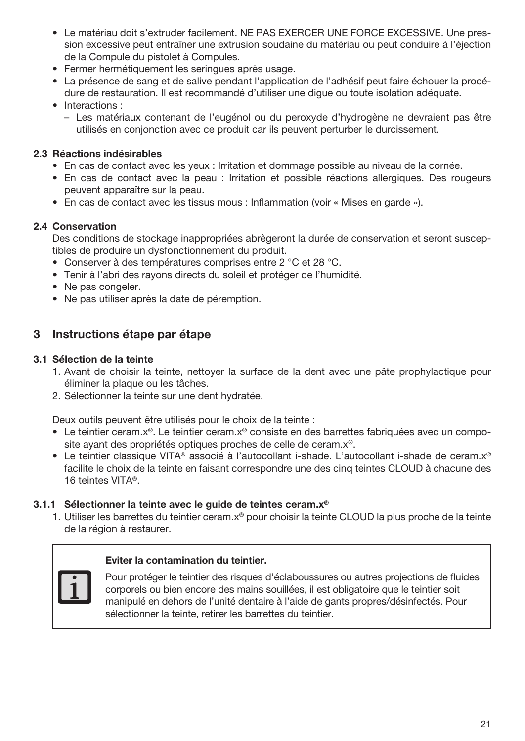- Le matériau doit s'extruder facilement. NE PAS EXERCER UNE FORCE EXCESSIVE. Une pression excessive peut entraîner une extrusion soudaine du matériau ou peut conduire à l'éjection de la Compule du pistolet à Compules.
- Fermer hermétiquement les seringues après usage.
- La présence de sang et de salive pendant l'application de l'adhésif peut faire échouer la procédure de restauration. Il est recommandé d'utiliser une digue ou toute isolation adéquate.
- Interactions :
	- Les matériaux contenant de l'eugénol ou du peroxyde d'hydrogène ne devraient pas être utilisés en conjonction avec ce produit car ils peuvent perturber le durcissement.

## 2.3 Réactions indésirables

- En cas de contact avec les yeux : Irritation et dommage possible au niveau de la cornée.
- En cas de contact avec la peau : Irritation et possible réactions allergiques. Des rougeurs peuvent apparaître sur la peau.
- En cas de contact avec les tissus mous : Inflammation (voir « Mises en garde »).

## 2.4 Conservation

Des conditions de stockage inappropriées abrègeront la durée de conservation et seront susceptibles de produire un dysfonctionnement du produit.

- Conserver à des températures comprises entre 2 °C et 28 °C.
- Tenir à l'abri des rayons directs du soleil et protéger de l'humidité.
- Ne pas congeler.
- Ne pas utiliser après la date de péremption.

## 3 Instructions étape par étape

## 3.1 Sélection de la teinte

- 1. Avant de choisir la teinte, nettoyer la surface de la dent avec une pâte prophylactique pour éliminer la plaque ou les tâches.
- 2. Sélectionner la teinte sur une dent hydratée.

Deux outils peuvent être utilisés pour le choix de la teinte :

- Le teintier ceram.x®. Le teintier ceram.x® consiste en des barrettes fabriquées avec un composite ayant des propriétés optiques proches de celle de ceram. $x^*$ .
- Le teintier classique VITA® associé à l'autocollant i-shade. L'autocollant i-shade de ceram.x® facilite le choix de la teinte en faisant correspondre une des cinq teintes CLOUD à chacune des 16 teintes VITA®.

## 3.1.1 Sélectionner la teinte avec le guide de teintes ceram. $x^{\circ}$

1. Utiliser les barrettes du teintier ceram.x® pour choisir la teinte CLOUD la plus proche de la teinte de la région à restaurer.

#### Eviter la contamination du teintier.

Pour protéger le teintier des risques d'éclaboussures ou autres projections de fluides corporels ou bien encore des mains souillées, il est obligatoire que le teintier soit manipulé en dehors de l'unité dentaire à l'aide de gants propres/désinfectés. Pour sélectionner la teinte, retirer les barrettes du teintier.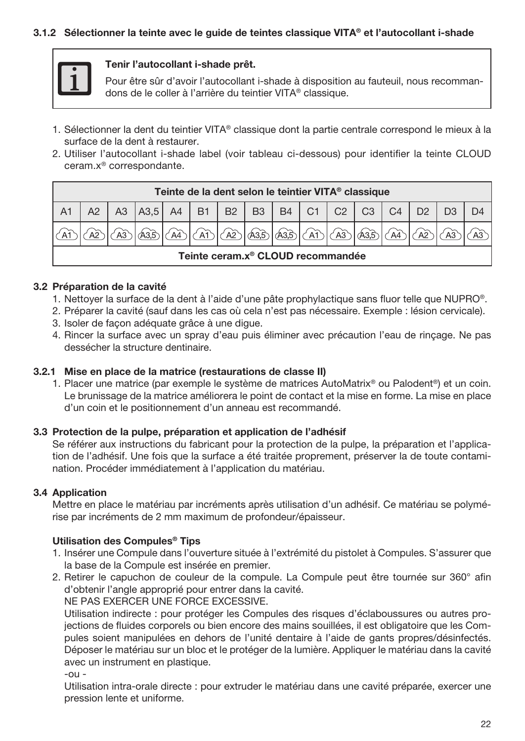## 3.1.2 Sélectionner la teinte avec le guide de teintes classique VITA® et l'autocollant i-shade



#### Tenir l'autocollant i-shade prêt.

Pour être sûr d'avoir l'autocollant i-shade à disposition au fauteuil, nous recommandons de le coller à l'arrière du teintier VITA® classique.

- 1. Sélectionner la dent du teintier VITA® classique dont la partie centrale correspond le mieux à la surface de la dent à restaurer.
- 2. Utiliser l'autocollant i-shade label (voir tableau ci-dessous) pour identifier la teinte CLOUD ceram.x® correspondante.

| Teinte de la dent selon le teintier VITA <sup>®</sup> classique |  |  |                               |  |       |           |                        |  |                |    |                |                |  |
|-----------------------------------------------------------------|--|--|-------------------------------|--|-------|-----------|------------------------|--|----------------|----|----------------|----------------|--|
|                                                                 |  |  | A3   A3,5   A4   B1   B2   B3 |  |       |           |                        |  | $B4$   C1   C2 | C3 | C <sub>4</sub> | D <sub>2</sub> |  |
|                                                                 |  |  |                               |  | anker | ക്രാം<br> | $\sqrt{433}/\sqrt{41}$ |  | $\sqrt{A3}$    |    |                |                |  |
| Teinte ceram.x <sup>®</sup> CLOUD recommandée                   |  |  |                               |  |       |           |                        |  |                |    |                |                |  |

## 3.2 Préparation de la cavité

- 1. Nettoyer la surface de la dent à l'aide d'une pâte prophylactique sans fluor telle que NUPRO®.
- 2. Préparer la cavité (sauf dans les cas où cela n'est pas nécessaire. Exemple : lésion cervicale).
- 3. Isoler de façon adéquate grâce à une digue.
- 4. Rincer la surface avec un spray d'eau puis éliminer avec précaution l'eau de rinçage. Ne pas dessécher la structure dentinaire.

#### 3.2.1 Mise en place de la matrice (restaurations de classe II)

1. Placer une matrice (par exemple le système de matrices AutoMatrix® ou Palodent®) et un coin. Le brunissage de la matrice améliorera le point de contact et la mise en forme. La mise en place d'un coin et le positionnement d'un anneau est recommandé.

#### 3.3 Protection de la pulpe, préparation et application de l'adhésif

Se référer aux instructions du fabricant pour la protection de la pulpe, la préparation et l'application de l'adhésif. Une fois que la surface a été traitée proprement, préserver la de toute contamination. Procéder immédiatement à l'application du matériau.

## 3.4 Application

Mettre en place le matériau par incréments après utilisation d'un adhésif. Ce matériau se polymérise par incréments de 2 mm maximum de profondeur/épaisseur.

## Utilisation des Compules® Tips

- 1. Insérer une Compule dans l'ouverture située à l'extrémité du pistolet à Compules. S'assurer que la base de la Compule est insérée en premier.
- 2. Retirer le capuchon de couleur de la compule. La Compule peut être tournée sur 360° afin d'obtenir l'angle approprié pour entrer dans la cavité.

NE PAS EXERCER UNE FORCE EXCESSIVE.

Utilisation indirecte : pour protéger les Compules des risques d'éclaboussures ou autres projections de fluides corporels ou bien encore des mains souillées, il est obligatoire que les Compules soient manipulées en dehors de l'unité dentaire à l'aide de gants propres/désinfectés. Déposer le matériau sur un bloc et le protéger de la lumière. Appliquer le matériau dans la cavité avec un instrument en plastique.

-ou -

Utilisation intra-orale directe : pour extruder le matériau dans une cavité préparée, exercer une pression lente et uniforme.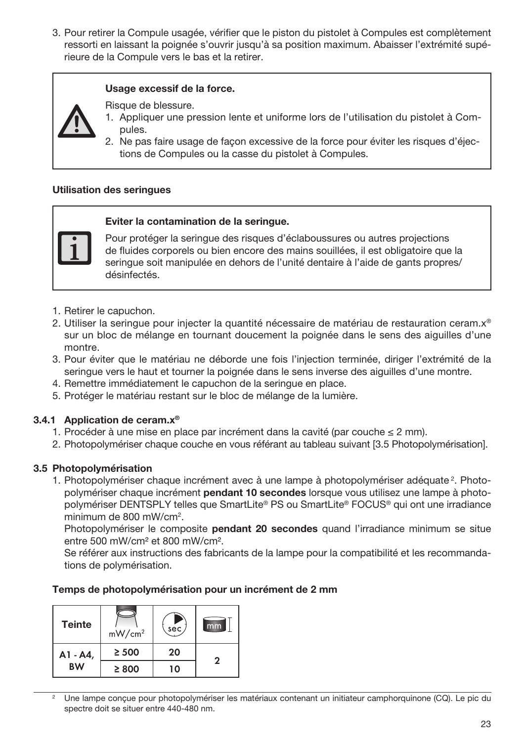3. Pour retirer la Compule usagée, vérifier que le piston du pistolet à Compules est complètement ressorti en laissant la poignée s'ouvrir jusqu'à sa position maximum. Abaisser l'extrémité supérieure de la Compule vers le bas et la retirer.

#### Usage excessif de la force.

Risque de blessure.

- 1. Appliquer une pression lente et uniforme lors de l'utilisation du pistolet à Compules.
- 2. Ne pas faire usage de façon excessive de la force pour éviter les risques d'éjections de Compules ou la casse du pistolet à Compules.

## Utilisation des seringues

#### Eviter la contamination de la seringue.

Pour protéger la seringue des risques d'éclaboussures ou autres projections de fluides corporels ou bien encore des mains souillées, il est obligatoire que la seringue soit manipulée en dehors de l'unité dentaire à l'aide de gants propres/ désinfectés.

- 1. Retirer le capuchon.
- 2. Utiliser la seringue pour injecter la quantité nécessaire de matériau de restauration ceram.x® sur un bloc de mélange en tournant doucement la poignée dans le sens des aiguilles d'une montre.
- 3. Pour éviter que le matériau ne déborde une fois l'injection terminée, diriger l'extrémité de la seringue vers le haut et tourner la poignée dans le sens inverse des aiguilles d'une montre.
- 4. Remettre immédiatement le capuchon de la seringue en place.
- 5. Protéger le matériau restant sur le bloc de mélange de la lumière.

#### 3.4.1 Application de ceram.x®

- 1. Procéder à une mise en place par incrément dans la cavité (par couche ≤ 2 mm).
- 2. Photopolymériser chaque couche en vous référant au tableau suivant [3.5 Photopolymérisation].

## 3.5 Photopolymérisation

1. Photopolymériser chaque incrément avec à une lampe à photopolymériser adéquate<sup>2</sup>. Photopolymériser chaque incrément pendant 10 secondes lorsque vous utilisez une lampe à photopolymériser DENTSPLY telles que SmartLite® PS ou SmartLite® FOCUS® qui ont une irradiance minimum de 800 mW/cm2 .

Photopolymériser le composite pendant 20 secondes quand l'irradiance minimum se situe entre 500 mW/cm² et 800 mW/cm².

Se référer aux instructions des fabricants de la lampe pour la compatibilité et les recommandations de polymérisation.

#### Temps de photopolymérisation pour un incrément de 2 mm

| <b>Teinte</b> | mW/cm <sup>2</sup> | sec | mm           |
|---------------|--------------------|-----|--------------|
| A1 - A4,      | $\geq 500$         | 20  | $\mathbf{2}$ |
| <b>BW</b>     | $\geq 800$         | 10  |              |

<sup>2</sup> Une lampe conçue pour photopolymériser les matériaux contenant un initiateur camphorquinone (CQ). Le pic du spectre doit se situer entre 440-480 nm.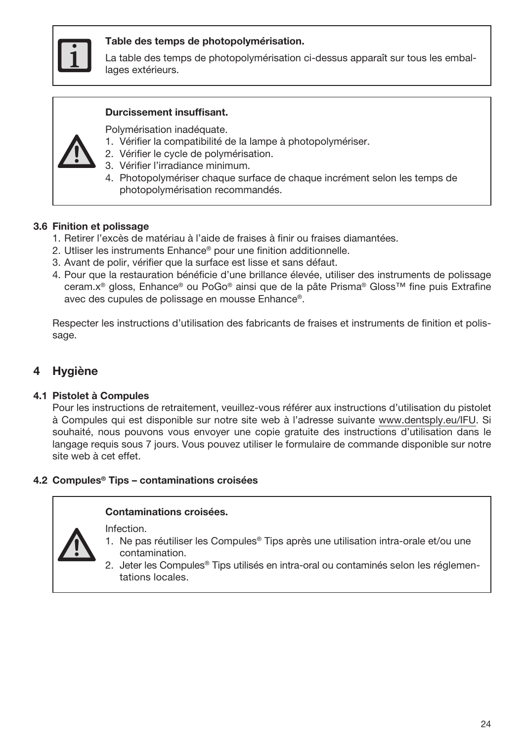

#### Table des temps de photopolymérisation.

La table des temps de photopolymérisation ci-dessus apparaît sur tous les emballages extérieurs.

#### Durcissement insuffisant.

Polymérisation inadéquate.

- 1. Vérifier la compatibilité de la lampe à photopolymériser.
- 2. Vérifier le cycle de polymérisation.
- 3. Vérifier l'irradiance minimum.
- 4. Photopolymériser chaque surface de chaque incrément selon les temps de photopolymérisation recommandés.

#### 3.6 Finition et polissage

- 1. Retirer l'excès de matériau à l'aide de fraises à finir ou fraises diamantées.
- 2. Utliser les instruments Enhance® pour une finition additionnelle.
- 3. Avant de polir, vérifier que la surface est lisse et sans défaut.
- 4. Pour que la restauration bénéficie d'une brillance élevée, utiliser des instruments de polissage ceram.x® gloss, Enhance® ou PoGo® ainsi que de la pâte Prisma® Gloss™ fine puis Extrafine avec des cupules de polissage en mousse Enhance®.

Respecter les instructions d'utilisation des fabricants de fraises et instruments de finition et polissage.

## **Hygiène**

#### 4.1 Pistolet à Compules

Pour les instructions de retraitement, veuillez-vous référer aux instructions d'utilisation du pistolet à Compules qui est disponible sur notre site web à l'adresse suivante www.dentsply.eu/IFU. Si souhaité, nous pouvons vous envoyer une copie gratuite des instructions d'utilisation dans le langage requis sous 7 jours. Vous pouvez utiliser le formulaire de commande disponible sur notre site web à cet effet.

#### 4.2 Compules® Tips – contaminations croisées

#### Contaminations croisées.

Infection.

- 1. Ne pas réutiliser les Compules® Tips après une utilisation intra-orale et/ou une contamination.
- 2. Jeter les Compules® Tips utilisés en intra-oral ou contaminés selon les réglementations locales.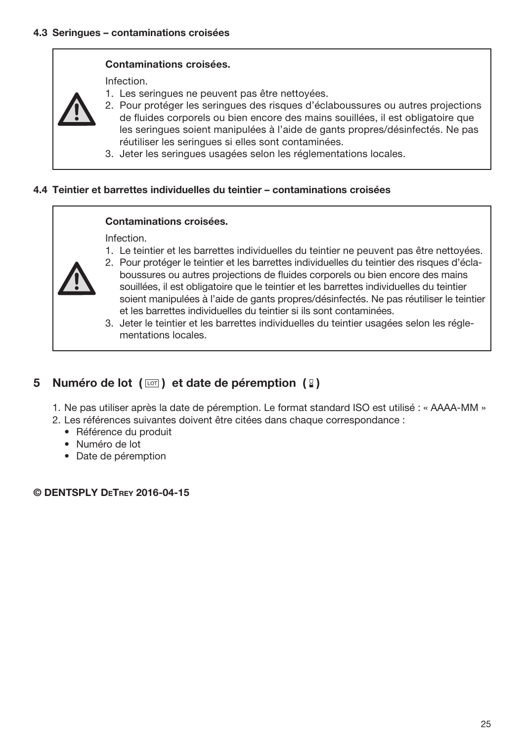## Contaminations croisées.

Infection.

- 1. Les seringues ne peuvent pas être nettoyées.
- 2. Pour protéger les seringues des risques d'éclaboussures ou autres projections de fluides corporels ou bien encore des mains souillées, il est obligatoire que les seringues soient manipulées à l'aide de gants propres/désinfectés. Ne pas réutiliser les seringues si elles sont contaminées.
- 3. Jeter les seringues usagées selon les réglementations locales.

#### 4.4 Teintier et barrettes individuelles du teintier – contaminations croisées

#### Contaminations croisées.

Infection.

1. Le teintier et les barrettes individuelles du teintier ne peuvent pas être nettoyées.



- 2. Pour protéger le teintier et les barrettes individuelles du teintier des risques d'éclaboussures ou autres projections de fluides corporels ou bien encore des mains souillées, il est obligatoire que le teintier et les barrettes individuelles du teintier soient manipulées à l'aide de gants propres/désinfectés. Ne pas réutiliser le teintier et les barrettes individuelles du teintier si ils sont contaminées.
- 3. Jeter le teintier et les barrettes individuelles du teintier usagées selon les réglementations locales.

# 5 Numéro de lot  $(\Box)$  et date de péremption  $(\Box)$

- 1. Ne pas utiliser après la date de péremption. Le format standard ISO est utilisé : « AAAA-MM »
- 2. Les références suivantes doivent être citées dans chaque correspondance :
	- Référence du produit
	- Numéro de lot
	- Date de péremption

## © DENTSPLY DeTrey 2016-04-15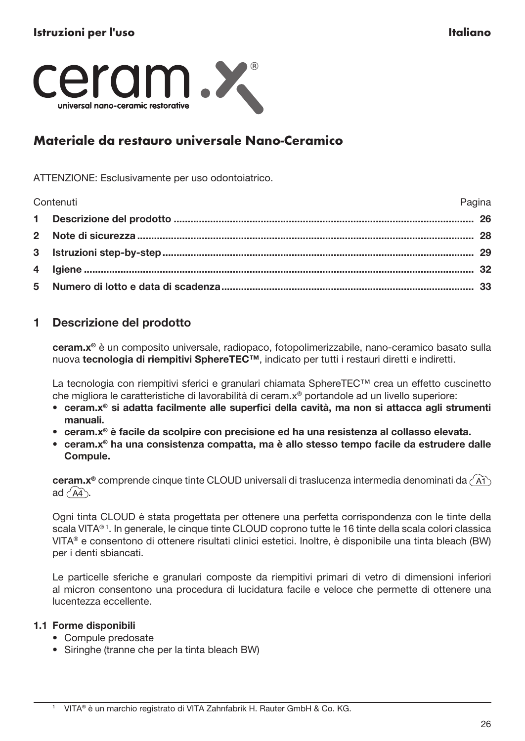<span id="page-26-0"></span>

# Materiale da restauro universale Nano-Ceramico

ATTENZIONE: Esclusivamente per uso odontoiatrico.

| Contenuti | Pagina |
|-----------|--------|
|           |        |
|           |        |
|           |        |
|           |        |
|           |        |

# 1 Descrizione del prodotto

ceram.x® è un composito universale, radiopaco, fotopolimerizzabile, nano-ceramico basato sulla nuova tecnologia di riempitivi SphereTEC™, indicato per tutti i restauri diretti e indiretti.

La tecnologia con riempitivi sferici e granulari chiamata SphereTEC™ crea un effetto cuscinetto che migliora le caratteristiche di lavorabilità di ceram.x® portandole ad un livello superiore:

- ceram.x® si adatta facilmente alle superfici della cavità, ma non si attacca agli strumenti manuali.
- ceram.x® è facile da scolpire con precisione ed ha una resistenza al collasso elevata.
- ceram.x® ha una consistenza compatta, ma è allo stesso tempo facile da estrudere dalle Compule.

ceram.x<sup>®</sup> comprende cinque tinte CLOUD universali di traslucenza intermedia denominati da (A1) ad  $\overrightarrow{AA}$ .

Ogni tinta CLOUD è stata progettata per ottenere una perfetta corrispondenza con le tinte della scala VITA®1. In generale, le cinque tinte CLOUD coprono tutte le 16 tinte della scala colori classica VITA® e consentono di ottenere risultati clinici estetici. Inoltre, è disponibile una tinta bleach (BW) per i denti sbiancati.

Le particelle sferiche e granulari composte da riempitivi primari di vetro di dimensioni inferiori al micron consentono una procedura di lucidatura facile e veloce che permette di ottenere una lucentezza eccellente.

## 1.1 Forme disponibili

- Compule predosate
- Siringhe (tranne che per la tinta bleach BW)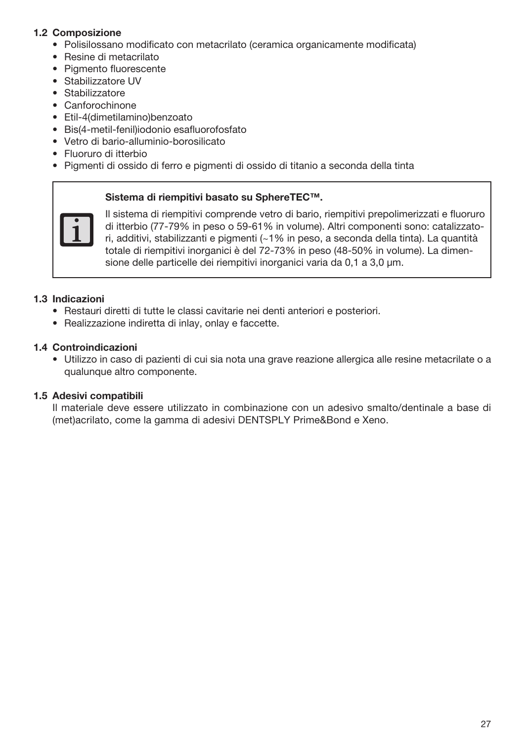## 1.2 Composizione

- Polisilossano modificato con metacrilato (ceramica organicamente modificata)
- Resine di metacrilato
- Pigmento fluorescente
- Stabilizzatore UV
- Stabilizzatore
- Canforochinone
- Etil-4(dimetilamino)benzoato
- Bis(4-metil-fenil)iodonio esafluorofosfato
- Vetro di bario-alluminio-borosilicato
- Fluoruro di itterbio
- Pigmenti di ossido di ferro e pigmenti di ossido di titanio a seconda della tinta

#### Sistema di riempitivi basato su SphereTEC™.



Il sistema di riempitivi comprende vetro di bario, riempitivi prepolimerizzati e fluoruro di itterbio (77-79% in peso o 59-61% in volume). Altri componenti sono: catalizzatori, additivi, stabilizzanti e pigmenti (~1% in peso, a seconda della tinta). La quantità totale di riempitivi inorganici è del 72-73% in peso (48-50% in volume). La dimensione delle particelle dei riempitivi inorganici varia da 0,1 a 3,0 μm.

## 1.3 Indicazioni

- Restauri diretti di tutte le classi cavitarie nei denti anteriori e posteriori.
- Realizzazione indiretta di inlay, onlay e faccette.

## 1.4 Controindicazioni

• Utilizzo in caso di pazienti di cui sia nota una grave reazione allergica alle resine metacrilate o a qualunque altro componente.

## 1.5 Adesivi compatibili

Il materiale deve essere utilizzato in combinazione con un adesivo smalto/dentinale a base di (met)acrilato, come la gamma di adesivi DENTSPLY Prime&Bond e Xeno.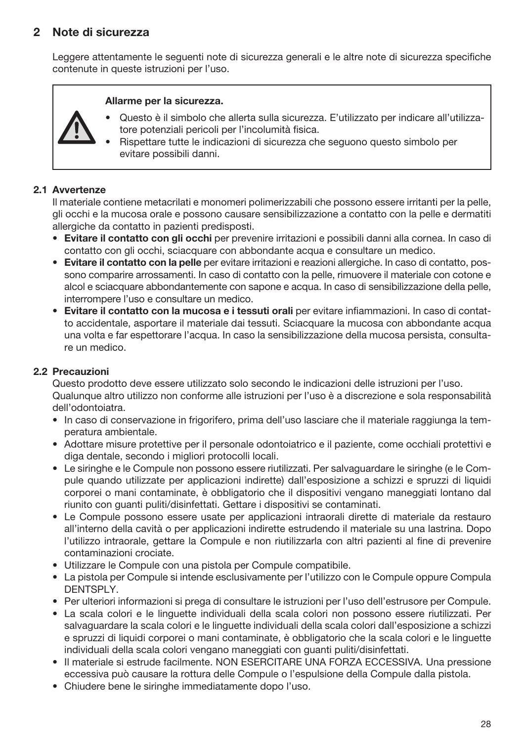# 2 Note di sicurezza

Leggere attentamente le seguenti note di sicurezza generali e le altre note di sicurezza specifiche contenute in queste istruzioni per l'uso.

#### Allarme per la sicurezza.

- Questo è il simbolo che allerta sulla sicurezza. E'utilizzato per indicare all'utilizzatore potenziali pericoli per l'incolumità fisica.
- Rispettare tutte le indicazioni di sicurezza che seguono questo simbolo per evitare possibili danni.

## 2.1 Avvertenze

Il materiale contiene metacrilati e monomeri polimerizzabili che possono essere irritanti per la pelle, gli occhi e la mucosa orale e possono causare sensibilizzazione a contatto con la pelle e dermatiti allergiche da contatto in pazienti predisposti.

- Evitare il contatto con gli occhi per prevenire irritazioni e possibili danni alla cornea. In caso di contatto con gli occhi, sciacquare con abbondante acqua e consultare un medico.
- Evitare il contatto con la pelle per evitare irritazioni e reazioni allergiche. In caso di contatto, possono comparire arrossamenti. In caso di contatto con la pelle, rimuovere il materiale con cotone e alcol e sciacquare abbondantemente con sapone e acqua. In caso di sensibilizzazione della pelle, interrompere l'uso e consultare un medico.
- Evitare il contatto con la mucosa e i tessuti orali per evitare infiammazioni. In caso di contatto accidentale, asportare il materiale dai tessuti. Sciacquare la mucosa con abbondante acqua una volta e far espettorare l'acqua. In caso la sensibilizzazione della mucosa persista, consultare un medico.

## 2.2 Precauzioni

Questo prodotto deve essere utilizzato solo secondo le indicazioni delle istruzioni per l'uso. Qualunque altro utilizzo non conforme alle istruzioni per l'uso è a discrezione e sola responsabilità dell'odontoiatra.

- In caso di conservazione in frigorifero, prima dell'uso lasciare che il materiale raggiunga la temperatura ambientale.
- Adottare misure protettive per il personale odontoiatrico e il paziente, come occhiali protettivi e diga dentale, secondo i migliori protocolli locali.
- Le siringhe e le Compule non possono essere riutilizzati. Per salvaguardare le siringhe (e le Compule quando utilizzate per applicazioni indirette) dall'esposizione a schizzi e spruzzi di liquidi corporei o mani contaminate, è obbligatorio che il dispositivi vengano maneggiati lontano dal riunito con guanti puliti/disinfettati. Gettare i dispositivi se contaminati.
- Le Compule possono essere usate per applicazioni intraorali dirette di materiale da restauro all'interno della cavità o per applicazioni indirette estrudendo il materiale su una lastrina. Dopo l'utilizzo intraorale, gettare la Compule e non riutilizzarla con altri pazienti al fine di prevenire contaminazioni crociate.
- Utilizzare le Compule con una pistola per Compule compatibile.
- La pistola per Compule si intende esclusivamente per l'utilizzo con le Compule oppure Compula DENTSPLY.
- Per ulteriori informazioni si prega di consultare le istruzioni per l'uso dell'estrusore per Compule.
- La scala colori e le linguette individuali della scala colori non possono essere riutilizzati. Per salvaguardare la scala colori e le linguette individuali della scala colori dall'esposizione a schizzi e spruzzi di liquidi corporei o mani contaminate, è obbligatorio che la scala colori e le linguette individuali della scala colori vengano maneggiati con guanti puliti/disinfettati.
- Il materiale si estrude facilmente. NON ESERCITARE UNA FORZA ECCESSIVA. Una pressione eccessiva può causare la rottura delle Compule o l'espulsione della Compule dalla pistola.
- Chiudere bene le siringhe immediatamente dopo l'uso.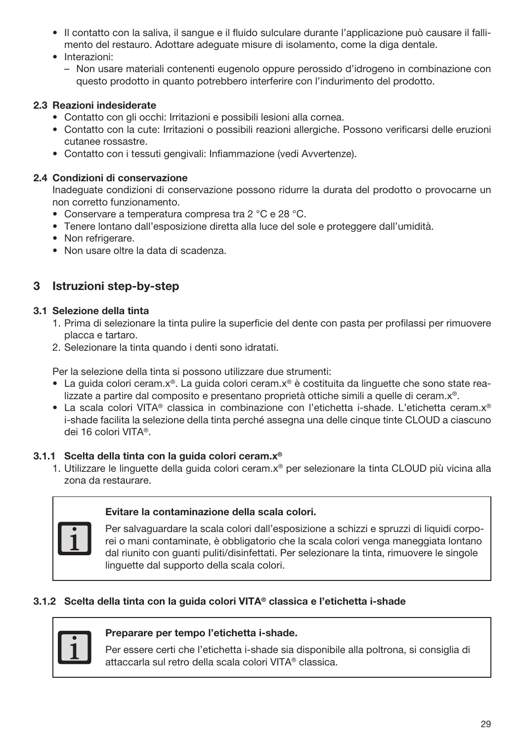- Il contatto con la saliva, il sangue e il fluido sulculare durante l'applicazione può causare il fallimento del restauro. Adottare adeguate misure di isolamento, come la diga dentale.
- Interazioni:
	- Non usare materiali contenenti eugenolo oppure perossido d'idrogeno in combinazione con questo prodotto in quanto potrebbero interferire con l'indurimento del prodotto.

## 2.3 Reazioni indesiderate

- Contatto con gli occhi: Irritazioni e possibili lesioni alla cornea.
- Contatto con la cute: Irritazioni o possibili reazioni allergiche. Possono verificarsi delle eruzioni cutanee rossastre.
- Contatto con i tessuti gengivali: Infiammazione (vedi Avvertenze).

## 2.4 Condizioni di conservazione

Inadeguate condizioni di conservazione possono ridurre la durata del prodotto o provocarne un non corretto funzionamento.

- Conservare a temperatura compresa tra 2 °C e 28 °C.
- Tenere lontano dall'esposizione diretta alla luce del sole e proteggere dall'umidità.
- Non refrigerare.
- Non usare oltre la data di scadenza.

# 3 Istruzioni step-by-step

## 3.1 Selezione della tinta

- 1. Prima di selezionare la tinta pulire la superficie del dente con pasta per profilassi per rimuovere placca e tartaro.
- 2. Selezionare la tinta quando i denti sono idratati.

Per la selezione della tinta si possono utilizzare due strumenti:

- La guida colori ceram.x®. La guida colori ceram.x® è costituita da linguette che sono state realizzate a partire dal composito e presentano proprietà ottiche simili a quelle di ceram.x®.
- La scala colori VITA® classica in combinazione con l'etichetta i-shade. L'etichetta ceram.x® i-shade facilita la selezione della tinta perché assegna una delle cinque tinte CLOUD a ciascuno dei 16 colori VITA®.

## 3.1.1 Scelta della tinta con la guida colori ceram.x®

1. Utilizzare le linguette della guida colori ceram.x® per selezionare la tinta CLOUD più vicina alla zona da restaurare.

## Evitare la contaminazione della scala colori.

Per salvaguardare la scala colori dall'esposizione a schizzi e spruzzi di liquidi corporei o mani contaminate, è obbligatorio che la scala colori venga maneggiata lontano dal riunito con guanti puliti/disinfettati. Per selezionare la tinta, rimuovere le singole linguette dal supporto della scala colori.

## 3.1.2 Scelta della tinta con la guida colori VITA® classica e l'etichetta i-shade



## Preparare per tempo l'etichetta i-shade.

Per essere certi che l'etichetta i-shade sia disponibile alla poltrona, si consiglia di attaccarla sul retro della scala colori VITA® classica.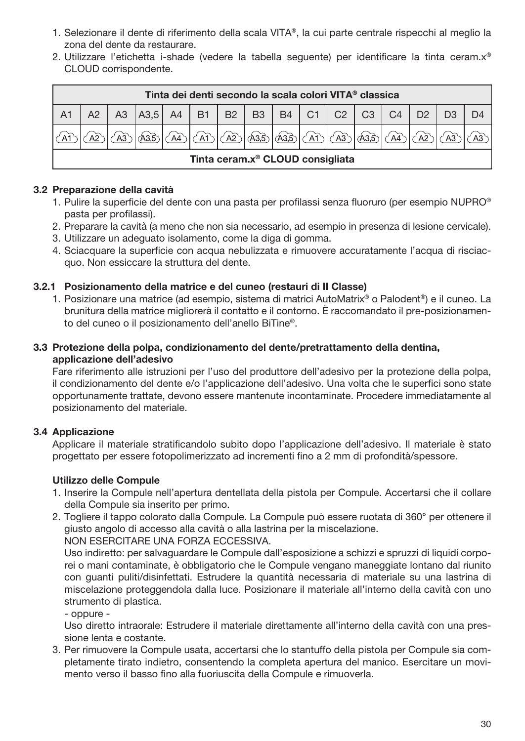- 1. Selezionare il dente di riferimento della scala VITA®, la cui parte centrale rispecchi al meglio la zona del dente da restaurare.
- 2. Utilizzare l'etichetta i-shade (vedere la tabella seguente) per identificare la tinta ceram.x® CLOUD corrispondente.

|                                              | Tinta dei denti secondo la scala colori VITA <sup>®</sup> classica<br> A3,5 A4 B1 B2 B3 B4 C1 C2 <br>C4<br>$1 \text{ C}3$<br>A3<br>D <sub>2</sub><br><u>   AD   AD   AB   AB   AD   AB   </u><br>A3,5 |  |  |  |  |  |  |  |  |  |  |  |
|----------------------------------------------|-------------------------------------------------------------------------------------------------------------------------------------------------------------------------------------------------------|--|--|--|--|--|--|--|--|--|--|--|
|                                              |                                                                                                                                                                                                       |  |  |  |  |  |  |  |  |  |  |  |
|                                              |                                                                                                                                                                                                       |  |  |  |  |  |  |  |  |  |  |  |
| Tinta ceram.x <sup>®</sup> CLOUD consigliata |                                                                                                                                                                                                       |  |  |  |  |  |  |  |  |  |  |  |

## 3.2 Preparazione della cavità

- 1. Pulire la superficie del dente con una pasta per profilassi senza fluoruro (per esempio NUPRO® pasta per profilassi).
- 2. Preparare la cavità (a meno che non sia necessario, ad esempio in presenza di lesione cervicale).
- 3. Utilizzare un adeguato isolamento, come la diga di gomma.
- 4. Sciacquare la superficie con acqua nebulizzata e rimuovere accuratamente l'acqua di risciacquo. Non essiccare la struttura del dente.

## 3.2.1 Posizionamento della matrice e del cuneo (restauri di II Classe)

1. Posizionare una matrice (ad esempio, sistema di matrici AutoMatrix® o Palodent®) e il cuneo. La brunitura della matrice migliorerà il contatto e il contorno. È raccomandato il pre-posizionamento del cuneo o il posizionamento dell'anello BiTine®.

## 3.3 Protezione della polpa, condizionamento del dente/pretrattamento della dentina, applicazione dell'adesivo

Fare riferimento alle istruzioni per l'uso del produttore dell'adesivo per la protezione della polpa, il condizionamento del dente e/o l'applicazione dell'adesivo. Una volta che le superfici sono state opportunamente trattate, devono essere mantenute incontaminate. Procedere immediatamente al posizionamento del materiale.

## 3.4 Applicazione

Applicare il materiale stratificandolo subito dopo l'applicazione dell'adesivo. Il materiale è stato progettato per essere fotopolimerizzato ad incrementi fino a 2 mm di profondità/spessore.

## Utilizzo delle Compule

- 1. Inserire la Compule nell'apertura dentellata della pistola per Compule. Accertarsi che il collare della Compule sia inserito per primo.
- 2. Togliere il tappo colorato dalla Compule. La Compule può essere ruotata di 360° per ottenere il giusto angolo di accesso alla cavità o alla lastrina per la miscelazione.

NON ESERCITARE UNA FORZA ECCESSIVA.

Uso indiretto: per salvaguardare le Compule dall'esposizione a schizzi e spruzzi di liquidi corporei o mani contaminate, è obbligatorio che le Compule vengano maneggiate lontano dal riunito con guanti puliti/disinfettati. Estrudere la quantità necessaria di materiale su una lastrina di miscelazione proteggendola dalla luce. Posizionare il materiale all'interno della cavità con uno strumento di plastica.

- oppure -

Uso diretto intraorale: Estrudere il materiale direttamente all'interno della cavità con una pressione lenta e costante.

3. Per rimuovere la Compule usata, accertarsi che lo stantuffo della pistola per Compule sia completamente tirato indietro, consentendo la completa apertura del manico. Esercitare un movimento verso il basso fino alla fuoriuscita della Compule e rimuoverla.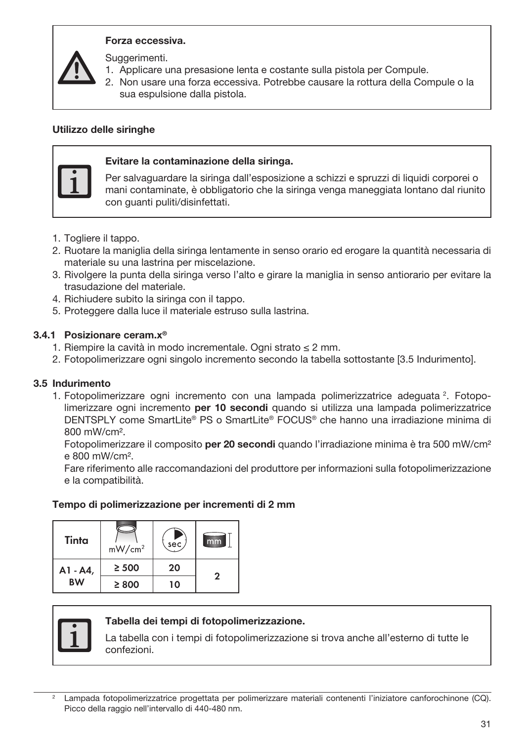## Forza eccessiva.

Suggerimenti.

- 1. Applicare una presasione lenta e costante sulla pistola per Compule.
- 2. Non usare una forza eccessiva. Potrebbe causare la rottura della Compule o la sua espulsione dalla pistola.

## Utilizzo delle siringhe



## Evitare la contaminazione della siringa.

Per salvaguardare la siringa dall'esposizione a schizzi e spruzzi di liquidi corporei o mani contaminate, è obbligatorio che la siringa venga maneggiata lontano dal riunito con guanti puliti/disinfettati.

- 1. Togliere il tappo.
- 2. Ruotare la maniglia della siringa lentamente in senso orario ed erogare la quantità necessaria di materiale su una lastrina per miscelazione.
- 3. Rivolgere la punta della siringa verso l'alto e girare la maniglia in senso antiorario per evitare la trasudazione del materiale.
- 4. Richiudere subito la siringa con il tappo.
- 5. Proteggere dalla luce il materiale estruso sulla lastrina.

#### 3.4.1 Posizionare ceram.x®

- 1. Riempire la cavità in modo incrementale. Ogni strato ≤ 2 mm.
- 2. Fotopolimerizzare ogni singolo incremento secondo la tabella sottostante [3.5 Indurimento].

## 3.5 Indurimento

1. Fotopolimerizzare ogni incremento con una lampada polimerizzatrice adeguata<sup>2</sup>. Fotopolimerizzare ogni incremento **per 10 secondi** quando si utilizza una lampada polimerizzatrice DENTSPLY come SmartLite® PS o SmartLite® FOCUS® che hanno una irradiazione minima di 800 mW/cm².

Fotopolimerizzare il composito per 20 secondi quando l'irradiazione minima è tra 500 mW/cm<sup>2</sup> e 800 mW/cm².

Fare riferimento alle raccomandazioni del produttore per informazioni sulla fotopolimerizzazione e la compatibilità.

#### Tempo di polimerizzazione per incrementi di 2 mm

| Tinta     | mW/cm <sup>2</sup> | $\overline{\text{sec}}$ | mm |  |  |
|-----------|--------------------|-------------------------|----|--|--|
| A1 - A4,  | $\geq 500$         | 20                      | 2  |  |  |
| <b>BW</b> | ≥ 800              | 10                      |    |  |  |



#### Tabella dei tempi di fotopolimerizzazione.

La tabella con i tempi di fotopolimerizzazione si trova anche all'esterno di tutte le confezioni.

Lampada fotopolimerizzatrice progettata per polimerizzare materiali contenenti l'iniziatore canforochinone (CQ). Picco della raggio nell'intervallo di 440-480 nm.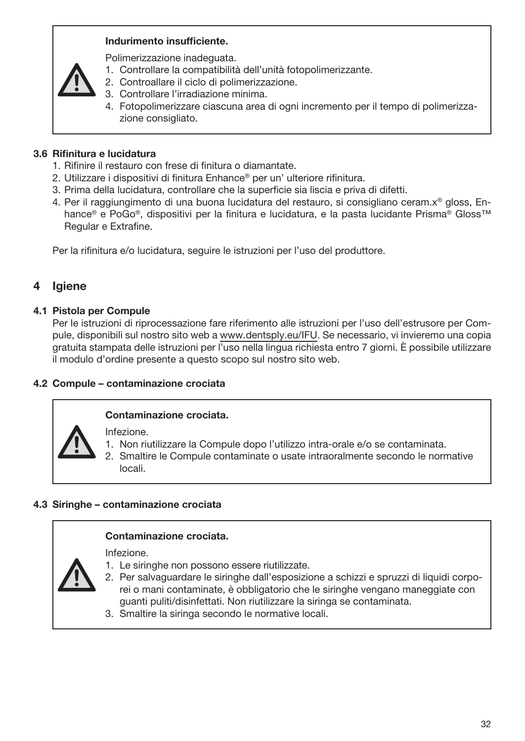## Indurimento insufficiente.

Polimerizzazione inadeguata.

- 1. Controllare la compatibilità dell'unità fotopolimerizzante.
- 2. Controallare il ciclo di polimerizzazione.
- 3. Controllare l'irradiazione minima.
- 4. Fotopolimerizzare ciascuna area di ogni incremento per il tempo di polimerizzazione consigliato.

## 3.6 Rifinitura e lucidatura

- 1. Rifinire il restauro con frese di finitura o diamantate.
- 2. Utilizzare i dispositivi di finitura Enhance® per un' ulteriore rifinitura.
- 3. Prima della lucidatura, controllare che la superficie sia liscia e priva di difetti.
- 4. Per il raggiungimento di una buona lucidatura del restauro, si consigliano ceram.x® gloss, Enhance® e PoGo®, dispositivi per la finitura e lucidatura, e la pasta lucidante Prisma® Gloss™ Regular e Extrafine.

Per la rifinitura e/o lucidatura, seguire le istruzioni per l'uso del produttore.

# 4 Igiene

## 4.1 Pistola per Compule

Per le istruzioni di riprocessazione fare riferimento alle istruzioni per l'uso dell'estrusore per Compule, disponibili sul nostro sito web a www.dentsply.eu/IFU. Se necessario, vi invieremo una copia gratuita stampata delle istruzioni per l'uso nella lingua richiesta entro 7 giorni. È possibile utilizzare il modulo d'ordine presente a questo scopo sul nostro sito web.

## 4.2 Compule – contaminazione crociata

## Contaminazione crociata.

Infezione.

- 1. Non riutilizzare la Compule dopo l'utilizzo intra-orale e/o se contaminata.
- 2. Smaltire le Compule contaminate o usate intraoralmente secondo le normative locali.

## 4.3 Siringhe – contaminazione crociata

## Contaminazione crociata.

Infezione.

- 1. Le siringhe non possono essere riutilizzate.
- 2. Per salvaguardare le siringhe dall'esposizione a schizzi e spruzzi di liquidi corporei o mani contaminate, è obbligatorio che le siringhe vengano maneggiate con guanti puliti/disinfettati. Non riutilizzare la siringa se contaminata.
- 3. Smaltire la siringa secondo le normative locali.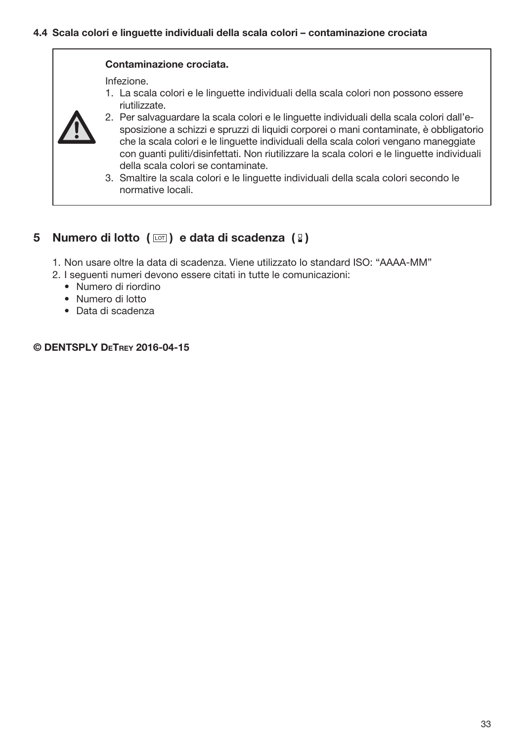## Contaminazione crociata.

Infezione.

1. La scala colori e le linguette individuali della scala colori non possono essere riutilizzate.



- 2. Per salvaguardare la scala colori e le linguette individuali della scala colori dall'esposizione a schizzi e spruzzi di liquidi corporei o mani contaminate, è obbligatorio che la scala colori e le linguette individuali della scala colori vengano maneggiate con guanti puliti/disinfettati. Non riutilizzare la scala colori e le linguette individuali della scala colori se contaminate.
- 3. Smaltire la scala colori e le linguette individuali della scala colori secondo le normative locali.

## 5 Numero di lotto  $(\Box)$  e data di scadenza  $(\Box)$

- 1. Non usare oltre la data di scadenza. Viene utilizzato lo standard ISO: "AAAA-MM"
- 2. I seguenti numeri devono essere citati in tutte le comunicazioni:
	- Numero di riordino
	- Numero di lotto
	- Data di scadenza

## © DENTSPLY DeTrey 2016-04-15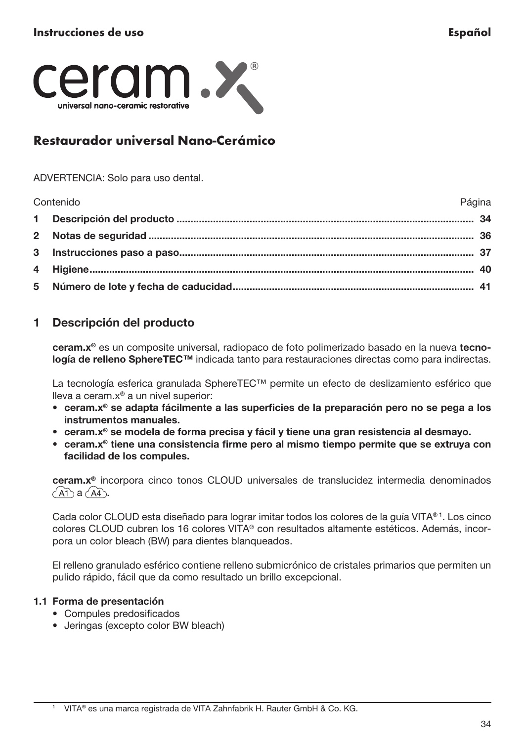<span id="page-34-0"></span>

# Restaurador universal Nano-Cerámico

ADVERTENCIA: Solo para uso dental.

Contenido Página Descripción del producto .......................................................................................................... 34 Notas de seguridad .................................................................................................................... 36 Instrucciones paso a paso......................................................................................................... 37 Higiene......................................................................................................................................... 40 Número de lote y fecha de caducidad...................................................................................... 41

# 1 Descripción del producto

ceram.x® es un composite universal, radiopaco de foto polimerizado basado en la nueva tecnología de relleno SphereTEC™ indicada tanto para restauraciones directas como para indirectas.

La tecnología esferica granulada SphereTEC™ permite un efecto de deslizamiento esférico que lleva a ceram.x® a un nivel superior:

- ceram.x® se adapta fácilmente a las superficies de la preparación pero no se pega a los instrumentos manuales.
- ceram.x® se modela de forma precisa y fácil y tiene una gran resistencia al desmayo.
- ceram.x® tiene una consistencia firme pero al mismo tiempo permite que se extruya con facilidad de los compules.

ceram.x® incorpora cinco tonos CLOUD universales de translucidez intermedia denominados  $($ AT  $a$   $($ A4 $)$ .

Cada color CLOUD esta diseñado para lograr imitar todos los colores de la guía VITA® 1. Los cinco colores CLOUD cubren los 16 colores VITA® con resultados altamente estéticos. Además, incorpora un color bleach (BW) para dientes blanqueados.

El relleno granulado esférico contiene relleno submicrónico de cristales primarios que permiten un pulido rápido, fácil que da como resultado un brillo excepcional.

## 1.1 Forma de presentación

- Compules predosificados
- Jeringas (excepto color BW bleach)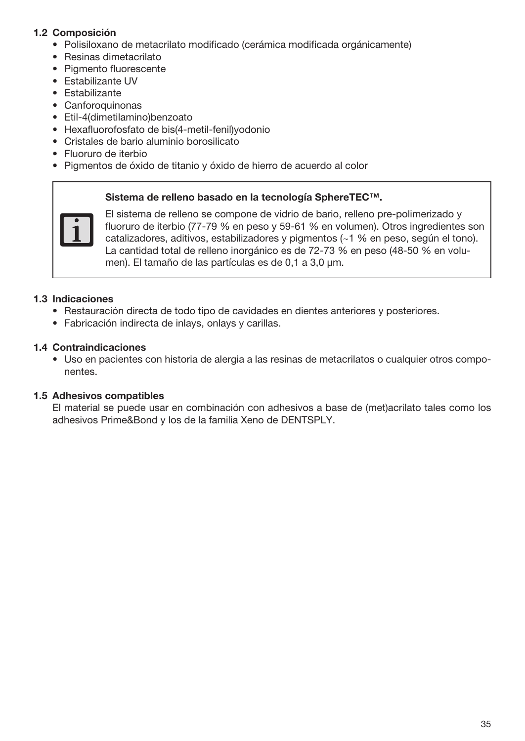## 1.2 Composición

- Polisiloxano de metacrilato modificado (cerámica modificada orgánicamente)
- Resinas dimetacrilato
- Pigmento fluorescente
- Estabilizante UV
- Estabilizante
- Canforoquinonas
- Etil-4(dimetilamino)benzoato
- Hexafluorofosfato de bis(4-metil-fenil)yodonio
- Cristales de bario aluminio borosilicato
- Fluoruro de iterbio
- Pigmentos de óxido de titanio y óxido de hierro de acuerdo al color

#### Sistema de relleno basado en la tecnología SphereTEC™.



El sistema de relleno se compone de vidrio de bario, relleno pre-polimerizado y fluoruro de iterbio (77-79 % en peso y 59-61 % en volumen). Otros ingredientes son catalizadores, aditivos, estabilizadores y pigmentos (~1 % en peso, según el tono). La cantidad total de relleno inorgánico es de 72-73 % en peso (48-50 % en volumen). El tamaño de las partículas es de 0,1 a 3,0 μm.

#### 1.3 Indicaciones

- Restauración directa de todo tipo de cavidades en dientes anteriores y posteriores.
- Fabricación indirecta de inlays, onlays y carillas.

## 1.4 Contraindicaciones

• Uso en pacientes con historia de alergia a las resinas de metacrilatos o cualquier otros componentes.

### 1.5 Adhesivos compatibles

El material se puede usar en combinación con adhesivos a base de (met)acrilato tales como los adhesivos Prime&Bond y los de la familia Xeno de DENTSPLY.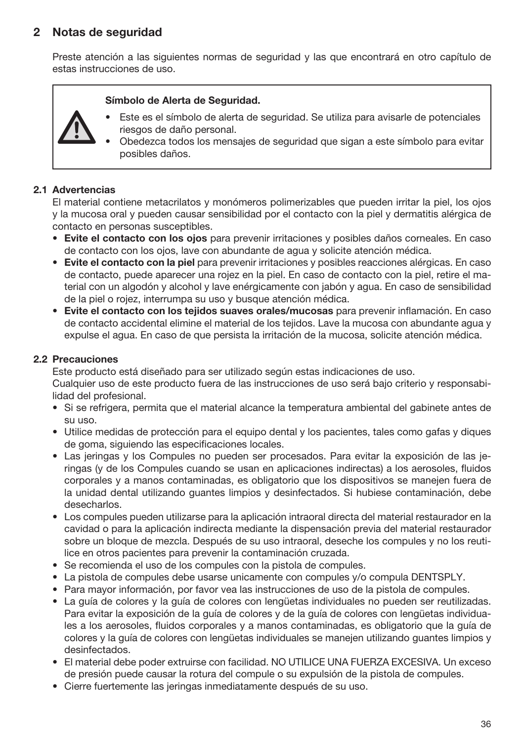# 2 Notas de seguridad

Preste atención a las siguientes normas de seguridad y las que encontrará en otro capítulo de estas instrucciones de uso.

#### Símbolo de Alerta de Seguridad.

- Este es el símbolo de alerta de seguridad. Se utiliza para avisarle de potenciales riesgos de daño personal.
	- Obedezca todos los mensajes de seguridad que sigan a este símbolo para evitar posibles daños.

## 2.1 Advertencias

El material contiene metacrilatos y monómeros polimerizables que pueden irritar la piel, los ojos y la mucosa oral y pueden causar sensibilidad por el contacto con la piel y dermatitis alérgica de contacto en personas susceptibles.

- Evite el contacto con los ojos para prevenir irritaciones y posibles daños corneales. En caso de contacto con los ojos, lave con abundante de agua y solicite atención médica.
- Evite el contacto con la piel para prevenir irritaciones y posibles reacciones alérgicas. En caso de contacto, puede aparecer una rojez en la piel. En caso de contacto con la piel, retire el material con un algodón y alcohol y lave enérgicamente con jabón y agua. En caso de sensibilidad de la piel o rojez, interrumpa su uso y busque atención médica.
- Evite el contacto con los tejidos suaves orales/mucosas para prevenir inflamación. En caso de contacto accidental elimine el material de los tejidos. Lave la mucosa con abundante agua y expulse el agua. En caso de que persista la irritación de la mucosa, solicite atención médica.

## 2.2 Precauciones

Este producto está diseñado para ser utilizado según estas indicaciones de uso. Cualquier uso de este producto fuera de las instrucciones de uso será bajo criterio y responsabilidad del profesional.

- Si se refrigera, permita que el material alcance la temperatura ambiental del gabinete antes de su uso.
- Utilice medidas de protección para el equipo dental y los pacientes, tales como gafas y diques de goma, siguiendo las especificaciones locales.
- Las jeringas y los Compules no pueden ser procesados. Para evitar la exposición de las jeringas (y de los Compules cuando se usan en aplicaciones indirectas) a los aerosoles, fluidos corporales y a manos contaminadas, es obligatorio que los dispositivos se manejen fuera de la unidad dental utilizando guantes limpios y desinfectados. Si hubiese contaminación, debe desecharlos.
- Los compules pueden utilizarse para la aplicación intraoral directa del material restaurador en la cavidad o para la aplicación indirecta mediante la dispensación previa del material restaurador sobre un bloque de mezcla. Después de su uso intraoral, deseche los compules y no los reutilice en otros pacientes para prevenir la contaminación cruzada.
- Se recomienda el uso de los compules con la pistola de compules.
- La pistola de compules debe usarse unicamente con compules y/o compula DENTSPLY.
- Para mayor información, por favor vea las instrucciones de uso de la pistola de compules.
- La guía de colores y la guía de colores con lengüetas individuales no pueden ser reutilizadas. Para evitar la exposición de la guía de colores y de la guía de colores con lengüetas individuales a los aerosoles, fluidos corporales y a manos contaminadas, es obligatorio que la guía de colores y la guía de colores con lengüetas individuales se manejen utilizando guantes limpios y desinfectados.
- El material debe poder extruirse con facilidad. NO UTILICE UNA FUERZA EXCESIVA. Un exceso de presión puede causar la rotura del compule o su expulsión de la pistola de compules.
- Cierre fuertemente las jeringas inmediatamente después de su uso.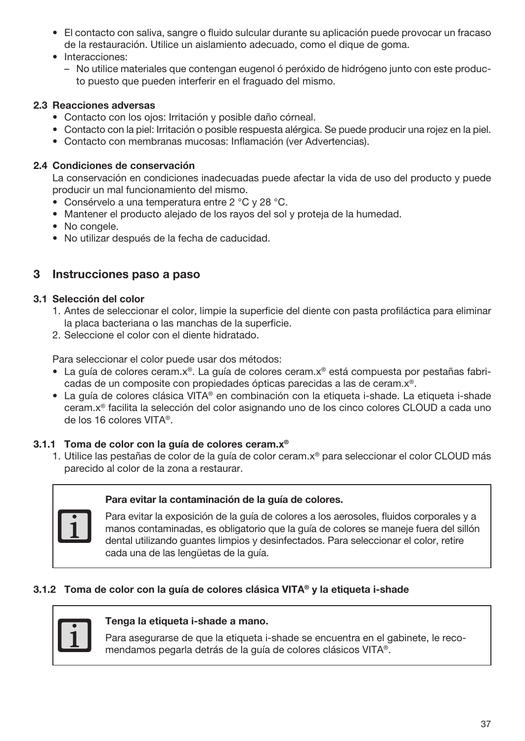- El contacto con saliva, sangre o fluido sulcular durante su aplicación puede provocar un fracaso de la restauración. Utilice un aislamiento adecuado, como el dique de goma.
- Interacciones:
	- No utilice materiales que contengan eugenol ó peróxido de hidrógeno junto con este producto puesto que pueden interferir en el fraguado del mismo.

## 2.3 Reacciones adversas

- Contacto con los ojos: Irritación y posible daño córneal.
- Contacto con la piel: Irritación o posible respuesta alérgica. Se puede producir una rojez en la piel.
- Contacto con membranas mucosas: Inflamación (ver Advertencias).

## 2.4 Condiciones de conservación

La conservación en condiciones inadecuadas puede afectar la vida de uso del producto y puede producir un mal funcionamiento del mismo.

- Consérvelo a una temperatura entre 2 °C y 28 °C.
- Mantener el producto alejado de los rayos del sol y proteja de la humedad.
- No congele.
- No utilizar después de la fecha de caducidad.

## 3 Instrucciones paso a paso

#### 3.1 Selección del color

- 1. Antes de seleccionar el color, limpie la superficie del diente con pasta profiláctica para eliminar la placa bacteriana o las manchas de la superficie.
- 2. Seleccione el color con el diente hidratado.

Para seleccionar el color puede usar dos métodos:

- La guía de colores ceram.x®. La guía de colores ceram.x® está compuesta por pestañas fabricadas de un composite con propiedades ópticas parecidas a las de ceram.x®.
- La guía de colores clásica VITA® en combinación con la etiqueta i-shade. La etiqueta i-shade ceram.x® facilita la selección del color asignando uno de los cinco colores CLOUD a cada uno de los 16 colores VITA®.

#### 3.1.1 Toma de color con la guía de colores ceram.x®

1. Utilice las pestañas de color de la guía de color ceram.x® para seleccionar el color CLOUD más parecido al color de la zona a restaurar.

#### Para evitar la contaminación de la guía de colores.



Para evitar la exposición de la guía de colores a los aerosoles, fluidos corporales y a manos contaminadas, es obligatorio que la guía de colores se maneje fuera del sillón dental utilizando guantes limpios y desinfectados. Para seleccionar el color, retire cada una de las lengüetas de la guía.

## 3.1.2 Toma de color con la guía de colores clásica VITA® y la etiqueta i-shade



#### Tenga la etiqueta i-shade a mano.

Para asegurarse de que la etiqueta i-shade se encuentra en el gabinete, le recomendamos pegarla detrás de la guía de colores clásicos VITA®.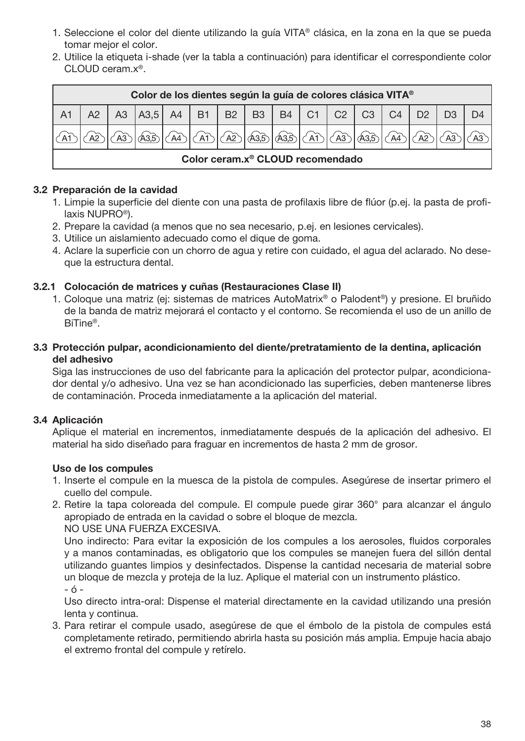- 1. Seleccione el color del diente utilizando la guía VITA® clásica, en la zona en la que se pueda tomar mejor el color.
- 2. Utilice la etiqueta i-shade (ver la tabla a continuación) para identificar el correspondiente color CLOUD ceram.x®.

| Color de los dientes según la guía de colores clásica VITA <sup>®</sup> |    |                  |  |  |             |      |           |    |                       |                |                |  |  |
|-------------------------------------------------------------------------|----|------------------|--|--|-------------|------|-----------|----|-----------------------|----------------|----------------|--|--|
|                                                                         | A3 | A3,5 A4 B1 B2 B3 |  |  |             |      | <b>B4</b> | C1 | $\mid$ C <sub>2</sub> | C <sub>3</sub> | C <sub>4</sub> |  |  |
|                                                                         |    |                  |  |  | $\sqrt{A2}$ | A3.5 | ക്കി An   |    |                       |                |                |  |  |
| Color ceram.x <sup>®</sup> CLOUD recomendado                            |    |                  |  |  |             |      |           |    |                       |                |                |  |  |

## 3.2 Preparación de la cavidad

- 1. Limpie la superficie del diente con una pasta de profilaxis libre de flúor (p.ej. la pasta de profilaxis NUPRO®).
- 2. Prepare la cavidad (a menos que no sea necesario, p.ej. en lesiones cervicales).
- 3. Utilice un aislamiento adecuado como el dique de goma.
- 4. Aclare la superficie con un chorro de agua y retire con cuidado, el agua del aclarado. No deseque la estructura dental.

## 3.2.1 Colocación de matrices y cuñas (Restauraciones Clase II)

- 1. Coloque una matriz (ej: sistemas de matrices AutoMatrix® o Palodent®) y presione. El bruñido de la banda de matriz mejorará el contacto y el contorno. Se recomienda el uso de un anillo de BiTine®.
- 3.3 Protección pulpar, acondicionamiento del diente/pretratamiento de la dentina, aplicación del adhesivo

Siga las instrucciones de uso del fabricante para la aplicación del protector pulpar, acondicionador dental y/o adhesivo. Una vez se han acondicionado las superficies, deben mantenerse libres de contaminación. Proceda inmediatamente a la aplicación del material.

#### 3.4 Aplicación

Aplique el material en incrementos, inmediatamente después de la aplicación del adhesivo. El material ha sido diseñado para fraguar en incrementos de hasta 2 mm de grosor.

#### Uso de los compules

- 1. Inserte el compule en la muesca de la pistola de compules. Asegúrese de insertar primero el cuello del compule.
- 2. Retire la tapa coloreada del compule. El compule puede girar 360° para alcanzar el ángulo apropiado de entrada en la cavidad o sobre el bloque de mezcla.

NO USE UNA FUERZA EXCESIVA.

Uno indirecto: Para evitar la exposición de los compules a los aerosoles, fluidos corporales y a manos contaminadas, es obligatorio que los compules se manejen fuera del sillón dental utilizando guantes limpios y desinfectados. Dispense la cantidad necesaria de material sobre un bloque de mezcla y proteja de la luz. Aplique el material con un instrumento plástico. - ó -

Uso directo intra-oral: Dispense el material directamente en la cavidad utilizando una presión lenta y continua.

3. Para retirar el compule usado, asegúrese de que el émbolo de la pistola de compules está completamente retirado, permitiendo abrirla hasta su posición más amplia. Empuje hacia abajo el extremo frontal del compule y retírelo.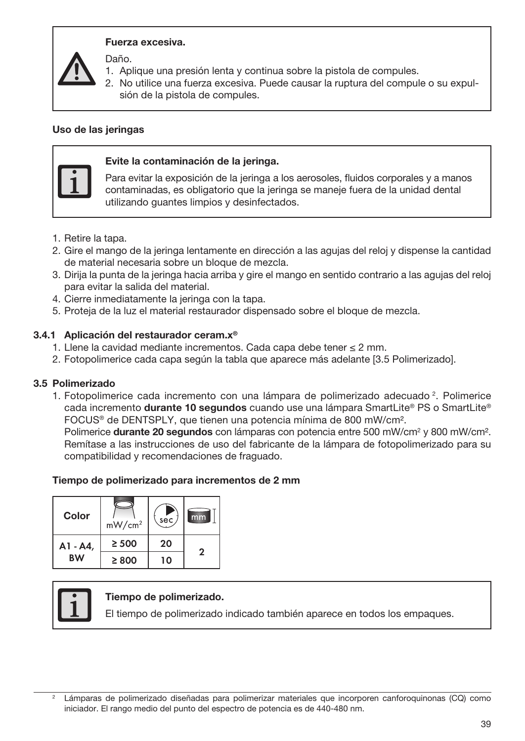

#### Fuerza excesiva.

Daño.

- 1. Aplique una presión lenta y continua sobre la pistola de compules.
- 2. No utilice una fuerza excesiva. Puede causar la ruptura del compule o su expulsión de la pistola de compules.

#### Uso de las jeringas



#### Evite la contaminación de la jeringa.

Para evitar la exposición de la jeringa a los aerosoles, fluidos corporales y a manos contaminadas, es obligatorio que la jeringa se maneje fuera de la unidad dental utilizando guantes limpios y desinfectados.

- 1. Retire la tapa.
- 2. Gire el mango de la jeringa lentamente en dirección a las agujas del reloj y dispense la cantidad de material necesaria sobre un bloque de mezcla.
- 3. Dirija la punta de la jeringa hacia arriba y gire el mango en sentido contrario a las agujas del reloj para evitar la salida del material.
- 4. Cierre inmediatamente la jeringa con la tapa.
- 5. Proteja de la luz el material restaurador dispensado sobre el bloque de mezcla.

#### 3.4.1 Aplicación del restaurador ceram.x®

- 1. Llene la cavidad mediante incrementos. Cada capa debe tener ≤ 2 mm.
- 2. Fotopolimerice cada capa según la tabla que aparece más adelante [3.5 Polimerizado].

#### 3.5 Polimerizado

1. Fotopolimerice cada incremento con una lámpara de polimerizado adecuado <sup>2</sup>. Polimerice cada incremento **durante 10 segundos** cuando use una lámpara SmartLite® PS o SmartLite® FOCUS® de DENTSPLY, que tienen una potencia mínima de 800 mW/cm².

Polimerice **durante 20 segundos** con lámparas con potencia entre 500 mW/cm<sup>2</sup> y 800 mW/cm<sup>2</sup>. Remítase a las instrucciones de uso del fabricante de la lámpara de fotopolimerizado para su compatibilidad y recomendaciones de fraguado.

#### Tiempo de polimerizado para incrementos de 2 mm

| Color     | mW/cm <sup>2</sup> | sec, | mm |
|-----------|--------------------|------|----|
| A1 - A4,  | $\geq 500$         | 20   | 2  |
| <b>BW</b> | $\geq 800$         | 10   |    |

#### Tiempo de polimerizado.

El tiempo de polimerizado indicado también aparece en todos los empaques.

Lámparas de polimerizado diseñadas para polimerizar materiales que incorporen canforoquinonas (CQ) como iniciador. El rango medio del punto del espectro de potencia es de 440-480 nm.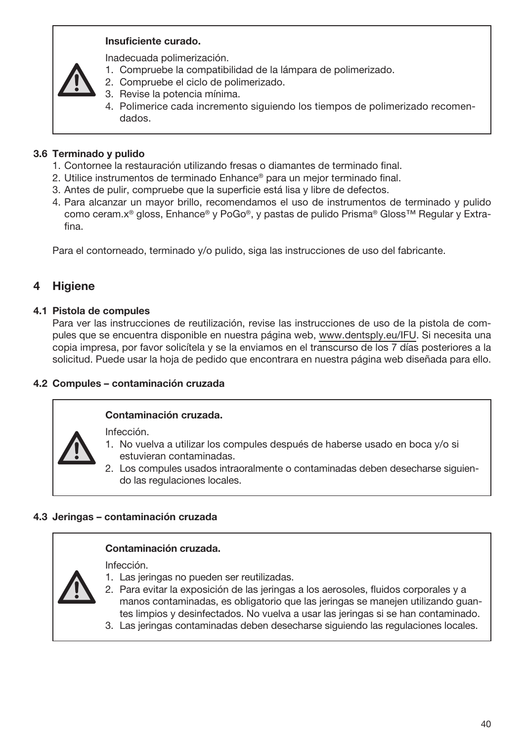## Insuficiente curado.

Inadecuada polimerización.

- 1. Compruebe la compatibilidad de la lámpara de polimerizado.
- 2. Compruebe el ciclo de polimerizado.
- 3. Revise la potencia mínima.
- 4. Polimerice cada incremento siguiendo los tiempos de polimerizado recomendados.

## 3.6 Terminado y pulido

- 1. Contornee la restauración utilizando fresas o diamantes de terminado final.
- 2. Utilice instrumentos de terminado Enhance® para un mejor terminado final.
- 3. Antes de pulir, compruebe que la superficie está lisa y libre de defectos.
- 4. Para alcanzar un mayor brillo, recomendamos el uso de instrumentos de terminado y pulido como ceram.x® gloss, Enhance® y PoGo®, y pastas de pulido Prisma® Gloss™ Regular y Extrafina.

Para el contorneado, terminado y/o pulido, siga las instrucciones de uso del fabricante.

# **Higiene**

## 4.1 Pistola de compules

Para ver las instrucciones de reutilización, revise las instrucciones de uso de la pistola de compules que se encuentra disponible en nuestra página web, www.dentsply.eu/IFU. Si necesita una copia impresa, por favor solicítela y se la enviamos en el transcurso de los 7 días posteriores a la solicitud. Puede usar la hoja de pedido que encontrara en nuestra página web diseñada para ello.

## 4.2 Compules – contaminación cruzada

## Contaminación cruzada.

Infección.

- 1. No vuelva a utilizar los compules después de haberse usado en boca y/o si estuvieran contaminadas.
	- 2. Los compules usados intraoralmente o contaminadas deben desecharse siguiendo las regulaciones locales.

## 4.3 Jeringas – contaminación cruzada

## Contaminación cruzada.

Infección.

- 1. Las jeringas no pueden ser reutilizadas.
- 2. Para evitar la exposición de las jeringas a los aerosoles, fluidos corporales y a manos contaminadas, es obligatorio que las jeringas se manejen utilizando guantes limpios y desinfectados. No vuelva a usar las jeringas si se han contaminado.
- 3. Las jeringas contaminadas deben desecharse siguiendo las regulaciones locales.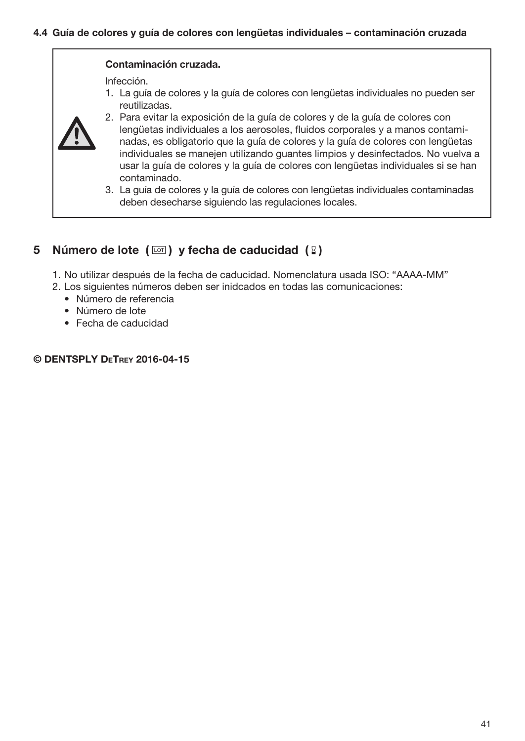#### Contaminación cruzada.

Infección.

1. La guía de colores y la guía de colores con lengüetas individuales no pueden ser reutilizadas.



- 2. Para evitar la exposición de la guía de colores y de la guía de colores con lengüetas individuales a los aerosoles, fluidos corporales y a manos contaminadas, es obligatorio que la guía de colores y la guía de colores con lengüetas individuales se manejen utilizando guantes limpios y desinfectados. No vuelva a usar la guía de colores y la guía de colores con lengüetas individuales si se han contaminado.
- 3. La guía de colores y la guía de colores con lengüetas individuales contaminadas deben desecharse siguiendo las regulaciones locales.

# 5 Número de lote  $(\Box)$  y fecha de caducidad  $(\Box)$

- 1. No utilizar después de la fecha de caducidad. Nomenclatura usada ISO: "AAAA-MM"
- 2. Los siguientes números deben ser inidcados en todas las comunicaciones:
	- Número de referencia
	- Número de lote
	- Fecha de caducidad

### © DENTSPLY DeTrey 2016-04-15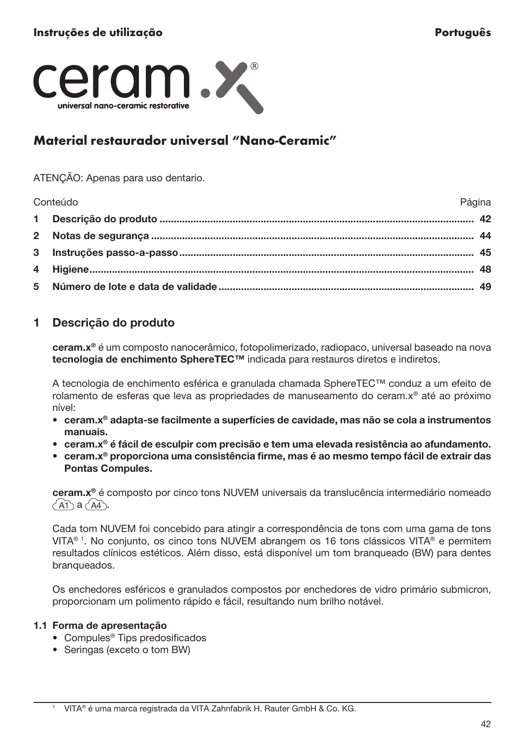

# Material restaurador universal "Nano-Ceramic"

#### ATENÇÃO: Apenas para uso dentario.

Conteúdo Página Descrição do produto ................................................................................................................ 42 Notas de segurança ................................................................................................................... 44 Instruções passo-a-passo......................................................................................................... 45 Higiene......................................................................................................................................... 48 Número de lote e data de validade ........................................................................................... 49

## 1 Descrição do produto

ceram.x® é um composto nanocerâmico, fotopolimerizado, radiopaco, universal baseado na nova tecnologia de enchimento SphereTEC™ indicada para restauros diretos e indiretos.

A tecnologia de enchimento esférica e granulada chamada SphereTEC™ conduz a um efeito de rolamento de esferas que leva as propriedades de manuseamento do ceram.x® até ao próximo nível:

- ceram.x® adapta-se facilmente a superfícies de cavidade, mas não se cola a instrumentos manuais.
- ceram.x® é fácil de esculpir com precisão e tem uma elevada resistência ao afundamento.
- ceram.x® proporciona uma consistência firme, mas é ao mesmo tempo fácil de extrair das Pontas Compules.

ceram.x® é composto por cinco tons NUVEM universais da translucência intermediário nomeado  $\bigcap A \cap A \bigcap A$ 

Cada tom NUVEM foi concebido para atingir a correspondência de tons com uma gama de tons VITA® 1. No conjunto, os cinco tons NUVEM abrangem os 16 tons clássicos VITA® e permitem resultados clínicos estéticos. Além disso, está disponível um tom branqueado (BW) para dentes branqueados.

Os enchedores esféricos e granulados compostos por enchedores de vidro primário submicron, proporcionam um polimento rápido e fácil, resultando num brilho notável.

## 1.1 Forma de apresentação

- Compules® Tips predosificados
- Seringas (exceto o tom BW)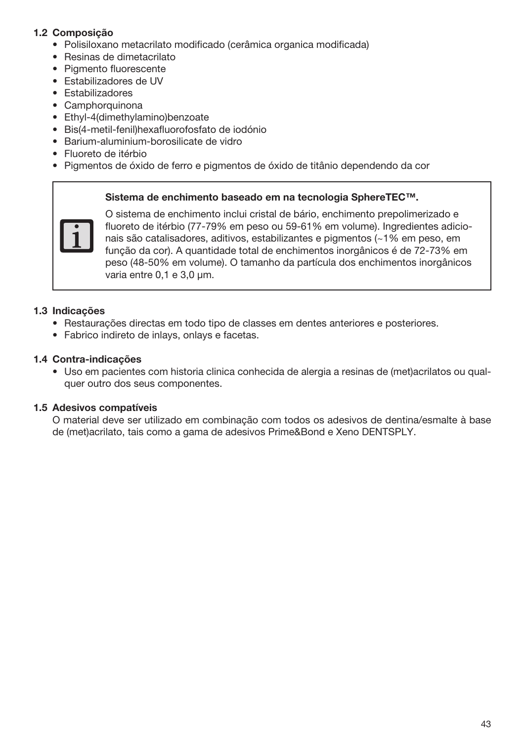## 1.2 Composição

- Polisiloxano metacrilato modificado (cerâmica organica modificada)
- Resinas de dimetacrilato
- Pigmento fluorescente
- Estabilizadores de UV
- Estabilizadores
- Camphorquinona
- Ethyl-4(dimethylamino)benzoate
- Bis(4-metil-fenil)hexafluorofosfato de iodónio
- Barium-aluminium-borosilicate de vidro
- Fluoreto de itérbio
- Pigmentos de óxido de ferro e pigmentos de óxido de titânio dependendo da cor

#### Sistema de enchimento baseado em na tecnologia SphereTEC™.



O sistema de enchimento inclui cristal de bário, enchimento prepolimerizado e fluoreto de itérbio (77-79% em peso ou 59-61% em volume). Ingredientes adicionais são catalisadores, aditivos, estabilizantes e pigmentos (~1% em peso, em função da cor). A quantidade total de enchimentos inorgânicos é de 72-73% em peso (48-50% em volume). O tamanho da partícula dos enchimentos inorgânicos varia entre 0,1 e 3,0 μm.

#### 1.3 Indicações

- Restaurações directas em todo tipo de classes em dentes anteriores e posteriores.
- Fabrico indireto de inlays, onlays e facetas.

#### 1.4 Contra-indicações

• Uso em pacientes com historia clinica conhecida de alergia a resinas de (met)acrilatos ou qualquer outro dos seus componentes.

## 1.5 Adesivos compatíveis

O material deve ser utilizado em combinação com todos os adesivos de dentina/esmalte à base de (met)acrilato, tais como a gama de adesivos Prime&Bond e Xeno DENTSPLY.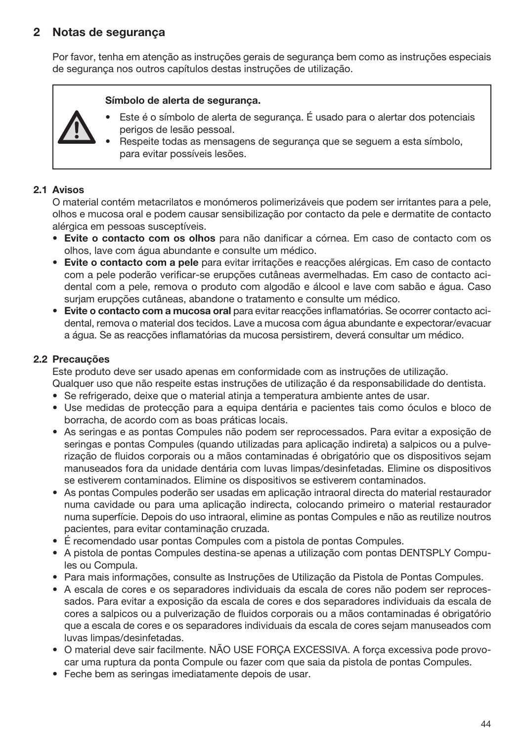# 2 Notas de segurança

Por favor, tenha em atenção as instruções gerais de segurança bem como as instruções especiais de segurança nos outros capítulos destas instruções de utilização.

#### Símbolo de alerta de segurança.

- Este é o símbolo de alerta de segurança. É usado para o alertar dos potenciais perigos de lesão pessoal.
- Respeite todas as mensagens de segurança que se seguem a esta símbolo, para evitar possíveis lesões.

## 2.1 Avisos

O material contém metacrilatos e monómeros polimerizáveis que podem ser irritantes para a pele, olhos e mucosa oral e podem causar sensibilização por contacto da pele e dermatite de contacto alérgica em pessoas susceptíveis.

- Evite o contacto com os olhos para não danificar a córnea. Em caso de contacto com os olhos, lave com água abundante e consulte um médico.
- Evite o contacto com a pele para evitar irritações e reacções alérgicas. Em caso de contacto com a pele poderão verificar-se erupções cutâneas avermelhadas. Em caso de contacto acidental com a pele, remova o produto com algodão e álcool e lave com sabão e água. Caso surjam erupções cutâneas, abandone o tratamento e consulte um médico.
- Evite o contacto com a mucosa oral para evitar reacções inflamatórias. Se ocorrer contacto acidental, remova o material dos tecidos. Lave a mucosa com água abundante e expectorar/evacuar a água. Se as reacções inflamatórias da mucosa persistirem, deverá consultar um médico.

#### 2.2 Precauções

Este produto deve ser usado apenas em conformidade com as instruções de utilização. Qualquer uso que não respeite estas instruções de utilização é da responsabilidade do dentista.

- 
- Se refrigerado, deixe que o material atinja a temperatura ambiente antes de usar.
- Use medidas de protecção para a equipa dentária e pacientes tais como óculos e bloco de borracha, de acordo com as boas práticas locais.
- As seringas e as pontas Compules não podem ser reprocessados. Para evitar a exposição de seringas e pontas Compules (quando utilizadas para aplicação indireta) a salpicos ou a pulverização de fluidos corporais ou a mãos contaminadas é obrigatório que os dispositivos sejam manuseados fora da unidade dentária com luvas limpas/desinfetadas. Elimine os dispositivos se estiverem contaminados. Elimine os dispositivos se estiverem contaminados.
- As pontas Compules poderão ser usadas em aplicação intraoral directa do material restaurador numa cavidade ou para uma aplicação indirecta, colocando primeiro o material restaurador numa superfície. Depois do uso intraoral, elimine as pontas Compules e não as reutilize noutros pacientes, para evitar contaminação cruzada.
- É recomendado usar pontas Compules com a pistola de pontas Compules.
- A pistola de pontas Compules destina-se apenas a utilização com pontas DENTSPLY Compules ou Compula.
- Para mais informações, consulte as Instruções de Utilização da Pistola de Pontas Compules.
- A escala de cores e os separadores individuais da escala de cores não podem ser reprocessados. Para evitar a exposição da escala de cores e dos separadores individuais da escala de cores a salpicos ou a pulverização de fluidos corporais ou a mãos contaminadas é obrigatório que a escala de cores e os separadores individuais da escala de cores sejam manuseados com luvas limpas/desinfetadas.
- O material deve sair facilmente. NÃO USE FORÇA EXCESSIVA. A força excessiva pode provocar uma ruptura da ponta Compule ou fazer com que saia da pistola de pontas Compules.
- Feche bem as seringas imediatamente depois de usar.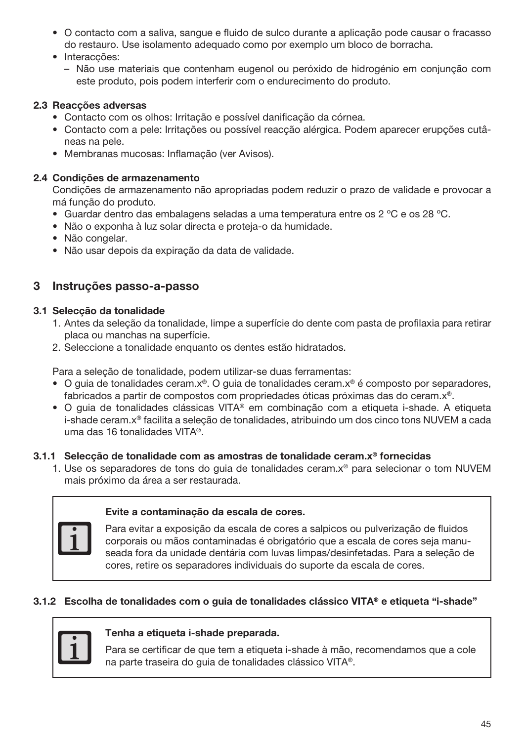- O contacto com a saliva, sangue e fluido de sulco durante a aplicação pode causar o fracasso do restauro. Use isolamento adequado como por exemplo um bloco de borracha.
- Interacções:
	- Não use materiais que contenham eugenol ou peróxido de hidrogénio em conjunção com este produto, pois podem interferir com o endurecimento do produto.

## 2.3 Reacções adversas

- Contacto com os olhos: Irritação e possível danificação da córnea.
- Contacto com a pele: Irritações ou possível reacção alérgica. Podem aparecer erupções cutâneas na pele.
- Membranas mucosas: Inflamação (ver Avisos).

#### 2.4 Condições de armazenamento

Condições de armazenamento não apropriadas podem reduzir o prazo de validade e provocar a má função do produto.

- Guardar dentro das embalagens seladas a uma temperatura entre os 2 ºC e os 28 ºC.
- Não o exponha à luz solar directa e proteja-o da humidade.
- Não congelar.
- Não usar depois da expiração da data de validade.

## 3 Instruções passo-a-passo

#### 3.1 Selecção da tonalidade

- 1. Antes da seleção da tonalidade, limpe a superfície do dente com pasta de profilaxia para retirar placa ou manchas na superfície.
- 2. Seleccione a tonalidade enquanto os dentes estão hidratados.

Para a seleção de tonalidade, podem utilizar-se duas ferramentas:

- O guia de tonalidades ceram.x®. O guia de tonalidades ceram.x® é composto por separadores, fabricados a partir de compostos com propriedades óticas próximas das do ceram.x®.
- O guia de tonalidades clássicas VITA® em combinação com a etiqueta i-shade. A etiqueta i-shade ceram.x® facilita a seleção de tonalidades, atribuindo um dos cinco tons NUVEM a cada uma das 16 tonalidades VITA®.

#### 3.1.1 Selecção de tonalidade com as amostras de tonalidade ceram.x® fornecidas

1. Use os separadores de tons do guia de tonalidades ceram.x® para selecionar o tom NUVEM mais próximo da área a ser restaurada.

### Evite a contaminação da escala de cores.

Para evitar a exposição da escala de cores a salpicos ou pulverização de fluidos corporais ou mãos contaminadas é obrigatório que a escala de cores seja manuseada fora da unidade dentária com luvas limpas/desinfetadas. Para a seleção de cores, retire os separadores individuais do suporte da escala de cores.

#### 3.1.2 Escolha de tonalidades com o guia de tonalidades clássico VITA® e etiqueta "i-shade"



#### Tenha a etiqueta i-shade preparada.

Para se certificar de que tem a etiqueta i-shade à mão, recomendamos que a cole na parte traseira do guia de tonalidades clássico VITA®.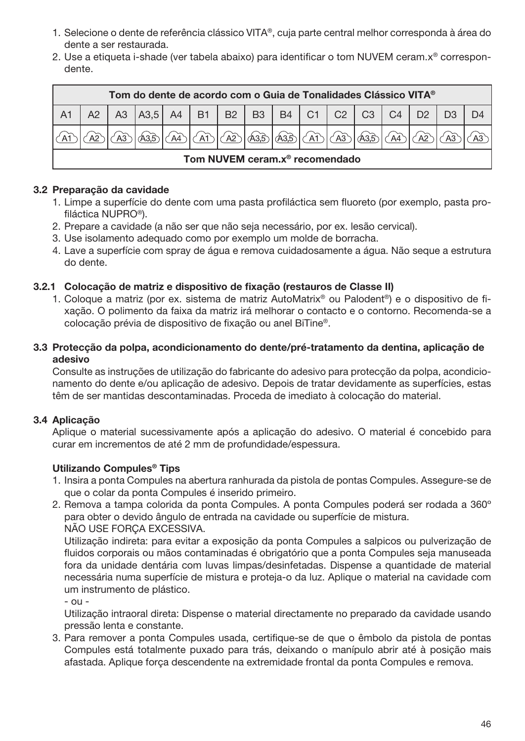- 1. Selecione o dente de referência clássico VITA®, cuja parte central melhor corresponda à área do dente a ser restaurada.
- 2. Use a etiqueta i-shade (ver tabela abaixo) para identificar o tom NUVEM ceram.x® correspondente.

| Tom do dente de acordo com o Guia de Tonalidades Clássico VITA <sup>®</sup> |  |                                                        |  |  |                                     |  |  |  |  |                        |                     |  |
|-----------------------------------------------------------------------------|--|--------------------------------------------------------|--|--|-------------------------------------|--|--|--|--|------------------------|---------------------|--|
|                                                                             |  | A3   A3,5   A4   B1   B2   B3   B4   C1   C2   C3   C4 |  |  |                                     |  |  |  |  |                        | $D2$ D <sub>3</sub> |  |
|                                                                             |  | $\sqrt{43.5}$                                          |  |  | <u>AD (AD (AD (AB (AB (AD (AB )</u> |  |  |  |  | $\sqrt{335}/\sqrt{44}$ | A2                  |  |
| Tom NUVEM ceram.x <sup>®</sup> recomendado                                  |  |                                                        |  |  |                                     |  |  |  |  |                        |                     |  |

## 3.2 Preparação da cavidade

- 1. Limpe a superfície do dente com uma pasta profiláctica sem fluoreto (por exemplo, pasta profiláctica NUPRO®).
- 2. Prepare a cavidade (a não ser que não seja necessário, por ex. lesão cervical).
- 3. Use isolamento adequado como por exemplo um molde de borracha.
- 4. Lave a superfície com spray de água e remova cuidadosamente a água. Não seque a estrutura do dente.

## 3.2.1 Colocação de matriz e dispositivo de fixação (restauros de Classe II)

1. Coloque a matriz (por ex. sistema de matriz AutoMatrix® ou Palodent®) e o dispositivo de fixação. O polimento da faixa da matriz irá melhorar o contacto e o contorno. Recomenda-se a colocação prévia de dispositivo de fixação ou anel BiTine®.

## 3.3 Protecção da polpa, acondicionamento do dente/pré-tratamento da dentina, aplicação de adesivo

Consulte as instruções de utilização do fabricante do adesivo para protecção da polpa, acondicionamento do dente e/ou aplicação de adesivo. Depois de tratar devidamente as superfícies, estas têm de ser mantidas descontaminadas. Proceda de imediato à colocação do material.

## 3.4 Aplicação

Aplique o material sucessivamente após a aplicação do adesivo. O material é concebido para curar em incrementos de até 2 mm de profundidade/espessura.

## Utilizando Compules® Tips

- 1. Insira a ponta Compules na abertura ranhurada da pistola de pontas Compules. Assegure-se de que o colar da ponta Compules é inserido primeiro.
- 2. Remova a tampa colorida da ponta Compules. A ponta Compules poderá ser rodada a 360º para obter o devido ângulo de entrada na cavidade ou superfície de mistura. NÃO USE FORÇA EXCESSIVA.

Utilização indireta: para evitar a exposição da ponta Compules a salpicos ou pulverização de fluidos corporais ou mãos contaminadas é obrigatório que a ponta Compules seja manuseada fora da unidade dentária com luvas limpas/desinfetadas. Dispense a quantidade de material necessária numa superfície de mistura e proteja-o da luz. Aplique o material na cavidade com um instrumento de plástico.

- ou -

Utilização intraoral direta: Dispense o material directamente no preparado da cavidade usando pressão lenta e constante.

3. Para remover a ponta Compules usada, certifique-se de que o êmbolo da pistola de pontas Compules está totalmente puxado para trás, deixando o manípulo abrir até à posição mais afastada. Aplique força descendente na extremidade frontal da ponta Compules e remova.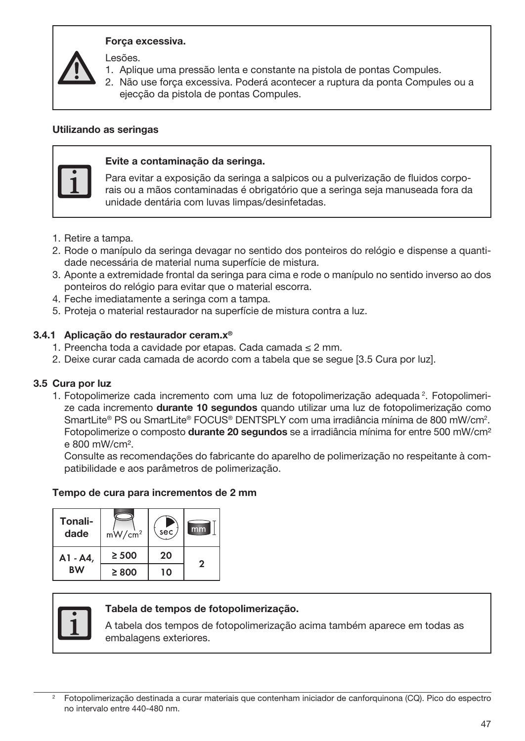#### Força excessiva.

Lesões.

- 1. Aplique uma pressão lenta e constante na pistola de pontas Compules.
- 2. Não use força excessiva. Poderá acontecer a ruptura da ponta Compules ou a ejecção da pistola de pontas Compules.

#### Utilizando as seringas



#### Evite a contaminação da seringa.

Para evitar a exposição da seringa a salpicos ou a pulverização de fluidos corporais ou a mãos contaminadas é obrigatório que a seringa seja manuseada fora da unidade dentária com luvas limpas/desinfetadas.

- 1. Retire a tampa.
- 2. Rode o manípulo da seringa devagar no sentido dos ponteiros do relógio e dispense a quantidade necessária de material numa superfície de mistura.
- 3. Aponte a extremidade frontal da seringa para cima e rode o manípulo no sentido inverso ao dos ponteiros do relógio para evitar que o material escorra.
- 4. Feche imediatamente a seringa com a tampa.
- 5. Proteja o material restaurador na superfície de mistura contra a luz.

#### 3.4.1 Aplicação do restaurador ceram.x®

- 1. Preencha toda a cavidade por etapas. Cada camada ≤ 2 mm.
- 2. Deixe curar cada camada de acordo com a tabela que se segue [3.5 Cura por luz].

#### 3.5 Cura por luz

1. Fotopolimerize cada incremento com uma luz de fotopolimerização adequada<sup>2</sup>. Fotopolimerize cada incremento durante 10 segundos quando utilizar uma luz de fotopolimerização como SmartLite® PS ou SmartLite® FOCUS® DENTSPLY com uma irradiância mínima de 800 mW/cm2 . Fotopolimerize o composto **durante 20 segundos** se a irradiância mínima for entre 500 mW/cm<sup>2</sup> e 800 mW/cm².

Consulte as recomendações do fabricante do aparelho de polimerização no respeitante à compatibilidade e aos parâmetros de polimerização.

#### Tempo de cura para incrementos de 2 mm

| Tonali-<br>dade | mW/cm <sup>2</sup> | sec | mm |
|-----------------|--------------------|-----|----|
| A1 - A4,        | $\geq 500$         | 20  | 2  |
| <b>BW</b>       | $\geq 800$         | ιດ  |    |



#### Tabela de tempos de fotopolimerização.

A tabela dos tempos de fotopolimerização acima também aparece em todas as embalagens exteriores.

<sup>2</sup> Fotopolimerização destinada a curar materiais que contenham iniciador de canforquinona (CQ). Pico do espectro no intervalo entre 440-480 nm.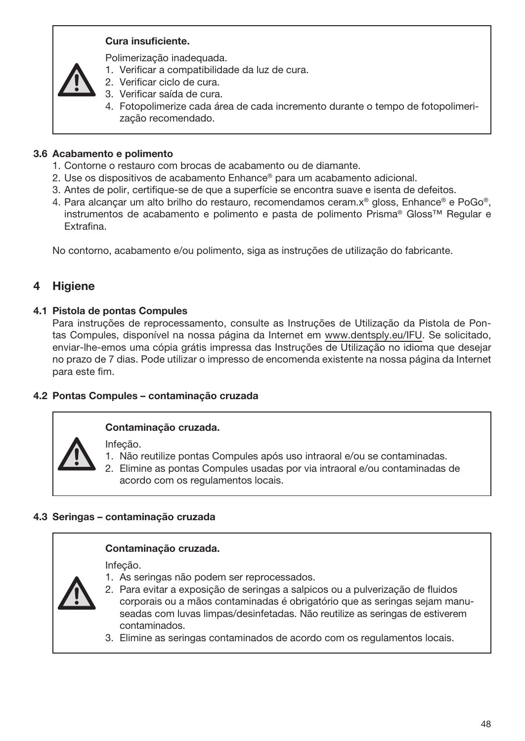## Cura insuficiente.

Polimerização inadequada.

- 1. Verificar a compatibilidade da luz de cura.
- 2. Verificar ciclo de cura.
- 3. Verificar saída de cura.
- 4. Fotopolimerize cada área de cada incremento durante o tempo de fotopolimerização recomendado.

## 3.6 Acabamento e polimento

- 1. Contorne o restauro com brocas de acabamento ou de diamante.
- 2. Use os dispositivos de acabamento Enhance® para um acabamento adicional.
- 3. Antes de polir, certifique-se de que a superfície se encontra suave e isenta de defeitos.
- 4. Para alcançar um alto brilho do restauro, recomendamos ceram.x® gloss, Enhance® e PoGo®, instrumentos de acabamento e polimento e pasta de polimento Prisma® Gloss™ Regular e Extrafina.

No contorno, acabamento e/ou polimento, siga as instruções de utilização do fabricante.

## 4 Higiene

#### 4.1 Pistola de pontas Compules

Para instruções de reprocessamento, consulte as Instruções de Utilização da Pistola de Pontas Compules, disponível na nossa página da Internet em www.dentsply.eu/IFU. Se solicitado, enviar-lhe-emos uma cópia grátis impressa das Instruções de Utilização no idioma que desejar no prazo de 7 dias. Pode utilizar o impresso de encomenda existente na nossa página da Internet para este fim.

#### 4.2 Pontas Compules – contaminação cruzada

#### Contaminação cruzada.

Infeção.

- 1. Não reutilize pontas Compules após uso intraoral e/ou se contaminadas.
- 2. Elimine as pontas Compules usadas por via intraoral e/ou contaminadas de acordo com os regulamentos locais.

#### 4.3 Seringas – contaminação cruzada

#### Contaminação cruzada.

Infeção.

- 1. As seringas não podem ser reprocessados.
- 2. Para evitar a exposição de seringas a salpicos ou a pulverização de fluidos corporais ou a mãos contaminadas é obrigatório que as seringas sejam manuseadas com luvas limpas/desinfetadas. Não reutilize as seringas de estiverem contaminados.
- 3. Elimine as seringas contaminados de acordo com os regulamentos locais.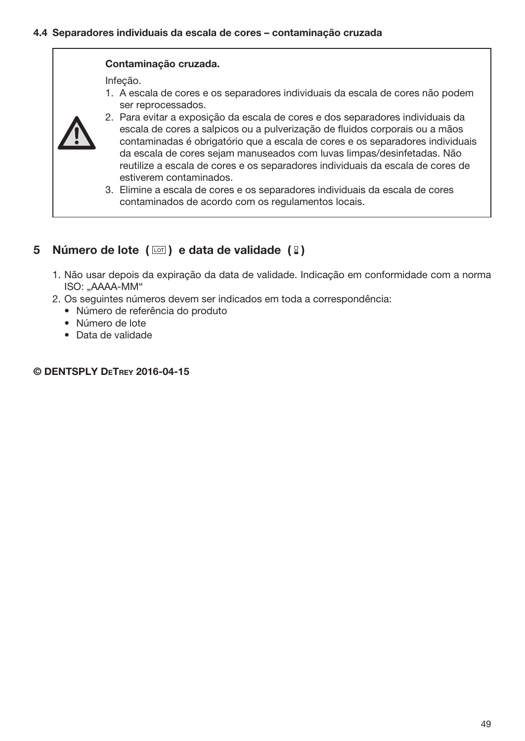#### Contaminação cruzada.

Infeção.

1. A escala de cores e os separadores individuais da escala de cores não podem ser reprocessados.



- 2. Para evitar a exposição da escala de cores e dos separadores individuais da escala de cores a salpicos ou a pulverização de fluidos corporais ou a mãos contaminadas é obrigatório que a escala de cores e os separadores individuais da escala de cores sejam manuseados com luvas limpas/desinfetadas. Não reutilize a escala de cores e os separadores individuais da escala de cores de estiverem contaminados.
- 3. Elimine a escala de cores e os separadores individuais da escala de cores contaminados de acordo com os regulamentos locais.

# 5 Número de lote  $(\Box)$  e data de validade  $(2)$

- 1. Não usar depois da expiração da data de validade. Indicação em conformidade com a norma ISO: "AAAA-MM"
- 2. Os seguintes números devem ser indicados em toda a correspondência:
	- Número de referência do produto
	- Número de lote
	- Data de validade

#### © DENTSPLY DeTrey 2016-04-15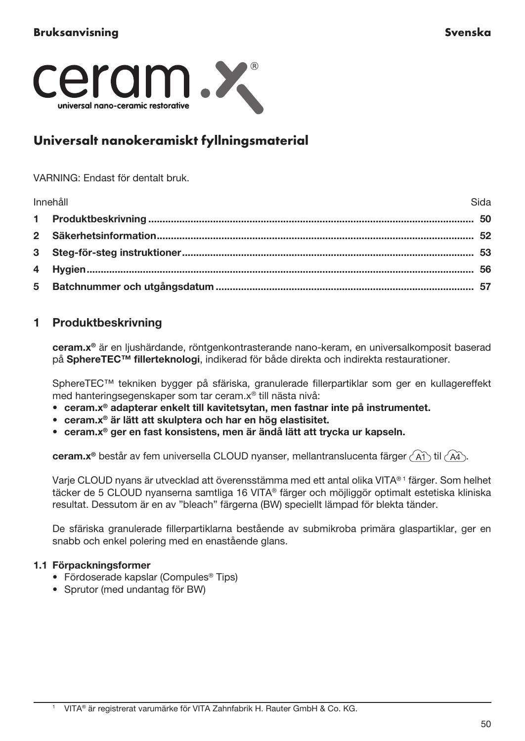

# Universalt nanokeramiskt fyllningsmaterial

#### VARNING: Endast för dentalt bruk.

| Innehåll | Sida |
|----------|------|
|          |      |
|          |      |
|          |      |
|          |      |
|          |      |

# 1 Produktbeskrivning

ceram.x® är en ljushärdande, röntgenkontrasterande nano-keram, en universalkomposit baserad på SphereTEC™ fillerteknologi, indikerad för både direkta och indirekta restaurationer.

SphereTEC™ tekniken bygger på sfäriska, granulerade fillerpartiklar som ger en kullagereffekt med hanteringsegenskaper som tar ceram.x® till nästa nivå:

- ceram.x® adapterar enkelt till kavitetsytan, men fastnar inte på instrumentet.
- ceram.x® är lätt att skulptera och har en hög elastisitet.
- ceram.x® ger en fast konsistens, men är ändå lätt att trycka ur kapseln.

ceram.x® består av fem universella CLOUD nyanser, mellantranslucenta färger (A1) til (A4).

Varje CLOUD nyans är utvecklad att överensstämma med ett antal olika VITA® 1 färger. Som helhet täcker de 5 CLOUD nyanserna samtliga 16 VITA® färger och möjliggör optimalt estetiska kliniska resultat. Dessutom är en av "bleach" färgerna (BW) speciellt lämpad för blekta tänder.

De sfäriska granulerade fillerpartiklarna bestående av submikroba primära glaspartiklar, ger en snabb och enkel polering med en enastående glans.

## 1.1 Förpackningsformer

- Fördoserade kapslar (Compules® Tips)
- Sprutor (med undantag för BW)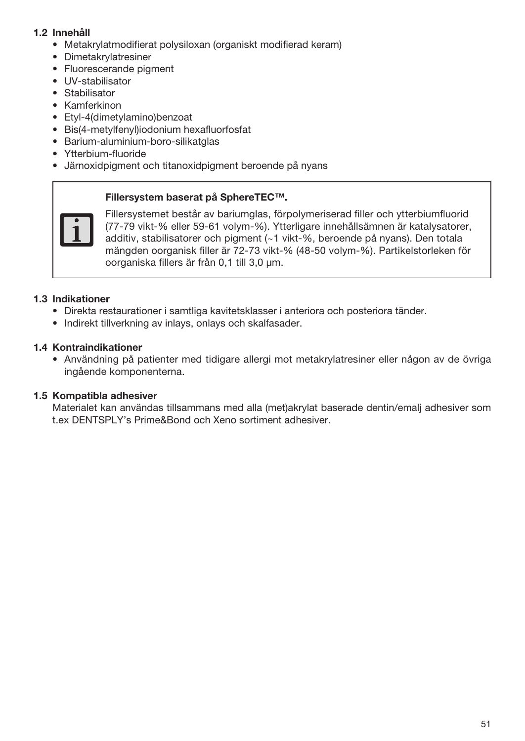## 1.2 Innehåll

- Metakrylatmodifierat polysiloxan (organiskt modifierad keram)
- Dimetakrylatresiner
- Fluorescerande pigment
- UV-stabilisator
- Stabilisator
- Kamferkinon
- Etyl-4(dimetylamino)benzoat
- Bis(4-metylfenyl)iodonium hexafluorfosfat
- Barium-aluminium-boro-silikatglas
- Ytterbium-fluoride
- Järnoxidpigment och titanoxidpigment beroende på nyans

#### Fillersystem baserat på SphereTEC™.



Fillersystemet består av bariumglas, förpolymeriserad filler och ytterbiumfluorid (77-79 vikt-% eller 59-61 volym-%). Ytterligare innehållsämnen är katalysatorer, additiv, stabilisatorer och pigment (~1 vikt-%, beroende på nyans). Den totala mängden oorganisk filler är 72-73 vikt-% (48-50 volym-%). Partikelstorleken för oorganiska fillers är från 0,1 till 3,0 μm.

#### 1.3 Indikationer

- Direkta restaurationer i samtliga kavitetsklasser i anteriora och posteriora tänder.
- Indirekt tillverkning av inlays, onlays och skalfasader.

## 1.4 Kontraindikationer

• Användning på patienter med tidigare allergi mot metakrylatresiner eller någon av de övriga ingående komponenterna.

## 1.5 Kompatibla adhesiver

Materialet kan användas tillsammans med alla (met)akrylat baserade dentin/emalj adhesiver som t.ex DENTSPLY's Prime&Bond och Xeno sortiment adhesiver.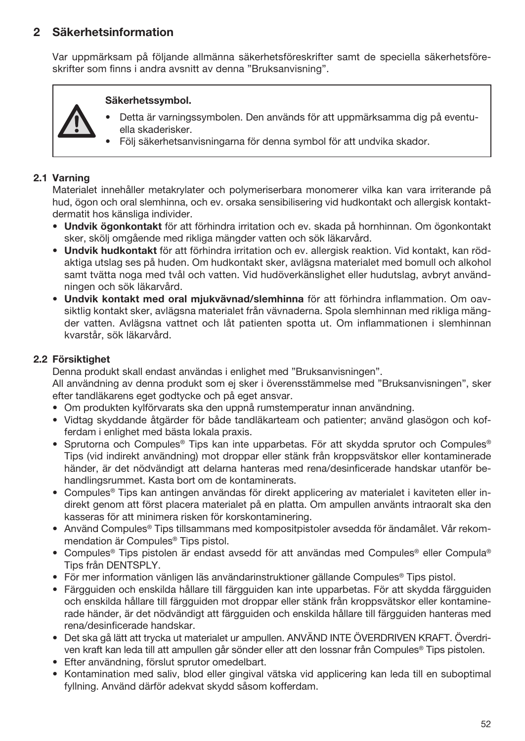# 2 Säkerhetsinformation

Var uppmärksam på följande allmänna säkerhetsföreskrifter samt de speciella säkerhetsföreskrifter som finns i andra avsnitt av denna "Bruksanvisning".

## Säkerhetssymbol.

- Detta är varningssymbolen. Den används för att uppmärksamma dig på eventuella skaderisker.
- Följ säkerhetsanvisningarna för denna symbol för att undvika skador.

## 2.1 Varning

Materialet innehåller metakrylater och polymeriserbara monomerer vilka kan vara irriterande på hud, ögon och oral slemhinna, och ev. orsaka sensibilisering vid hudkontakt och allergisk kontaktdermatit hos känsliga individer.

- Undvik ögonkontakt för att förhindra irritation och ev. skada på hornhinnan. Om ögonkontakt sker, skölj omgående med rikliga mängder vatten och sök läkarvård.
- Undvik hudkontakt för att förhindra irritation och ev. allergisk reaktion. Vid kontakt, kan rödaktiga utslag ses på huden. Om hudkontakt sker, avlägsna materialet med bomull och alkohol samt tvätta noga med tvål och vatten. Vid hudöverkänslighet eller hudutslag, avbryt användningen och sök läkarvård.
- Undvik kontakt med oral mjukvävnad/slemhinna för att förhindra inflammation. Om oavsiktlig kontakt sker, avlägsna materialet från vävnaderna. Spola slemhinnan med rikliga mängder vatten. Avlägsna vattnet och låt patienten spotta ut. Om inflammationen i slemhinnan kvarstår, sök läkarvård.

#### 2.2 Försiktighet

Denna produkt skall endast användas i enlighet med "Bruksanvisningen".

All användning av denna produkt som ej sker i överensstämmelse med "Bruksanvisningen", sker efter tandläkarens eget godtycke och på eget ansvar.

- Om produkten kylförvarats ska den uppnå rumstemperatur innan användning.
- Vidtag skyddande åtgärder för både tandläkarteam och patienter; använd glasögon och kofferdam i enlighet med bästa lokala praxis.
- Sprutorna och Compules® Tips kan inte upparbetas. För att skydda sprutor och Compules® Tips (vid indirekt användning) mot droppar eller stänk från kroppsvätskor eller kontaminerade händer, är det nödvändigt att delarna hanteras med rena/desinficerade handskar utanför behandlingsrummet. Kasta bort om de kontaminerats.
- Compules® Tips kan antingen användas för direkt applicering av materialet i kaviteten eller indirekt genom att först placera materialet på en platta. Om ampullen använts intraoralt ska den kasseras för att minimera risken för korskontaminering.
- Använd Compules® Tips tillsammans med kompositpistoler avsedda för ändamålet. Vår rekommendation är Compules® Tips pistol.
- Compules® Tips pistolen är endast avsedd för att användas med Compules® eller Compula® Tips från DENTSPLY.
- För mer information vänligen läs användarinstruktioner gällande Compules® Tips pistol.
- Färgguiden och enskilda hållare till färgguiden kan inte upparbetas. För att skydda färgguiden och enskilda hållare till färgguiden mot droppar eller stänk från kroppsvätskor eller kontaminerade händer, är det nödvändigt att färgguiden och enskilda hållare till färgguiden hanteras med rena/desinficerade handskar.
- Det ska gå lätt att trycka ut materialet ur ampullen. ANVÄND INTE ÖVERDRIVEN KRAFT. Överdriven kraft kan leda till att ampullen går sönder eller att den lossnar från Compules® Tips pistolen.
- Efter användning, förslut sprutor omedelbart.
- Kontamination med saliv, blod eller gingival vätska vid applicering kan leda till en suboptimal fyllning. Använd därför adekvat skydd såsom kofferdam.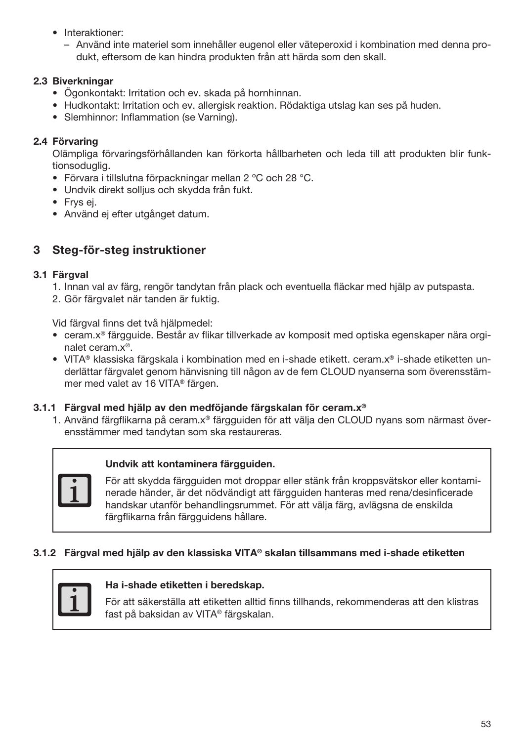- Interaktioner:
	- Använd inte materiel som innehåller eugenol eller väteperoxid i kombination med denna produkt, eftersom de kan hindra produkten från att härda som den skall.

## 2.3 Biverkningar

- Ögonkontakt: Irritation och ev. skada på hornhinnan.
- Hudkontakt: Irritation och ev. allergisk reaktion. Rödaktiga utslag kan ses på huden.
- Slemhinnor: Inflammation (se Varning).

## 2.4 Förvaring

Olämpliga förvaringsförhållanden kan förkorta hållbarheten och leda till att produkten blir funktionsoduglig.

- Förvara i tillslutna förpackningar mellan 2 ºC och 28 °C.
- Undvik direkt solljus och skydda från fukt.
- Frys ej.
- Använd ej efter utgånget datum.

# 3 Steg-för-steg instruktioner

## 3.1 Färgval

- 1. Innan val av färg, rengör tandytan från plack och eventuella fläckar med hjälp av putspasta.
- 2. Gör färgvalet när tanden är fuktig.

Vid färgval finns det två hjälpmedel:

- ceram.x® färgguide. Består av flikar tillverkade av komposit med optiska egenskaper nära orginalet ceram.x®.
- VITA® klassiska färgskala i kombination med en i-shade etikett. ceram.x® i-shade etiketten underlättar färgvalet genom hänvisning till någon av de fem CLOUD nyanserna som överensstämmer med valet av 16 VITA® färgen.

## 3.1.1 Färgval med hjälp av den medföjande färgskalan för ceram.x®

1. Använd färgflikarna på ceram.x® färgguiden för att välja den CLOUD nyans som närmast överensstämmer med tandytan som ska restaureras.



## Undvik att kontaminera färgguiden.

För att skydda färgguiden mot droppar eller stänk från kroppsvätskor eller kontaminerade händer, är det nödvändigt att färgguiden hanteras med rena/desinficerade handskar utanför behandlingsrummet. För att välja färg, avlägsna de enskilda färgflikarna från färgguidens hållare.

## 3.1.2 Färgval med hjälp av den klassiska VITA® skalan tillsammans med i-shade etiketten



### Ha i-shade etiketten i beredskap.

För att säkerställa att etiketten alltid finns tillhands, rekommenderas att den klistras fast på baksidan av VITA® färgskalan.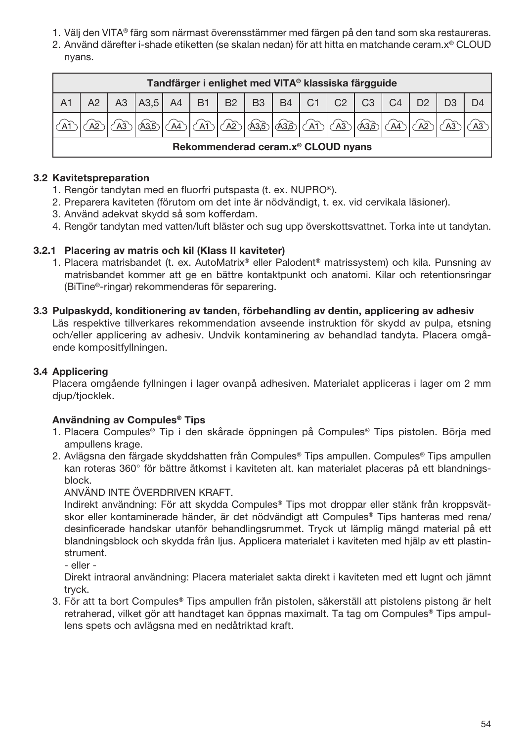- 1. Välj den VITA® färg som närmast överensstämmer med färgen på den tand som ska restaureras.
- 2. Använd därefter i-shade etiketten (se skalan nedan) för att hitta en matchande ceram.x® CLOUD nyans.

|                | Tandfärger i enlighet med VITA® klassiska färgguide |    |                           |  |    |                  |      |          |  |    |           |                |                |  |
|----------------|-----------------------------------------------------|----|---------------------------|--|----|------------------|------|----------|--|----|-----------|----------------|----------------|--|
| A <sub>1</sub> |                                                     | A3 | A3,5 A4 B1 B2 B3 B4 C1 C2 |  |    |                  |      |          |  |    | $C3$ $C4$ |                | D <sub>2</sub> |  |
|                |                                                     |    |                           |  | AT | $\bigtriangleup$ | ക്കാ | $\log 2$ |  | A3 | A3,5      | A <sub>4</sub> |                |  |
|                | Rekommenderad ceram.x <sup>®</sup> CLOUD nyans      |    |                           |  |    |                  |      |          |  |    |           |                |                |  |

## 3.2 Kavitetspreparation

- 1. Rengör tandytan med en fluorfri putspasta (t. ex. NUPRO®).
- 2. Preparera kaviteten (förutom om det inte är nödvändigt, t. ex. vid cervikala läsioner).
- 3. Använd adekvat skydd så som kofferdam.
- 4. Rengör tandytan med vatten/luft bläster och sug upp överskottsvattnet. Torka inte ut tandytan.

### 3.2.1 Placering av matris och kil (Klass II kaviteter)

- 1. Placera matrisbandet (t. ex. AutoMatrix® eller Palodent® matrissystem) och kila. Punsning av matrisbandet kommer att ge en bättre kontaktpunkt och anatomi. Kilar och retentionsringar (BiTine®-ringar) rekommenderas för separering.
- 3.3 Pulpaskydd, konditionering av tanden, förbehandling av dentin, applicering av adhesiv Läs respektive tillverkares rekommendation avseende instruktion för skydd av pulpa, etsning och/eller applicering av adhesiv. Undvik kontaminering av behandlad tandyta. Placera omgående kompositfyllningen.

## 3.4 Applicering

Placera omgående fyllningen i lager ovanpå adhesiven. Materialet appliceras i lager om 2 mm djup/tjocklek.

## Användning av Compules® Tips

- 1. Placera Compules® Tip i den skårade öppningen på Compules® Tips pistolen. Börja med ampullens krage.
- 2. Avlägsna den färgade skyddshatten från Compules® Tips ampullen. Compules® Tips ampullen kan roteras 360° för bättre åtkomst i kaviteten alt. kan materialet placeras på ett blandningsblock.

#### ANVÄND INTE ÖVERDRIVEN KRAFT.

Indirekt användning: För att skydda Compules® Tips mot droppar eller stänk från kroppsvätskor eller kontaminerade händer, är det nödvändigt att Compules® Tips hanteras med rena/ desinficerade handskar utanför behandlingsrummet. Tryck ut lämplig mängd material på ett blandningsblock och skydda från ljus. Applicera materialet i kaviteten med hjälp av ett plastinstrument.

- eller -

Direkt intraoral användning: Placera materialet sakta direkt i kaviteten med ett lugnt och jämnt tryck.

3. För att ta bort Compules® Tips ampullen från pistolen, säkerställ att pistolens pistong är helt retraherad, vilket gör att handtaget kan öppnas maximalt. Ta tag om Compules® Tips ampullens spets och avlägsna med en nedåtriktad kraft.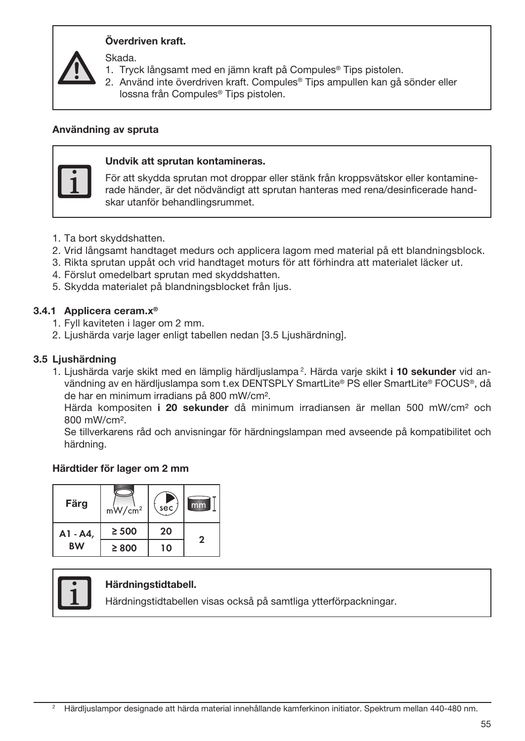## Överdriven kraft.

Skada.

- 1. Tryck långsamt med en jämn kraft på Compules® Tips pistolen.
- 2. Använd inte överdriven kraft. Compules® Tips ampullen kan gå sönder eller lossna från Compules® Tips pistolen.

#### Användning av spruta



#### Undvik att sprutan kontamineras.

För att skydda sprutan mot droppar eller stänk från kroppsvätskor eller kontaminerade händer, är det nödvändigt att sprutan hanteras med rena/desinficerade handskar utanför behandlingsrummet.

- 1. Ta bort skyddshatten.
- 2. Vrid långsamt handtaget medurs och applicera lagom med material på ett blandningsblock.
- 3. Rikta sprutan uppåt och vrid handtaget moturs för att förhindra att materialet läcker ut.
- 4. Förslut omedelbart sprutan med skyddshatten.
- 5. Skydda materialet på blandningsblocket från ljus.

#### 3.4.1 Applicera ceram.x®

- 1. Fyll kaviteten i lager om 2 mm.
- 2. Ljushärda varie lager enligt tabellen nedan [3.5 Ljushärdning].

#### 3.5 Ljushärdning

1. Ljushärda varje skikt med en lämplig härdljuslampa<sup>2</sup>. Härda varje skikt **i 10 sekunder** vid användning av en härdljuslampa som t.ex DENTSPLY SmartLite® PS eller SmartLite® FOCUS®, då de har en minimum irradians på 800 mW/cm².

Härda kompositen **i 20 sekunder** då minimum irradiansen är mellan 500 mW/cm<sup>2</sup> och 800 mW/cm².

Se tillverkarens råd och anvisningar för härdningslampan med avseende på kompatibilitet och härdning.

#### Härdtider för lager om 2 mm

| Färg      | $mW/cm^2$  | sec | mm |
|-----------|------------|-----|----|
| A1 - A4,  | $\geq 500$ | 20  | 2  |
| <b>BW</b> | $\geq 800$ | 10  |    |



#### Härdningstidtabell.

Härdningstidtabellen visas också på samtliga ytterförpackningar.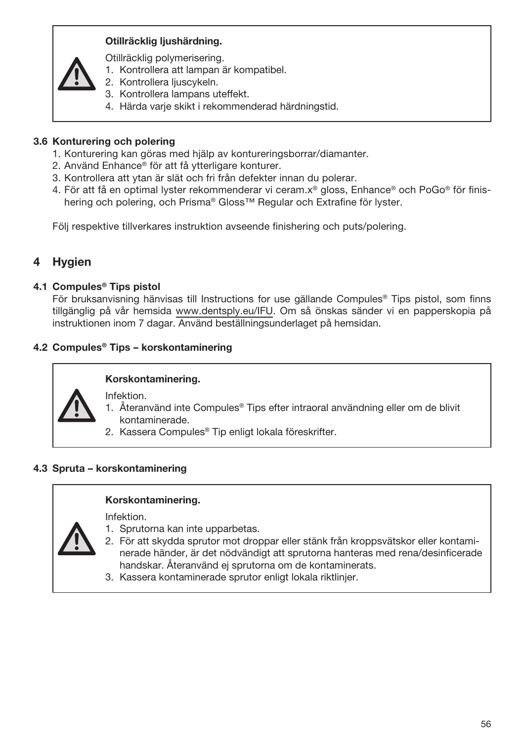## Otillräcklig ljushärdning.

Otillräcklig polymerisering.

- 1. Kontrollera att lampan är kompatibel.
- 2. Kontrollera ljuscykeln.
- 3. Kontrollera lampans uteffekt.
- 4. Härda varje skikt i rekommenderad härdningstid.

## 3.6 Konturering och polering

- 1. Konturering kan göras med hjälp av kontureringsborrar/diamanter.
- 2. Använd Enhance® för att få ytterligare konturer.
- 3. Kontrollera att ytan är slät och fri från defekter innan du polerar.
- 4. För att få en optimal lyster rekommenderar vi ceram.x® gloss, Enhance® och PoGo® för finishering och polering, och Prisma® Gloss™ Regular och Extrafine för lyster.

Följ respektive tillverkares instruktion avseende finishering och puts/polering.

# **Hygien**

#### 4.1 Compules® Tips pistol

För bruksanvisning hänvisas till Instructions for use gällande Compules® Tips pistol, som finns tillgänglig på vår hemsida www.dentsply.eu/IFU. Om så önskas sänder vi en papperskopia på instruktionen inom 7 dagar. Använd beställningsunderlaget på hemsidan.

## 4.2 Compules® Tips – korskontaminering

## Korskontaminering.

Infektion.

- 1. Återanvänd inte Compules® Tips efter intraoral användning eller om de blivit kontaminerade.
- 2. Kassera Compules® Tip enligt lokala föreskrifter.

## 4.3 Spruta – korskontaminering

Infektion.



#### Korskontaminering.

- 1. Sprutorna kan inte upparbetas. 2. För att skydda sprutor mot droppar eller stänk från kroppsvätskor eller kontaminerade händer, är det nödvändigt att sprutorna hanteras med rena/desinficerade handskar. Återanvänd ej sprutorna om de kontaminerats.
- 3. Kassera kontaminerade sprutor enligt lokala riktlinjer.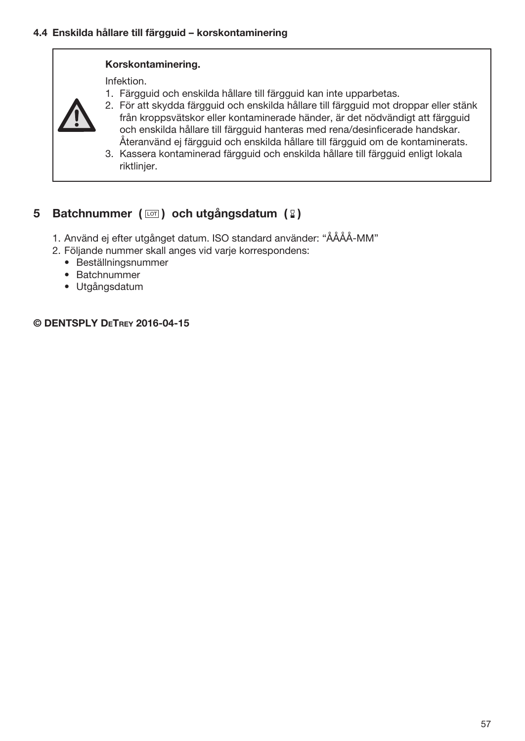#### Korskontaminering.

Infektion. 1. Färgguid och enskilda hållare till färgguid kan inte upparbetas.



- 2. För att skydda färgguid och enskilda hållare till färgguid mot droppar eller stänk från kroppsvätskor eller kontaminerade händer, är det nödvändigt att färgguid och enskilda hållare till färgguid hanteras med rena/desinficerade handskar. Återanvänd ej färgguid och enskilda hållare till färgguid om de kontaminerats.
- 3. Kassera kontaminerad färgguid och enskilda hållare till färgguid enligt lokala riktlinjer.

# 5 Batchnummer ( $\boxed{\circ}$ ) och utgångsdatum ( $\boxed{2}$ )

- 1. Använd ej efter utgånget datum. ISO standard använder: "ÅÅÅÅ-MM"
- 2. Följande nummer skall anges vid varje korrespondens:
	- Beställningsnummer
	- Batchnummer
	- Utgångsdatum

### © DENTSPLY DeTrey 2016-04-15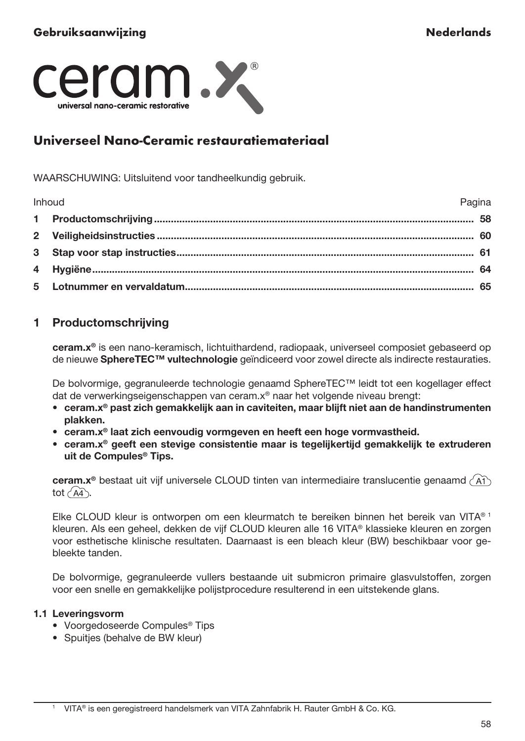

# Universeel Nano-Ceramic restauratiemateriaal

WAARSCHUWING: Uitsluitend voor tandheelkundig gebruik.

| Inhoud<br>Pagina |  |
|------------------|--|
|                  |  |
|                  |  |
|                  |  |
|                  |  |
|                  |  |

# 1 Productomschrijving

ceram.x® is een nano-keramisch, lichtuithardend, radiopaak, universeel composiet gebaseerd op de nieuwe SphereTEC™ vultechnologie geïndiceerd voor zowel directe als indirecte restauraties.

De bolvormige, gegranuleerde technologie genaamd SphereTEC™ leidt tot een kogellager effect dat de verwerkingseigenschappen van ceram.x® naar het volgende niveau brengt:

- ceram.x® past zich gemakkelijk aan in caviteiten, maar blijft niet aan de handinstrumenten plakken.
- ceram.x® laat zich eenvoudig vormgeven en heeft een hoge vormvastheid.
- ceram.x® geeft een stevige consistentie maar is tegelijkertijd gemakkelijk te extruderen uit de Compules® Tips.

ceram.x® bestaat uit vijf universele CLOUD tinten van intermediaire translucentie genaamd (A1) tot  $\widehat{AA}$ .

Elke CLOUD kleur is ontworpen om een kleurmatch te bereiken binnen het bereik van VITA® 1 kleuren. Als een geheel, dekken de vijf CLOUD kleuren alle 16 VITA® klassieke kleuren en zorgen voor esthetische klinische resultaten. Daarnaast is een bleach kleur (BW) beschikbaar voor gebleekte tanden.

De bolvormige, gegranuleerde vullers bestaande uit submicron primaire glasvulstoffen, zorgen voor een snelle en gemakkelijke polijstprocedure resulterend in een uitstekende glans.

#### 1.1 Leveringsvorm

- Voorgedoseerde Compules® Tips
- Spuitjes (behalve de BW kleur)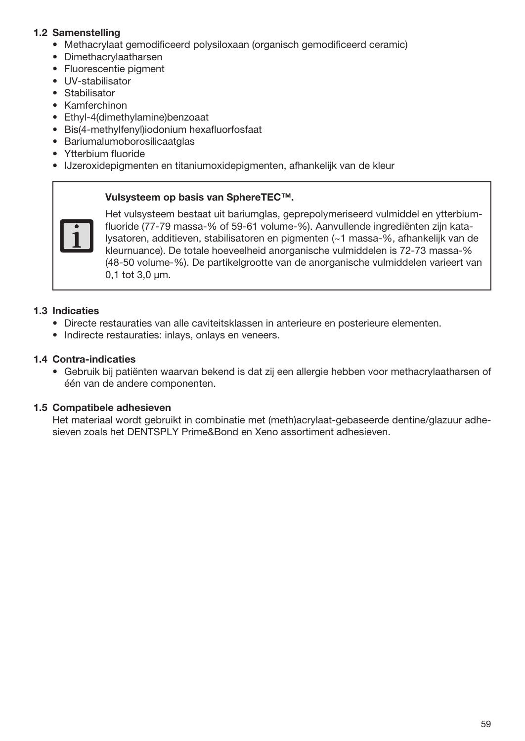## 1.2 Samenstelling

- Methacrylaat gemodificeerd polysiloxaan (organisch gemodificeerd ceramic)
- Dimethacrylaatharsen
- Fluorescentie pigment
- UV-stabilisator
- Stabilisator
- Kamferchinon
- Ethyl-4(dimethylamine)benzoaat
- Bis(4-methylfenyl)iodonium hexafluorfosfaat
- Bariumalumoborosilicaatglas
- Ytterbium fluoride
- IJzeroxidepigmenten en titaniumoxidepigmenten, afhankelijk van de kleur

#### Vulsysteem op basis van SphereTEC™.



Het vulsysteem bestaat uit bariumglas, geprepolymeriseerd vulmiddel en ytterbiumfluoride (77-79 massa-% of 59-61 volume-%). Aanvullende ingrediënten zijn katalysatoren, additieven, stabilisatoren en pigmenten (~1 massa-%, afhankelijk van de kleurnuance). De totale hoeveelheid anorganische vulmiddelen is 72-73 massa-% (48-50 volume-%). De partikelgrootte van de anorganische vulmiddelen varieert van 0,1 tot 3,0 μm.

## 1.3 Indicaties

- Directe restauraties van alle caviteitsklassen in anterieure en posterieure elementen.
- Indirecte restauraties: inlays, onlays en veneers.

## 1.4 Contra-indicaties

• Gebruik bij patiënten waarvan bekend is dat zij een allergie hebben voor methacrylaatharsen of één van de andere componenten.

## 1.5 Compatibele adhesieven

Het materiaal wordt gebruikt in combinatie met (meth)acrylaat-gebaseerde dentine/glazuur adhesieven zoals het DENTSPLY Prime&Bond en Xeno assortiment adhesieven.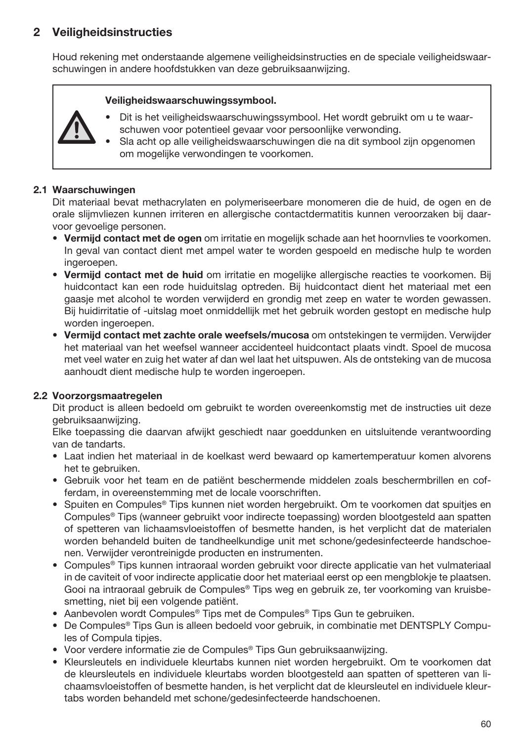# 2 Veiligheidsinstructies

Houd rekening met onderstaande algemene veiligheidsinstructies en de speciale veiligheidswaarschuwingen in andere hoofdstukken van deze gebruiksaanwijzing.

#### Veiligheidswaarschuwingssymbool.



- Dit is het veiligheidswaarschuwingssymbool. Het wordt gebruikt om u te waarschuwen voor potentieel gevaar voor persoonlijke verwonding.
- Sla acht op alle veiligheidswaarschuwingen die na dit symbool zijn opgenomen om mogelijke verwondingen te voorkomen.

## 2.1 Waarschuwingen

Dit materiaal bevat methacrylaten en polymeriseerbare monomeren die de huid, de ogen en de orale slijmvliezen kunnen irriteren en allergische contactdermatitis kunnen veroorzaken bij daarvoor gevoelige personen.

- Vermijd contact met de ogen om irritatie en mogelijk schade aan het hoornvlies te voorkomen. In geval van contact dient met ampel water te worden gespoeld en medische hulp te worden ingeroepen.
- Vermijd contact met de huid om irritatie en mogelijke allergische reacties te voorkomen. Bij huidcontact kan een rode huiduitslag optreden. Bij huidcontact dient het materiaal met een gaasje met alcohol te worden verwijderd en grondig met zeep en water te worden gewassen. Bij huidirritatie of -uitslag moet onmiddellijk met het gebruik worden gestopt en medische hulp worden ingeroepen.
- Vermijd contact met zachte orale weefsels/mucosa om ontstekingen te vermijden. Verwijder het materiaal van het weefsel wanneer accidenteel huidcontact plaats vindt. Spoel de mucosa met veel water en zuig het water af dan wel laat het uitspuwen. Als de ontsteking van de mucosa aanhoudt dient medische hulp te worden ingeroepen.

## 2.2 Voorzorgsmaatregelen

Dit product is alleen bedoeld om gebruikt te worden overeenkomstig met de instructies uit deze gebruiksaanwijzing.

Elke toepassing die daarvan afwijkt geschiedt naar goeddunken en uitsluitende verantwoording van de tandarts.

- Laat indien het materiaal in de koelkast werd bewaard op kamertemperatuur komen alvorens het te gebruiken.
- Gebruik voor het team en de patiënt beschermende middelen zoals beschermbrillen en cofferdam, in overeenstemming met de locale voorschriften.
- Spuiten en Compules® Tips kunnen niet worden hergebruikt. Om te voorkomen dat spuitjes en Compules® Tips (wanneer gebruikt voor indirecte toepassing) worden blootgesteld aan spatten of spetteren van lichaamsvloeistoffen of besmette handen, is het verplicht dat de materialen worden behandeld buiten de tandheelkundige unit met schone/gedesinfecteerde handschoenen. Verwijder verontreinigde producten en instrumenten.
- Compules® Tips kunnen intraoraal worden gebruikt voor directe applicatie van het vulmateriaal in de caviteit of voor indirecte applicatie door het materiaal eerst op een mengblokje te plaatsen. Gooi na intraoraal gebruik de Compules® Tips weg en gebruik ze, ter voorkoming van kruisbesmetting, niet bij een volgende patiënt.
- Aanbevolen wordt Compules® Tips met de Compules® Tips Gun te gebruiken.
- De Compules® Tips Gun is alleen bedoeld voor gebruik, in combinatie met DENTSPLY Compules of Compula tipjes.
- Voor verdere informatie zie de Compules® Tips Gun gebruiksaanwijzing.
- Kleursleutels en individuele kleurtabs kunnen niet worden hergebruikt. Om te voorkomen dat de kleursleutels en individuele kleurtabs worden blootgesteld aan spatten of spetteren van lichaamsvloeistoffen of besmette handen, is het verplicht dat de kleursleutel en individuele kleurtabs worden behandeld met schone/gedesinfecteerde handschoenen.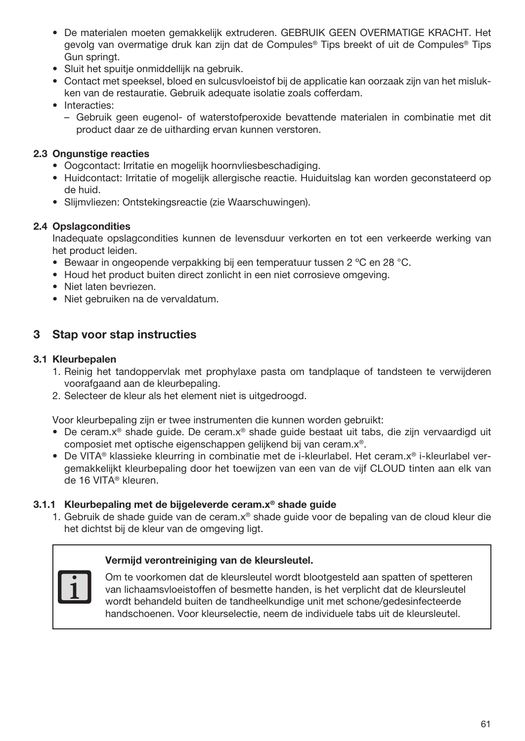- De materialen moeten gemakkelijk extruderen. GEBRUIK GEEN OVERMATIGE KRACHT. Het gevolg van overmatige druk kan zijn dat de Compules® Tips breekt of uit de Compules® Tips Gun springt.
- Sluit het spuitje onmiddellijk na gebruik.
- Contact met speeksel, bloed en sulcusvloeistof bij de applicatie kan oorzaak zijn van het mislukken van de restauratie. Gebruik adequate isolatie zoals cofferdam.
- Interacties:
	- Gebruik geen eugenol- of waterstofperoxide bevattende materialen in combinatie met dit product daar ze de uitharding ervan kunnen verstoren.

## 2.3 Ongunstige reacties

- Oogcontact: Irritatie en mogelijk hoornvliesbeschadiging.
- Huidcontact: Irritatie of mogelijk allergische reactie. Huiduitslag kan worden geconstateerd op de huid.
- Slijmvliezen: Ontstekingsreactie (zie Waarschuwingen).

## 2.4 Opslagcondities

Inadequate opslagcondities kunnen de levensduur verkorten en tot een verkeerde werking van het product leiden.

- Bewaar in ongeopende verpakking bij een temperatuur tussen 2 ºC en 28 °C.
- Houd het product buiten direct zonlicht in een niet corrosieve omgeving.
- Niet laten bevriezen.
- Niet gebruiken na de vervaldatum.

## 3 Stap voor stap instructies

## 3.1 Kleurbepalen

- 1. Reinig het tandoppervlak met prophylaxe pasta om tandplaque of tandsteen te verwijderen voorafgaand aan de kleurbepaling.
- 2. Selecteer de kleur als het element niet is uitgedroogd.

Voor kleurbepaling zijn er twee instrumenten die kunnen worden gebruikt:

- De ceram.x® shade guide. De ceram.x® shade guide bestaat uit tabs, die zijn vervaardigd uit composiet met optische eigenschappen gelijkend bij van ceram.x®.
- De VITA® klassieke kleurring in combinatie met de i-kleurlabel. Het ceram.x® i-kleurlabel vergemakkelijkt kleurbepaling door het toewijzen van een van de vijf CLOUD tinten aan elk van de 16 VITA® kleuren.

### 3.1.1 Kleurbepaling met de bijgeleverde ceram.x® shade guide

1. Gebruik de shade guide van de ceram.x® shade guide voor de bepaling van de cloud kleur die het dichtst bij de kleur van de omgeving ligt.

#### Vermijd verontreiniging van de kleursleutel.



Om te voorkomen dat de kleursleutel wordt blootgesteld aan spatten of spetteren van lichaamsvloeistoffen of besmette handen, is het verplicht dat de kleursleutel wordt behandeld buiten de tandheelkundige unit met schone/gedesinfecteerde handschoenen. Voor kleurselectie, neem de individuele tabs uit de kleursleutel.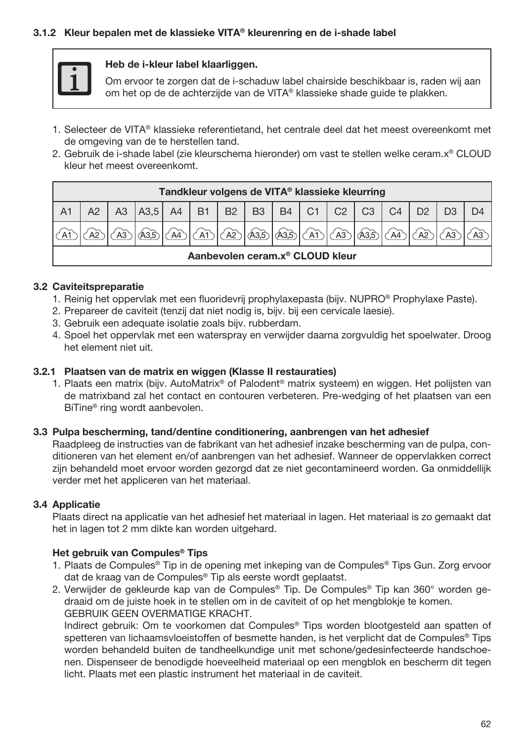#### 3.1.2 Kleur bepalen met de klassieke VITA® kleurenring en de i-shade label



#### Heb de i-kleur label klaarliggen.

Om ervoor te zorgen dat de i-schaduw label chairside beschikbaar is, raden wij aan om het op de de achterzijde van de VITA® klassieke shade guide te plakken.

- 1. Selecteer de VITA® klassieke referentietand, het centrale deel dat het meest overeenkomt met de omgeving van de te herstellen tand.
- 2. Gebruik de i-shade label (zie kleurschema hieronder) om vast te stellen welke ceram.x® CLOUD kleur het meest overeenkomt.

| Tandkleur volgens de VITA <sup>®</sup> klassieke kleurring |  |                  |  |  |  |  |                 |            |             |                |                |  |  |
|------------------------------------------------------------|--|------------------|--|--|--|--|-----------------|------------|-------------|----------------|----------------|--|--|
|                                                            |  | A3,5 A4 B1 B2 B3 |  |  |  |  |                 | $B4$ C1 C2 |             | C <sub>3</sub> | C <sub>4</sub> |  |  |
|                                                            |  |                  |  |  |  |  | 'കിക്കിക്കിക്കി |            | $\sqrt{A3}$ | <b>A3.5</b>    | $\sqrt{A4}$    |  |  |
| Aanbevolen ceram.x® CLOUD kleur                            |  |                  |  |  |  |  |                 |            |             |                |                |  |  |

#### 3.2 Caviteitspreparatie

- 1. Reinig het oppervlak met een fluoridevrij prophylaxepasta (bijv. NUPRO® Prophylaxe Paste).
- 2. Prepareer de caviteit (tenzij dat niet nodig is, bijv. bij een cervicale laesie).
- 3. Gebruik een adequate isolatie zoals bijv. rubberdam.
- 4. Spoel het oppervlak met een waterspray en verwijder daarna zorgvuldig het spoelwater. Droog het element niet uit.

#### 3.2.1 Plaatsen van de matrix en wiggen (Klasse II restauraties)

1. Plaats een matrix (bijv. AutoMatrix® of Palodent® matrix systeem) en wiggen. Het polijsten van de matrixband zal het contact en contouren verbeteren. Pre-wedging of het plaatsen van een BiTine® ring wordt aanbevolen.

#### 3.3 Pulpa bescherming, tand/dentine conditionering, aanbrengen van het adhesief

Raadpleeg de instructies van de fabrikant van het adhesief inzake bescherming van de pulpa, conditioneren van het element en/of aanbrengen van het adhesief. Wanneer de oppervlakken correct zijn behandeld moet ervoor worden gezorgd dat ze niet gecontamineerd worden. Ga onmiddellijk verder met het appliceren van het materiaal.

## 3.4 Applicatie

Plaats direct na applicatie van het adhesief het materiaal in lagen. Het materiaal is zo gemaakt dat het in lagen tot 2 mm dikte kan worden uitgehard.

#### Het gebruik van Compules® Tips

- 1. Plaats de Compules® Tip in de opening met inkeping van de Compules® Tips Gun. Zorg ervoor dat de kraag van de Compules® Tip als eerste wordt geplaatst.
- 2. Verwijder de gekleurde kap van de Compules® Tip. De Compules® Tip kan 360° worden gedraaid om de juiste hoek in te stellen om in de caviteit of op het mengblokje te komen. GEBRUIK GEEN OVERMATIGE KRACHT.

Indirect gebruik: Om te voorkomen dat Compules® Tips worden blootgesteld aan spatten of spetteren van lichaamsvloeistoffen of besmette handen, is het verplicht dat de Compules® Tips worden behandeld buiten de tandheelkundige unit met schone/gedesinfecteerde handschoenen. Dispenseer de benodigde hoeveelheid materiaal op een mengblok en bescherm dit tegen licht. Plaats met een plastic instrument het materiaal in de caviteit.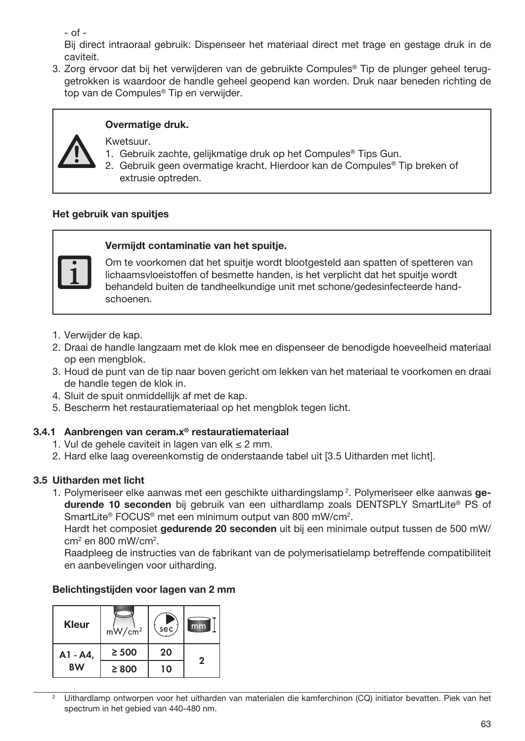- of -

Bij direct intraoraal gebruik: Dispenseer het materiaal direct met trage en gestage druk in de caviteit.

3. Zorg ervoor dat bij het verwijderen van de gebruikte Compules® Tip de plunger geheel teruggetrokken is waardoor de handle geheel geopend kan worden. Druk naar beneden richting de top van de Compules® Tip en verwijder.



## Overmatige druk.

Kwetsuur.

- 1. Gebruik zachte, gelijkmatige druk op het Compules® Tips Gun.
- 2. Gebruik geen overmatige kracht. Hierdoor kan de Compules® Tip breken of extrusie optreden.

## Het gebruik van spuitjes



## Vermijdt contaminatie van het spuitje.

Om te voorkomen dat het spuitje wordt blootgesteld aan spatten of spetteren van lichaamsvloeistoffen of besmette handen, is het verplicht dat het spuitje wordt behandeld buiten de tandheelkundige unit met schone/gedesinfecteerde handschoenen.

- 1. Verwijder de kap.
- 2. Draai de handle langzaam met de klok mee en dispenseer de benodigde hoeveelheid materiaal op een mengblok.
- 3. Houd de punt van de tip naar boven gericht om lekken van het materiaal te voorkomen en draai de handle tegen de klok in.
- 4. Sluit de spuit onmiddellijk af met de kap.
- 5. Bescherm het restauratiemateriaal op het mengblok tegen licht.

## 3.4.1 Aanbrengen van ceram.x® restauratiemateriaal

- 1. Vul de gehele caviteit in lagen van elk  $\leq 2$  mm.
- 2. Hard elke laag overeenkomstig de onderstaande tabel uit [3.5 Uitharden met licht].

# 3.5 Uitharden met licht

1. Polymeriseer elke aanwas met een geschikte uithardingslamp<sup>2</sup>. Polymeriseer elke aanwas gedurende 10 seconden bij gebruik van een uithardlamp zoals DENTSPLY SmartLite® PS of SmartLite® FOCUS® met een minimum output van 800 mW/cm2 .

Hardt het composiet gedurende 20 seconden uit bij een minimale output tussen de 500 mW/ cm2 en 800 mW/cm2 .

Raadpleeg de instructies van de fabrikant van de polymerisatielamp betreffende compatibiliteit en aanbevelingen voor uitharding.

## Belichtingstijden voor lagen van 2 mm

| Kleur     | $mW/cm^2$  | sec, | mm           |
|-----------|------------|------|--------------|
| A1 - A4,  | $\geq 500$ | 20   | $\mathbf{2}$ |
| <b>BW</b> | $\geq 800$ | າດ   |              |

<sup>2</sup> Uithardlamp ontworpen voor het uitharden van materialen die kamferchinon (CQ) initiator bevatten. Piek van het spectrum in het gebied van 440-480 nm.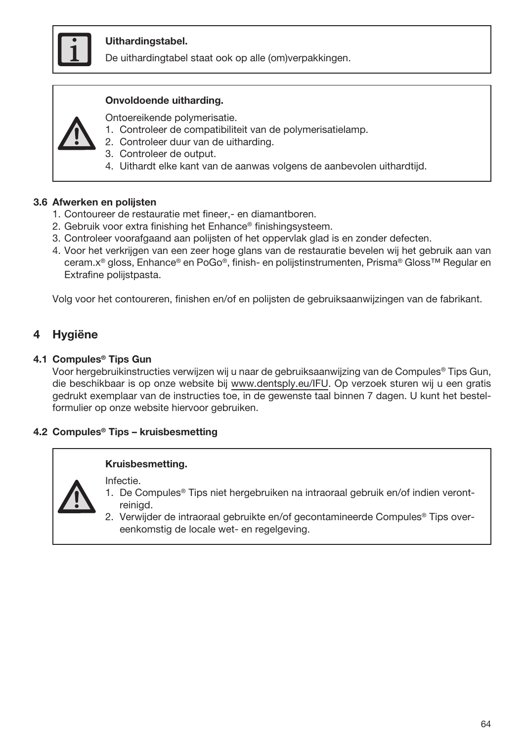

## Uithardingstabel.

De uithardingtabel staat ook op alle (om)verpakkingen.

#### Onvoldoende uitharding.



Ontoereikende polymerisatie.

- 1. Controleer de compatibiliteit van de polymerisatielamp.
- 2. Controleer duur van de uitharding.
- 3. Controleer de output.
- 4. Uithardt elke kant van de aanwas volgens de aanbevolen uithardtijd.

#### 3.6 Afwerken en polijsten

- 1. Contoureer de restauratie met fineer,- en diamantboren.
- 2. Gebruik voor extra finishing het Enhance® finishingsysteem.
- 3. Controleer voorafgaand aan polijsten of het oppervlak glad is en zonder defecten.
- 4. Voor het verkrijgen van een zeer hoge glans van de restauratie bevelen wij het gebruik aan van ceram.x® gloss, Enhance® en PoGo®, finish- en polijstinstrumenten, Prisma® Gloss™ Regular en Extrafine polijstpasta.

Volg voor het contoureren, finishen en/of en polijsten de gebruiksaanwijzingen van de fabrikant.

## **Hygiëne**

#### 4.1 Compules® Tips Gun

Voor hergebruikinstructies verwijzen wij u naar de gebruiksaanwijzing van de Compules® Tips Gun, die beschikbaar is op onze website bij www.dentsply.eu/IFU. Op verzoek sturen wij u een gratis gedrukt exemplaar van de instructies toe, in de gewenste taal binnen 7 dagen. U kunt het bestelformulier op onze website hiervoor gebruiken.

#### 4.2 Compules® Tips – kruisbesmetting

#### Kruisbesmetting.

Infectie.



- 1. De Compules® Tips niet hergebruiken na intraoraal gebruik en/of indien verontreinigd.
- 2. Verwijder de intraoraal gebruikte en/of gecontamineerde Compules® Tips overeenkomstig de locale wet- en regelgeving.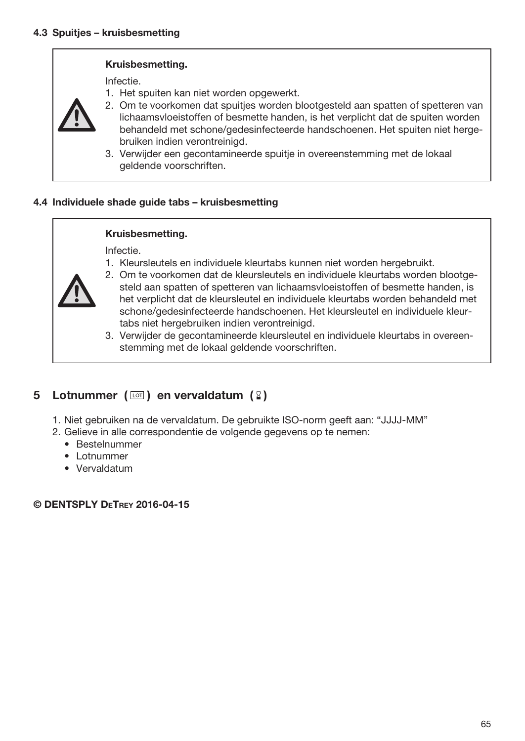#### Kruisbesmetting.

Infectie.

- 1. Het spuiten kan niet worden opgewerkt.
- 2. Om te voorkomen dat spuitjes worden blootgesteld aan spatten of spetteren van lichaamsvloeistoffen of besmette handen, is het verplicht dat de spuiten worden behandeld met schone/gedesinfecteerde handschoenen. Het spuiten niet hergebruiken indien verontreinigd.
- 3. Verwijder een gecontamineerde spuitje in overeenstemming met de lokaal geldende voorschriften.

#### 4.4 Individuele shade guide tabs – kruisbesmetting

#### Kruisbesmetting.

Infectie.

1. Kleursleutels en individuele kleurtabs kunnen niet worden hergebruikt.



- 2. Om te voorkomen dat de kleursleutels en individuele kleurtabs worden blootgesteld aan spatten of spetteren van lichaamsvloeistoffen of besmette handen, is het verplicht dat de kleursleutel en individuele kleurtabs worden behandeld met schone/gedesinfecteerde handschoenen. Het kleursleutel en individuele kleurtabs niet hergebruiken indien verontreinigd.
- 3. Verwijder de gecontamineerde kleursleutel en individuele kleurtabs in overeenstemming met de lokaal geldende voorschriften.

## 5 Lotnummer ( $\text{I}$ ) en vervaldatum ( $\text{I}$ )

- 1. Niet gebruiken na de vervaldatum. De gebruikte ISO-norm geeft aan: "JJJJ-MM"
- 2. Gelieve in alle correspondentie de volgende gegevens op te nemen:
	- Bestelnummer
	- Lotnummer
	- Vervaldatum

© DENTSPLY DeTrey 2016-04-15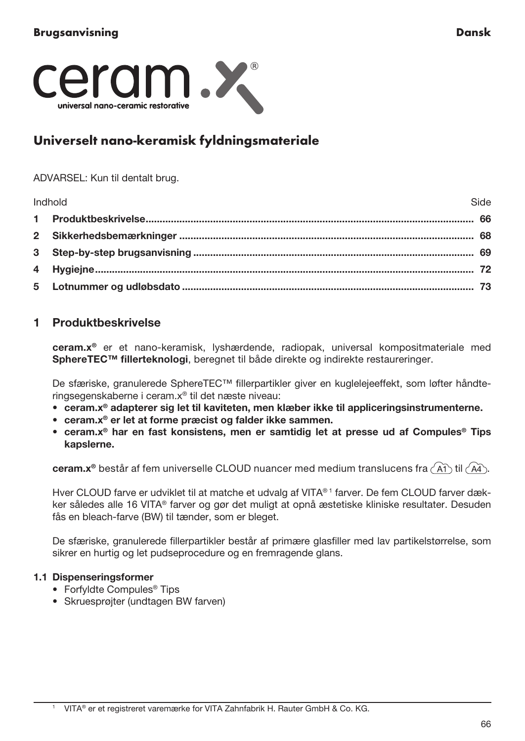

# Universelt nano-keramisk fyldningsmateriale

#### ADVARSEL: Kun til dentalt brug.

| Indhold | <b>Ani</b> |
|---------|------------|
|         |            |
|         |            |
|         |            |
|         |            |
|         |            |

# 1 Produktbeskrivelse

ceram.x® er et nano-keramisk, lyshærdende, radiopak, universal kompositmateriale med SphereTEC™ fillerteknologi, beregnet til både direkte og indirekte restaureringer.

De sfæriske, granulerede SphereTEC™ fillerpartikler giver en kuglelejeeffekt, som løfter håndteringsegenskaberne i ceram.x® til det næste niveau:

- ceram.x® adapterer sig let til kaviteten, men klæber ikke til appliceringsinstrumenterne.
- ceram.x® er let at forme præcist og falder ikke sammen.
- ceram.x® har en fast konsistens, men er samtidig let at presse ud af Compules® Tips kapslerne.

ceram.x<sup>®</sup> består af fem universelle CLOUD nuancer med medium translucens fra  $\langle \widehat{A} \widehat{A} \rangle$ til  $\langle \widehat{A} \widehat{A} \rangle$ .

Hver CLOUD farve er udviklet til at matche et udvalg af VITA®<sup>1</sup> farver. De fem CLOUD farver dækker således alle 16 VITA® farver og gør det muligt at opnå æstetiske kliniske resultater. Desuden fås en bleach-farve (BW) til tænder, som er bleget.

De sfæriske, granulerede fillerpartikler består af primære glasfiller med lav partikelstørrelse, som sikrer en hurtig og let pudseprocedure og en fremragende glans.

#### 1.1 Dispenseringsformer

- Forfyldte Compules® Tips
- Skruesprøjter (undtagen BW farven)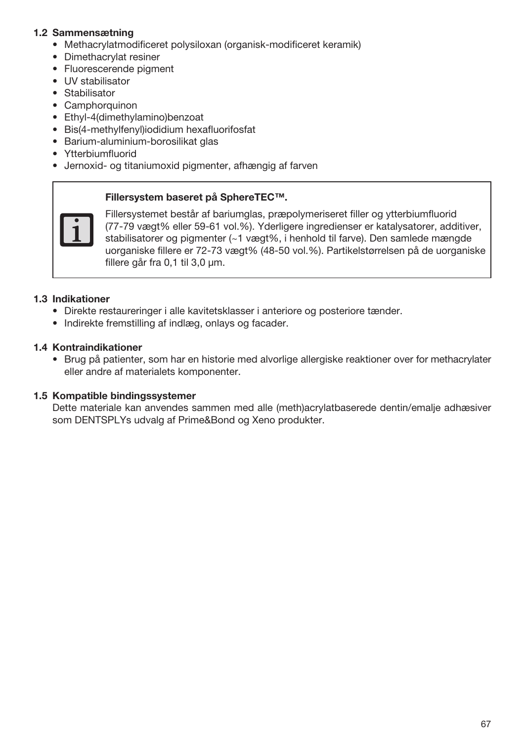## 1.2 Sammensætning

- Methacrylatmodificeret polysiloxan (organisk-modificeret keramik)
- Dimethacrylat resiner
- Fluorescerende pigment
- UV stabilisator
- Stabilisator
- Camphorquinon
- Ethyl-4(dimethylamino)benzoat
- Bis(4-methylfenyl)iodidium hexafluorifosfat
- Barium-aluminium-borosilikat glas
- Ytterbiumfluorid
- Jernoxid- og titaniumoxid pigmenter, afhængig af farven

#### Fillersystem baseret på SphereTEC™.



Fillersystemet består af bariumglas, præpolymeriseret filler og ytterbiumfluorid (77-79 vægt% eller 59-61 vol.%). Yderligere ingredienser er katalysatorer, additiver, stabilisatorer og pigmenter (~1 vægt%, i henhold til farve). Den samlede mængde uorganiske fillere er 72-73 vægt% (48-50 vol.%). Partikelstørrelsen på de uorganiske fillere går fra 0,1 til 3,0 μm.

#### 1.3 Indikationer

- Direkte restaureringer i alle kavitetsklasser i anteriore og posteriore tænder.
- Indirekte fremstilling af indlæg, onlays og facader.

## 1.4 Kontraindikationer

• Brug på patienter, som har en historie med alvorlige allergiske reaktioner over for methacrylater eller andre af materialets komponenter.

#### 1.5 Kompatible bindingssystemer

Dette materiale kan anvendes sammen med alle (meth)acrylatbaserede dentin/emalje adhæsiver som DENTSPLYs udvalg af Prime&Bond og Xeno produkter.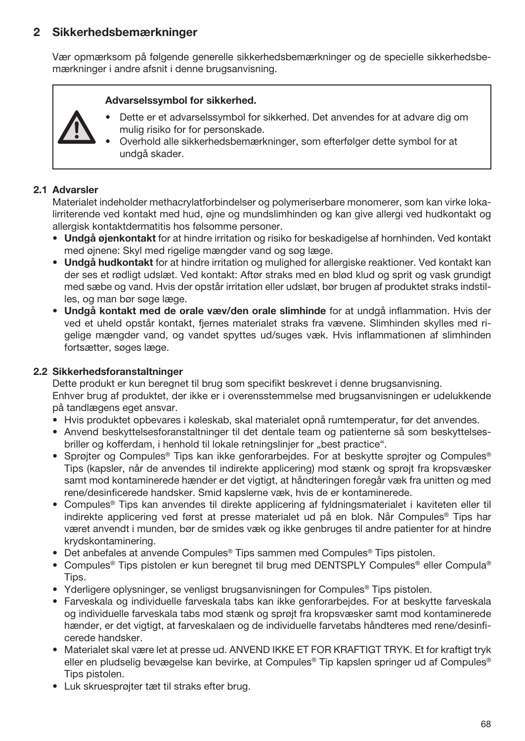# 2 Sikkerhedsbemærkninger

Vær opmærksom på følgende generelle sikkerhedsbemærkninger og de specielle sikkerhedsbemærkninger i andre afsnit i denne brugsanvisning.

#### Advarselssymbol for sikkerhed.



- Dette er et advarselssymbol for sikkerhed. Det anvendes for at advare dig om mulig risiko for for personskade.
- Overhold alle sikkerhedsbemærkninger, som efterfølger dette symbol for at undgå skader.

## 2.1 Advarsler

Materialet indeholder methacrylatforbindelser og polymeriserbare monomerer, som kan virke lokalirriterende ved kontakt med hud, øjne og mundslimhinden og kan give allergi ved hudkontakt og allergisk kontaktdermatitis hos følsomme personer.

- Undgå øjenkontakt for at hindre irritation og risiko for beskadigelse af hornhinden. Ved kontakt med øjnene: Skyl med rigelige mængder vand og søg læge.
- Undgå hudkontakt for at hindre irritation og mulighed for allergiske reaktioner. Ved kontakt kan der ses et rødligt udslæt. Ved kontakt: Aftør straks med en blød klud og sprit og vask grundigt med sæbe og vand. Hvis der opstår irritation eller udslæt, bør brugen af produktet straks indstilles, og man bør søge læge.
- Undgå kontakt med de orale væv/den orale slimhinde for at undgå inflammation. Hvis der ved et uheld opstår kontakt, fjernes materialet straks fra vævene. Slimhinden skylles med rigelige mængder vand, og vandet spyttes ud/suges væk. Hvis inflammationen af slimhinden fortsætter, søges læge.

#### 2.2 Sikkerhedsforanstaltninger

Dette produkt er kun beregnet til brug som specifikt beskrevet i denne brugsanvisning. Enhver brug af produktet, der ikke er i overensstemmelse med brugsanvisningen er udelukkende på tandlægens eget ansvar.

- Hvis produktet opbevares i køleskab, skal materialet opnå rumtemperatur, før det anvendes.
- Anvend beskyttelsesforanstaltninger til det dentale team og patienterne så som beskyttelsesbriller og kofferdam, i henhold til lokale retningslinjer for "best practice".
- Sprøjter og Compules® Tips kan ikke genforarbejdes. For at beskytte sprøjter og Compules® Tips (kapsler, når de anvendes til indirekte applicering) mod stænk og sprøjt fra kropsvæsker samt mod kontaminerede hænder er det vigtigt, at håndteringen foregår væk fra unitten og med rene/desinficerede handsker. Smid kapslerne væk, hvis de er kontaminerede.
- Compules® Tips kan anvendes til direkte applicering af fyldningsmaterialet i kaviteten eller til indirekte applicering ved først at presse materialet ud på en blok. Når Compules® Tips har været anvendt i munden, bør de smides væk og ikke genbruges til andre patienter for at hindre krydskontaminering.
- Det anbefales at anvende Compules® Tips sammen med Compules® Tips pistolen.
- Compules® Tips pistolen er kun beregnet til brug med DENTSPLY Compules® eller Compula® Tips.
- Yderligere oplysninger, se venligst brugsanvisningen for Compules® Tips pistolen.
- Farveskala og individuelle farveskala tabs kan ikke genforarbejdes. For at beskytte farveskala og individuelle farveskala tabs mod stænk og sprøjt fra kropsvæsker samt mod kontaminerede hænder, er det vigtigt, at farveskalaen og de individuelle farvetabs håndteres med rene/desinficerede handsker.
- Materialet skal være let at presse ud. ANVEND IKKE ET FOR KRAFTIGT TRYK. Et for kraftigt tryk eller en pludselig bevægelse kan bevirke, at Compules® Tip kapslen springer ud af Compules® Tips pistolen.
- Luk skruesprøjter tæt til straks efter brug.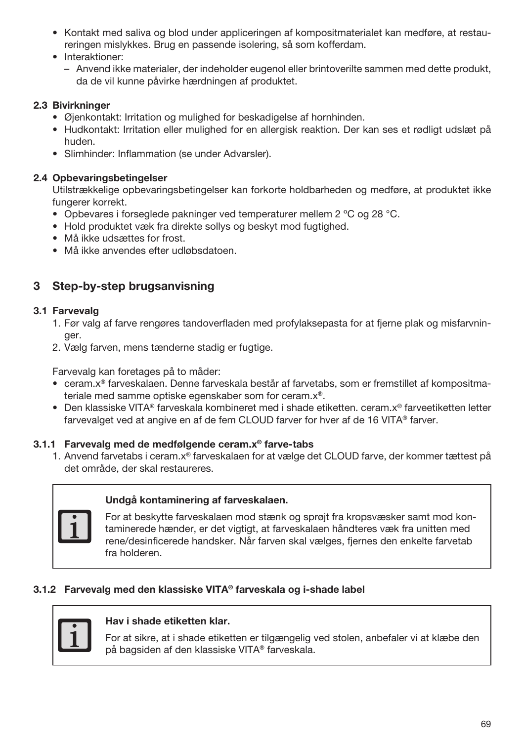- Kontakt med saliva og blod under appliceringen af kompositmaterialet kan medføre, at restaureringen mislykkes. Brug en passende isolering, så som kofferdam.
- Interaktioner:
	- Anvend ikke materialer, der indeholder eugenol eller brintoverilte sammen med dette produkt, da de vil kunne påvirke hærdningen af produktet.

## 2.3 Bivirkninger

- Øjenkontakt: Irritation og mulighed for beskadigelse af hornhinden.
- Hudkontakt: Irritation eller mulighed for en allergisk reaktion. Der kan ses et rødligt udslæt på huden.
- Slimhinder: Inflammation (se under Advarsler).

## 2.4 Opbevaringsbetingelser

Utilstrækkelige opbevaringsbetingelser kan forkorte holdbarheden og medføre, at produktet ikke fungerer korrekt.

- Opbevares i forseglede pakninger ved temperaturer mellem 2 ºC og 28 °C.
- Hold produktet væk fra direkte sollys og beskyt mod fugtighed.
- Må ikke udsættes for frost.
- Må ikke anvendes efter udløbsdatoen.

# 3 Step-by-step brugsanvisning

## 3.1 Farvevalg

- 1. Før valg af farve rengøres tandoverfladen med profylaksepasta for at fjerne plak og misfarvninger.
- 2. Vælg farven, mens tænderne stadig er fugtige.

Farvevalg kan foretages på to måder:

- ceram.x® farveskalaen. Denne farveskala består af farvetabs, som er fremstillet af kompositmateriale med samme optiske egenskaber som for ceram.x®.
- Den klassiske VITA® farveskala kombineret med i shade etiketten. ceram.x® farveetiketten letter farvevalget ved at angive en af de fem CLOUD farver for hver af de 16 VITA® farver.

## 3.1.1 Farvevalg med de medfølgende ceram.x® farve-tabs

1. Anvend farvetabs i ceram.x® farveskalaen for at vælge det CLOUD farve, der kommer tættest på det område, der skal restaureres.



## Undgå kontaminering af farveskalaen.

For at beskytte farveskalaen mod stænk og sprøjt fra kropsvæsker samt mod kontaminerede hænder, er det vigtigt, at farveskalaen håndteres væk fra unitten med rene/desinficerede handsker. Når farven skal vælges, fjernes den enkelte farvetab fra holderen.

## 3.1.2 Farvevalg med den klassiske VITA® farveskala og i-shade label



## Hav i shade etiketten klar.

For at sikre, at i shade etiketten er tilgængelig ved stolen, anbefaler vi at klæbe den på bagsiden af den klassiske VITA® farveskala.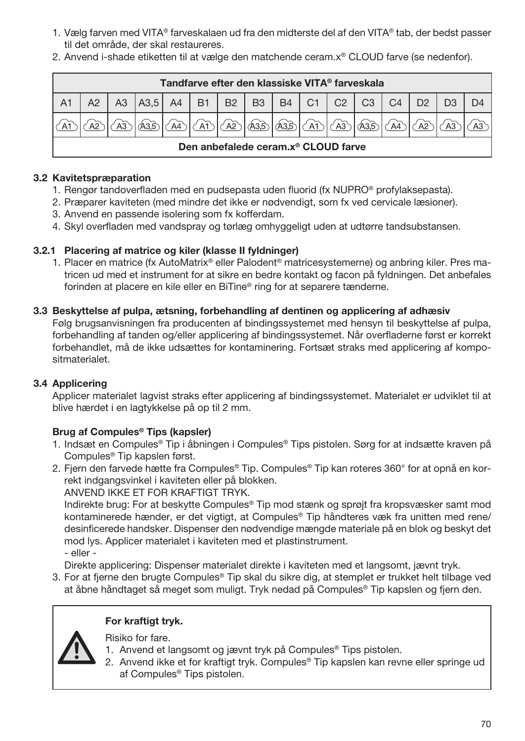- 1. Vælg farven med VITA® farveskalaen ud fra den midterste del af den VITA® tab, der bedst passer til det område, der skal restaureres.
- 2. Anvend i-shade etiketten til at vælge den matchende ceram.x® CLOUD farve (se nedenfor).

| Tandfarve efter den klassiske VITA <sup>®</sup> farveskala |                                                 |  |                                              |  |    |             |      |         |  |  |    |                |                |  |  |
|------------------------------------------------------------|-------------------------------------------------|--|----------------------------------------------|--|----|-------------|------|---------|--|--|----|----------------|----------------|--|--|
| A <sub>1</sub>                                             |                                                 |  | A3   A3,5   A4   B1   B2   B3   B4   C1   C2 |  |    |             |      |         |  |  | C3 | C <sub>4</sub> | D <sub>2</sub> |  |  |
|                                                            |                                                 |  |                                              |  | AT | $\sqrt{A2}$ | A3,5 | ക്കി An |  |  |    |                |                |  |  |
|                                                            | Den anbefalede ceram.x <sup>®</sup> CLOUD farve |  |                                              |  |    |             |      |         |  |  |    |                |                |  |  |

## 3.2 Kavitetspræparation

- 1. Rengør tandoverfladen med en pudsepasta uden fluorid (fx NUPRO® profylaksepasta).
- 2. Præparer kaviteten (med mindre det ikke er nødvendigt, som fx ved cervicale læsioner).
- 3. Anvend en passende isolering som fx kofferdam.
- 4. Skyl overfladen med vandspray og tørlæg omhyggeligt uden at udtørre tandsubstansen.

## 3.2.1 Placering af matrice og kiler (klasse II fyldninger)

1. Placer en matrice (fx AutoMatrix® eller Palodent® matricesystemerne) og anbring kiler. Pres matricen ud med et instrument for at sikre en bedre kontakt og facon på fyldningen. Det anbefales forinden at placere en kile eller en BiTine® ring for at separere tænderne.

#### 3.3 Beskyttelse af pulpa, ætsning, forbehandling af dentinen og applicering af adhæsiv

Følg brugsanvisningen fra producenten af bindingssystemet med hensyn til beskyttelse af pulpa, forbehandling af tanden og/eller applicering af bindingssystemet. Når overfladerne først er korrekt forbehandlet, må de ikke udsættes for kontaminering. Fortsæt straks med applicering af kompositmaterialet.

## 3.4 Applicering

Applicer materialet lagvist straks efter applicering af bindingssystemet. Materialet er udviklet til at blive hærdet i en lagtykkelse på op til 2 mm.

## Brug af Compules® Tips (kapsler)

- 1. Indsæt en Compules® Tip i åbningen i Compules® Tips pistolen. Sørg for at indsætte kraven på Compules® Tip kapslen først.
- 2. Fjern den farvede hætte fra Compules® Tip. Compules® Tip kan roteres 360° for at opnå en korrekt indgangsvinkel i kaviteten eller på blokken.

ANVEND IKKE ET FOR KRAFTIGT TRYK.

Indirekte brug: For at beskytte Compules® Tip mod stænk og sprøjt fra kropsvæsker samt mod kontaminerede hænder, er det vigtigt, at Compules® Tip håndteres væk fra unitten med rene/ desinficerede handsker. Dispenser den nødvendige mængde materiale på en blok og beskyt det mod lys. Applicer materialet i kaviteten med et plastinstrument.

- eller -

Direkte applicering: Dispenser materialet direkte i kaviteten med et langsomt, jævnt tryk.

3. For at fjerne den brugte Compules® Tip skal du sikre dig, at stemplet er trukket helt tilbage ved at åbne håndtaget så meget som muligt. Tryk nedad på Compules® Tip kapslen og fjern den.

## For kraftigt tryk.

Risiko for fare.

- 1. Anvend et langsomt og jævnt tryk på Compules® Tips pistolen.
- 2. Anvend ikke et for kraftigt tryk. Compules® Tip kapslen kan revne eller springe ud af Compules® Tips pistolen.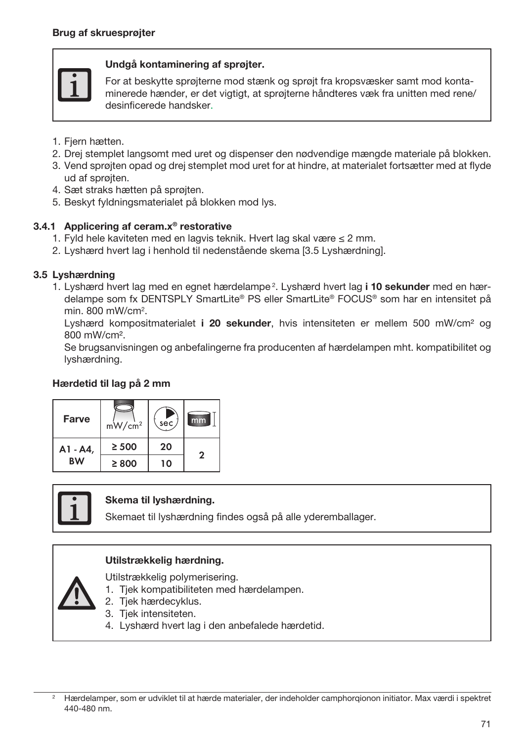

## Undgå kontaminering af sprøjter.

For at beskytte sprøjterne mod stænk og sprøjt fra kropsvæsker samt mod kontaminerede hænder, er det vigtigt, at sprøjterne håndteres væk fra unitten med rene/ desinficerede handsker.

- 1. Fjern hætten.
- 2. Drej stemplet langsomt med uret og dispenser den nødvendige mængde materiale på blokken.
- 3. Vend sprøjten opad og drej stemplet mod uret for at hindre, at materialet fortsætter med at flyde ud af sprøjten.
- 4. Sæt straks hætten på sprøjten.
- 5. Beskyt fyldningsmaterialet på blokken mod lys.

## 3.4.1 Applicering af ceram.x® restorative

- 1. Fyld hele kaviteten med en lagvis teknik. Hvert lag skal være ≤ 2 mm.
- 2. Lyshærd hvert lag i henhold til nedenstående skema [3.5 Lyshærdning].

## 3.5 Lyshærdning

1. Lyshærd hvert lag med en egnet hærdelampe<sup>2</sup>. Lyshærd hvert lag i 10 sekunder med en hærdelampe som fx DENTSPLY SmartLite® PS eller SmartLite® FOCUS® som har en intensitet på min. 800 mW/cm<sup>2</sup>.

Lyshærd kompositmaterialet i 20 sekunder, hvis intensiteten er mellem 500 mW/cm<sup>2</sup> og 800 mW/cm².

Se brugsanvisningen og anbefalingerne fra producenten af hærdelampen mht. kompatibilitet og lyshærdning.

## Hærdetid til lag på 2 mm





#### Skema til lyshærdning.

Skemaet til lyshærdning findes også på alle yderemballager.

## Utilstrækkelig hærdning.

Utilstrækkelig polymerisering.

- 1. Tjek kompatibiliteten med hærdelampen.
- 2. Tjek hærdecyklus.
- 3. Tjek intensiteten.
- 4. Lyshærd hvert lag i den anbefalede hærdetid.

<sup>2</sup> Hærdelamper, som er udviklet til at hærde materialer, der indeholder camphorqionon initiator. Max værdi i spektret 440-480 nm.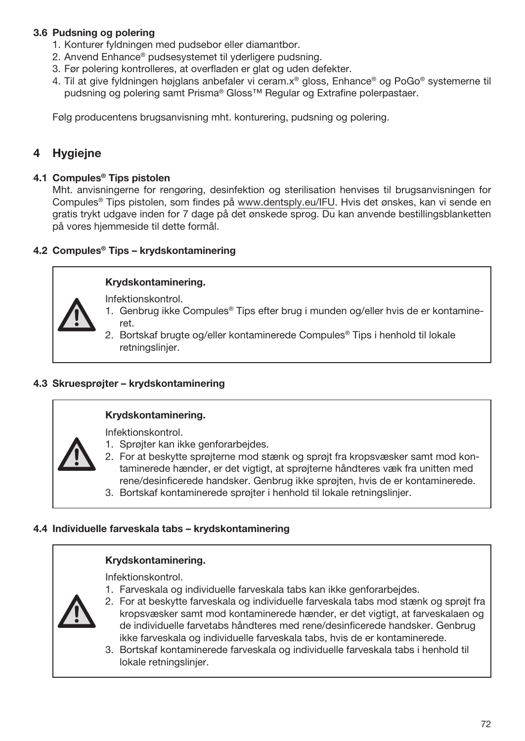# 3.6 Pudsning og polering

- 1. Konturer fyldningen med pudsebor eller diamantbor.
- 2. Anvend Enhance® pudsesystemet til yderligere pudsning.
- 3. Før polering kontrolleres, at overfladen er glat og uden defekter.
- 4. Til at give fyldningen højglans anbefaler vi ceram.x® gloss, Enhance® og PoGo® systemerne til pudsning og polering samt Prisma® Gloss™ Regular og Extrafine polerpastaer.

Følg producentens brugsanvisning mht. konturering, pudsning og polering.

# **Hygieine**

#### 4.1 Compules® Tips pistolen

Mht. anvisningerne for rengøring, desinfektion og sterilisation henvises til brugsanvisningen for Compules® Tips pistolen, som findes på www.dentsply.eu/IFU. Hvis det ønskes, kan vi sende en gratis trykt udgave inden for 7 dage på det ønskede sprog. Du kan anvende bestillingsblanketten på vores hjemmeside til dette formål.

# 4.2 Compules® Tips – krydskontaminering

# Krydskontaminering.

Infektionskontrol.

- 1. Genbrug ikke Compules® Tips efter brug i munden og/eller hvis de er kontamineret.
- 2. Bortskaf brugte og/eller kontaminerede Compules® Tips i henhold til lokale retningslinjer.

# 4.3 Skruesprøjter – krydskontaminering

#### Krydskontaminering.

Infektionskontrol.

- 
- 1. Sprøjter kan ikke genforarbejdes.
- 2. For at beskytte sprøjterne mod stænk og sprøjt fra kropsvæsker samt mod kontaminerede hænder, er det vigtigt, at sprøjterne håndteres væk fra unitten med rene/desinficerede handsker. Genbrug ikke sprøjten, hvis de er kontaminerede.
- 3. Bortskaf kontaminerede sprøjter i henhold til lokale retningslinjer.

# 4.4 Individuelle farveskala tabs – krydskontaminering

#### Krydskontaminering.

Infektionskontrol.

1. Farveskala og individuelle farveskala tabs kan ikke genforarbejdes.



- 2. For at beskytte farveskala og individuelle farveskala tabs mod stænk og sprøjt fra kropsvæsker samt mod kontaminerede hænder, er det vigtigt, at farveskalaen og de individuelle farvetabs håndteres med rene/desinficerede handsker. Genbrug ikke farveskala og individuelle farveskala tabs, hvis de er kontaminerede.
- 3. Bortskaf kontaminerede farveskala og individuelle farveskala tabs i henhold til lokale retningslinjer.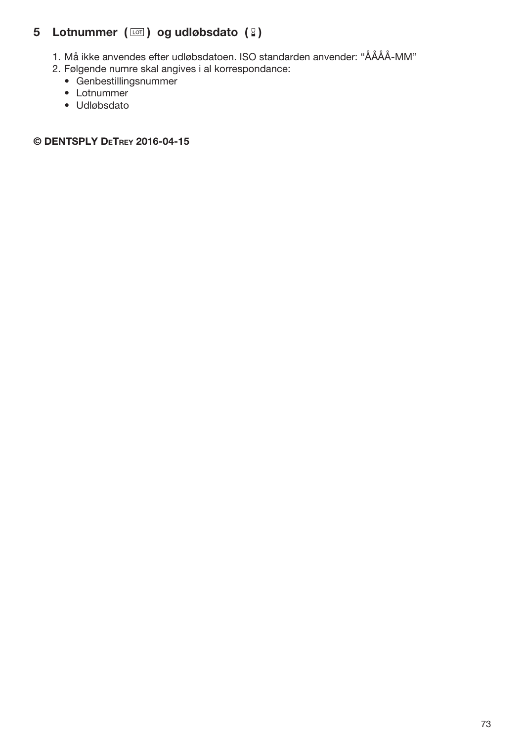# 5 Lotnummer ( $\text{I}$ ) og udløbsdato (2)

- 1. Må ikke anvendes efter udløbsdatoen. ISO standarden anvender: "ÅÅÅÅ-MM"
- 2. Følgende numre skal angives i al korrespondance:
	- Genbestillingsnummer
	- Lotnummer
	- Udløbsdato

© DENTSPLY DeTrey 2016-04-15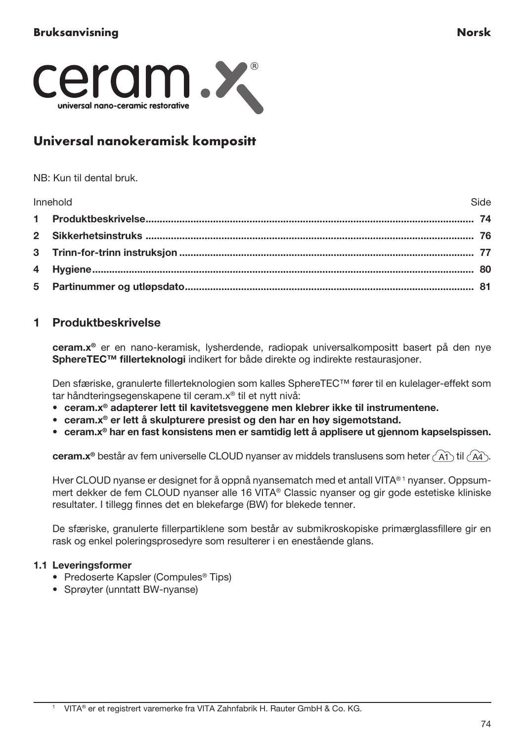

# Universal nanokeramisk kompositt

NB: Kun til dental bruk.

| Innehold | Side |
|----------|------|
|          |      |
|          |      |
|          |      |
|          |      |
|          |      |

# 1 Produktbeskrivelse

ceram.x® er en nano-keramisk, lysherdende, radiopak universalkompositt basert på den nye SphereTEC™ fillerteknologi indikert for både direkte og indirekte restaurasjoner.

Den sfæriske, granulerte fillerteknologien som kalles SphereTEC™ fører til en kulelager-effekt som tar håndteringsegenskapene til ceram.x® til et nytt nivå:

- ceram.x® adapterer lett til kavitetsveggene men klebrer ikke til instrumentene.
- ceram.x® er lett å skulpturere presist og den har en høy sigemotstand.
- ceram.x® har en fast konsistens men er samtidig lett å applisere ut gjennom kapselspissen.

ceram. $x^{\circ}$  består av fem universelle CLOUD nyanser av middels translusens som heter  $(A^{\uparrow})$  til  $(A^{\uparrow})$ .

Hver CLOUD nyanse er designet for å oppnå nyansematch med et antall VITA®<sup>1</sup> nyanser. Oppsummert dekker de fem CLOUD nyanser alle 16 VITA® Classic nyanser og gir gode estetiske kliniske resultater. I tillegg finnes det en blekefarge (BW) for blekede tenner.

De sfæriske, granulerte fillerpartiklene som består av submikroskopiske primærglassfillere gir en rask og enkel poleringsprosedyre som resulterer i en enestående glans.

### 1.1 Leveringsformer

- Predoserte Kapsler (Compules<sup>®</sup> Tips)
- Sprøyter (unntatt BW-nyanse)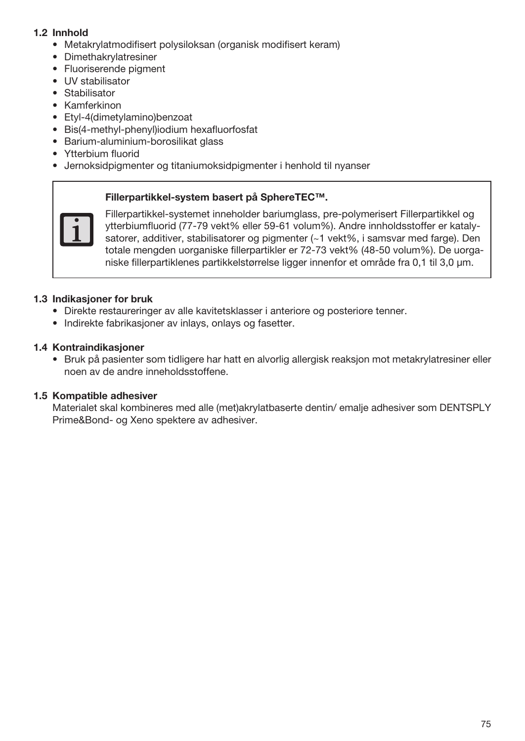# 1.2 Innhold

- Metakrylatmodifisert polysiloksan (organisk modifisert keram)
- Dimethakrylatresiner
- Fluoriserende pigment
- UV stabilisator
- Stabilisator
- Kamferkinon
- Etyl-4(dimetylamino)benzoat
- Bis(4-methyl-phenyl)iodium hexafluorfosfat
- Barium-aluminium-borosilikat glass
- Ytterbium fluorid
- Jernoksidpigmenter og titaniumoksidpigmenter i henhold til nyanser

#### Fillerpartikkel-system basert på SphereTEC™.



Fillerpartikkel-systemet inneholder bariumglass, pre-polymerisert Fillerpartikkel og ytterbiumfluorid (77-79 vekt% eller 59-61 volum%). Andre innholdsstoffer er katalysatorer, additiver, stabilisatorer og pigmenter (~1 vekt%, i samsvar med farge). Den totale mengden uorganiske fillerpartikler er 72-73 vekt% (48-50 volum%). De uorganiske fillerpartiklenes partikkelstørrelse ligger innenfor et område fra 0,1 til 3,0 μm.

#### 1.3 Indikasjoner for bruk

- Direkte restaureringer av alle kavitetsklasser i anteriore og posteriore tenner.
- Indirekte fabrikasjoner av inlays, onlays og fasetter.

## 1.4 Kontraindikasjoner

• Bruk på pasienter som tidligere har hatt en alvorlig allergisk reaksjon mot metakrylatresiner eller noen av de andre inneholdsstoffene.

#### 1.5 Kompatible adhesiver

Materialet skal kombineres med alle (met)akrylatbaserte dentin/ emalje adhesiver som DENTSPLY Prime&Bond- og Xeno spektere av adhesiver.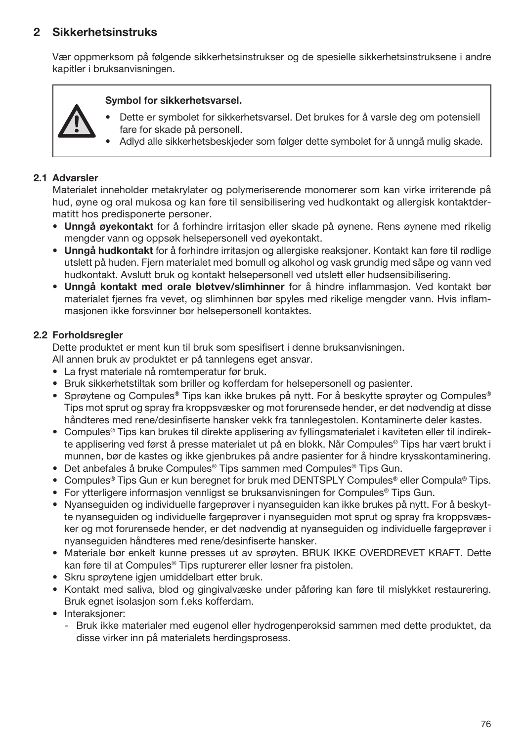# 2 Sikkerhetsinstruks

Vær oppmerksom på følgende sikkerhetsinstrukser og de spesielle sikkerhetsinstruksene i andre kapitler i bruksanvisningen.

#### Symbol for sikkerhetsvarsel.

- Dette er symbolet for sikkerhetsvarsel. Det brukes for å varsle deg om potensiell fare for skade på personell.
- Adlyd alle sikkerhetsbeskjeder som følger dette symbolet for å unngå mulig skade.

#### 2.1 Advarsler

Materialet inneholder metakrylater og polymeriserende monomerer som kan virke irriterende på hud, øyne og oral mukosa og kan føre til sensibilisering ved hudkontakt og allergisk kontaktdermatitt hos predisponerte personer.

- Unngå øyekontakt for å forhindre irritasjon eller skade på øynene. Rens øynene med rikelig mengder vann og oppsøk helsepersonell ved øyekontakt.
- Unngå hudkontakt for å forhindre irritasjon og allergiske reaksjoner. Kontakt kan føre til rødlige utslett på huden. Fjern materialet med bomull og alkohol og vask grundig med såpe og vann ved hudkontakt. Avslutt bruk og kontakt helsepersonell ved utslett eller hudsensibilisering.
- Unngå kontakt med orale bløtvev/slimhinner for å hindre inflammasjon. Ved kontakt bør materialet fjernes fra vevet, og slimhinnen bør spyles med rikelige mengder vann. Hvis inflammasjonen ikke forsvinner bør helsepersonell kontaktes.

#### 2.2 Forholdsregler

Dette produktet er ment kun til bruk som spesifisert i denne bruksanvisningen.

All annen bruk av produktet er på tannlegens eget ansvar.

- La fryst materiale nå romtemperatur før bruk.
- Bruk sikkerhetstiltak som briller og kofferdam for helsepersonell og pasienter.
- Sprøytene og Compules® Tips kan ikke brukes på nytt. For å beskytte sprøyter og Compules® Tips mot sprut og spray fra kroppsvæsker og mot forurensede hender, er det nødvendig at disse håndteres med rene/desinfiserte hansker vekk fra tannlegestolen. Kontaminerte deler kastes.
- Compules® Tips kan brukes til direkte applisering av fyllingsmaterialet i kaviteten eller til indirekte applisering ved først å presse materialet ut på en blokk. Når Compules® Tips har vært brukt i munnen, bør de kastes og ikke gjenbrukes på andre pasienter for å hindre krysskontaminering.
- Det anbefales å bruke Compules® Tips sammen med Compules® Tips Gun.
- Compules® Tips Gun er kun beregnet for bruk med DENTSPLY Compules® eller Compula® Tips.
- For ytterligere informasjon vennligst se bruksanvisningen for Compules® Tips Gun.
- Nyanseguiden og individuelle fargeprøver i nyanseguiden kan ikke brukes på nytt. For å beskytte nyanseguiden og individuelle fargeprøver i nyanseguiden mot sprut og spray fra kroppsvæsker og mot forurensede hender, er det nødvendig at nyanseguiden og individuelle fargeprøver i nyanseguiden håndteres med rene/desinfiserte hansker.
- Materiale bør enkelt kunne presses ut av sprøyten. BRUK IKKE OVERDREVET KRAFT. Dette kan føre til at Compules® Tips rupturerer eller løsner fra pistolen.
- Skru sprøytene igjen umiddelbart etter bruk.
- Kontakt med saliva, blod og gingivalvæske under påføring kan føre til mislykket restaurering. Bruk egnet isolasjon som f.eks kofferdam.
- Interaksjoner:
	- Bruk ikke materialer med eugenol eller hydrogenperoksid sammen med dette produktet, da disse virker inn på materialets herdingsprosess.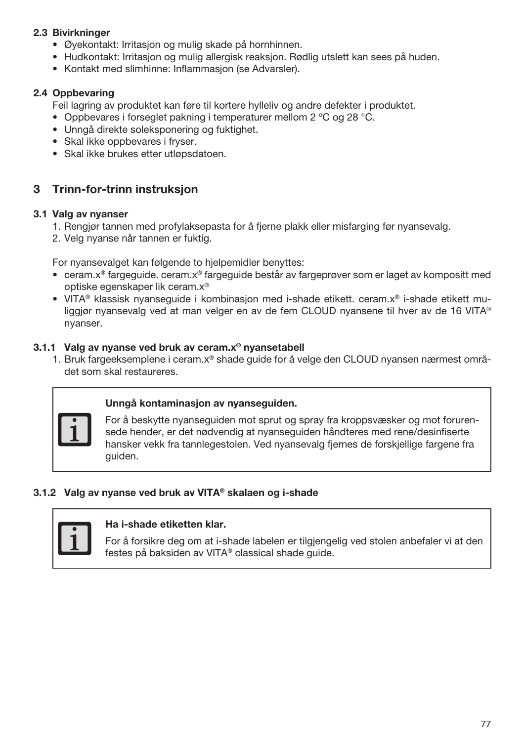# 2.3 Bivirkninger

- Øyekontakt: Irritasjon og mulig skade på hornhinnen.
- Hudkontakt: Irritasjon og mulig allergisk reaksjon. Rødlig utslett kan sees på huden.
- Kontakt med slimhinne: Inflammasjon (se Advarsler).

#### 2.4 Oppbevaring

Feil lagring av produktet kan føre til kortere hylleliv og andre defekter i produktet.

- Oppbevares i forseglet pakning i temperaturer mellom 2 ºC og 28 °C.
- Unngå direkte soleksponering og fuktighet.
- Skal ikke oppbevares i fryser.
- Skal ikke brukes etter utløpsdatoen.

# 3 Trinn-for-trinn instruksjon

#### 3.1 Valg av nyanser

- 1. Rengjør tannen med profylaksepasta for å fjerne plakk eller misfarging før nyansevalg.
- 2. Velg nyanse når tannen er fuktig.

For nyansevalget kan følgende to hjelpemidler benyttes:

- ceram.x® fargeguide. ceram.x® fargeguide består av fargeprøver som er laget av kompositt med optiske egenskaper lik ceram.x®.
- VITA® klassisk nyanseguide i kombinasjon med i-shade etikett. ceram.x® i-shade etikett muliggjør nyansevalg ved at man velger en av de fem CLOUD nyansene til hver av de 16 VITA® nyanser.

#### 3.1.1 Valg av nyanse ved bruk av ceram.x® nyansetabell

1. Bruk fargeeksemplene i ceram.x® shade guide for å velge den CLOUD nyansen nærmest området som skal restaureres.



#### Unngå kontaminasjon av nyanseguiden.

For å beskytte nyanseguiden mot sprut og spray fra kroppsvæsker og mot forurensede hender, er det nødvendig at nyanseguiden håndteres med rene/desinfiserte hansker vekk fra tannlegestolen. Ved nyansevalg fjernes de forskjellige fargene fra guiden.

## 3.1.2 Valg av nyanse ved bruk av VITA® skalaen og i-shade



#### Ha i-shade etiketten klar.

For å forsikre deg om at i-shade labelen er tilgjengelig ved stolen anbefaler vi at den festes på baksiden av VITA® classical shade guide.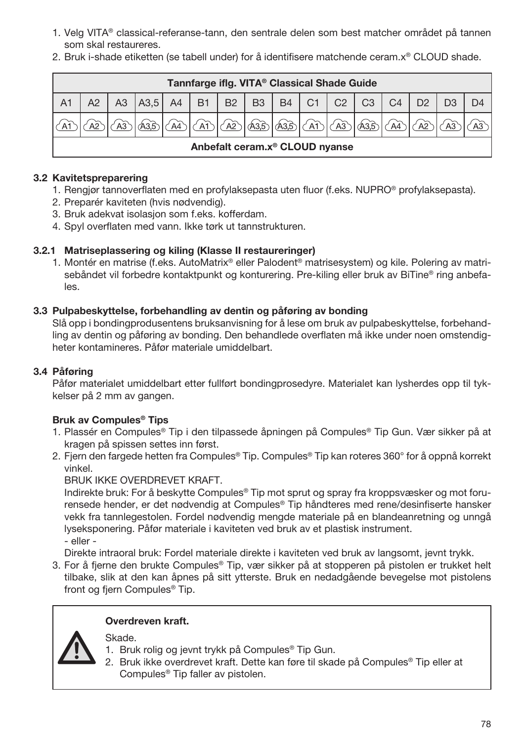- 1. Velg VITA® classical-referanse-tann, den sentrale delen som best matcher området på tannen som skal restaureres.
- 2. Bruk i-shade etiketten (se tabell under) for å identifisere matchende ceram.x® CLOUD shade.

| Tannfarge iflg. VITA <sup>®</sup> Classical Shade Guide |  |  |               |                       |           |                                  |           |           |      |                |                |                |  |  |    |
|---------------------------------------------------------|--|--|---------------|-----------------------|-----------|----------------------------------|-----------|-----------|------|----------------|----------------|----------------|--|--|----|
| A <sub>1</sub>                                          |  |  | A3  A3,5   A4 |                       | <b>B1</b> | $\blacksquare$ B2 $\blacksquare$ | <b>B3</b> | <b>B4</b> | C1   | C <sub>2</sub> | C <sub>3</sub> | C <sub>4</sub> |  |  |    |
|                                                         |  |  |               | $\overrightarrow{A4}$ |           | A2                               | A35       | A3.5      | 1(A) | ∕ A3           |                | A <sup>4</sup> |  |  | A3 |
| Anbefalt ceram.x <sup>®</sup> CLOUD nyanse              |  |  |               |                       |           |                                  |           |           |      |                |                |                |  |  |    |

## 3.2 Kavitetspreparering

- 1. Rengjør tannoverflaten med en profylaksepasta uten fluor (f.eks. NUPRO® profylaksepasta).
- 2. Preparér kaviteten (hvis nødvendig).
- 3. Bruk adekvat isolasjon som f.eks. kofferdam.
- 4. Spyl overflaten med vann. Ikke tørk ut tannstrukturen.

# 3.2.1 Matriseplassering og kiling (Klasse II restaureringer)

1. Montér en matrise (f.eks. AutoMatrix® eller Palodent® matrisesystem) og kile. Polering av matrisebåndet vil forbedre kontaktpunkt og konturering. Pre-kiling eller bruk av BiTine® ring anbefales.

#### 3.3 Pulpabeskyttelse, forbehandling av dentin og påføring av bonding

Slå opp i bondingprodusentens bruksanvisning for å lese om bruk av pulpabeskyttelse, forbehandling av dentin og påføring av bonding. Den behandlede overflaten må ikke under noen omstendigheter kontamineres. Påfør materiale umiddelbart.

# 3.4 Påføring

Påfør materialet umiddelbart etter fullført bondingprosedyre. Materialet kan lysherdes opp til tykkelser på 2 mm av gangen.

# Bruk av Compules® Tips

- 1. Plassér en Compules® Tip i den tilpassede åpningen på Compules® Tip Gun. Vær sikker på at kragen på spissen settes inn først.
- 2. Fjern den fargede hetten fra Compules® Tip. Compules® Tip kan roteres 360° for å oppnå korrekt vinkel.

BRUK IKKE OVERDREVET KRAFT.

Indirekte bruk: For å beskytte Compules® Tip mot sprut og spray fra kroppsvæsker og mot forurensede hender, er det nødvendig at Compules® Tip håndteres med rene/desinfiserte hansker vekk fra tannlegestolen. Fordel nødvendig mengde materiale på en blandeanretning og unngå lyseksponering. Påfør materiale i kaviteten ved bruk av et plastisk instrument. - eller -

Direkte intraoral bruk: Fordel materiale direkte i kaviteten ved bruk av langsomt, jevnt trykk.

3. For å fjerne den brukte Compules® Tip, vær sikker på at stopperen på pistolen er trukket helt tilbake, slik at den kan åpnes på sitt ytterste. Bruk en nedadgående bevegelse mot pistolens front og fjern Compules® Tip.

# Overdreven kraft.

Skade.

- 1. Bruk rolig og jevnt trykk på Compules® Tip Gun.
- 2. Bruk ikke overdrevet kraft. Dette kan føre til skade på Compules® Tip eller at Compules® Tip faller av pistolen.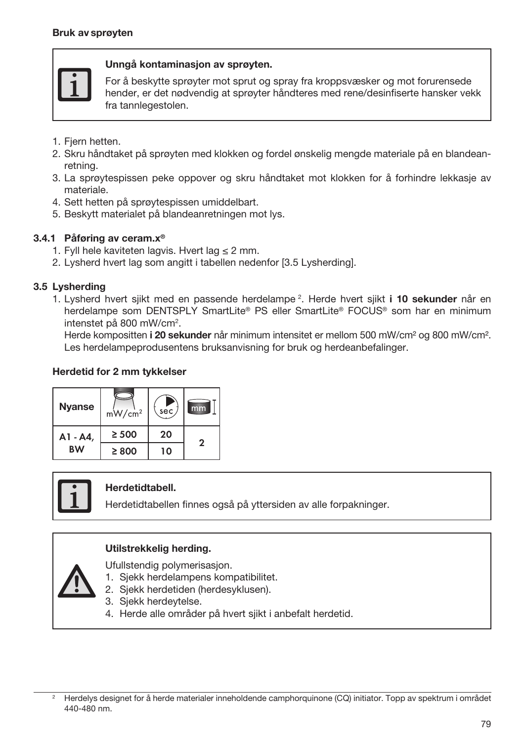

#### Unngå kontaminasjon av sprøyten.

For å beskytte sprøyter mot sprut og spray fra kroppsvæsker og mot forurensede hender, er det nødvendig at sprøyter håndteres med rene/desinfiserte hansker vekk fra tannlegestolen.

- 1. Fjern hetten.
- 2. Skru håndtaket på sprøyten med klokken og fordel ønskelig mengde materiale på en blandeanretning.
- 3. La sprøytespissen peke oppover og skru håndtaket mot klokken for å forhindre lekkasje av materiale.
- 4. Sett hetten på sprøytespissen umiddelbart.
- 5. Beskytt materialet på blandeanretningen mot lys.

### 3.4.1 Påføring av ceram.x®

- 1. Fyll hele kaviteten lagvis. Hvert lag  $\leq 2$  mm.
- 2. Lysherd hvert lag som angitt i tabellen nedenfor [3.5 Lysherding].

#### 3.5 Lysherding

1. Lysherd hvert sjikt med en passende herdelampe <sup>2</sup>. Herde hvert sjikt i 10 sekunder når en herdelampe som DENTSPLY SmartLite® PS eller SmartLite® FOCUS® som har en minimum intenstet på 800 mW/cm2 .

Herde kompositten i 20 sekunder når minimum intensitet er mellom 500 mW/cm<sup>2</sup> og 800 mW/cm<sup>2</sup>. Les herdelampeprodusentens bruksanvisning for bruk og herdeanbefalinger.

#### Herdetid for 2 mm tykkelser

| Nyanse    | mW/cm <sup>2</sup> | sec | mm           |
|-----------|--------------------|-----|--------------|
| A1 - A4,  | $\geq 500$         | 20  | $\mathbf{2}$ |
| <b>BW</b> | $\geq 800$         | 10  |              |



#### Herdetidtabell.

Herdetidtabellen finnes også på yttersiden av alle forpakninger.

#### Utilstrekkelig herding.

Ufullstendig polymerisasjon.

- 1. Sjekk herdelampens kompatibilitet.
- 2. Sjekk herdetiden (herdesyklusen).
- 3. Sjekk herdeytelse.
- 4. Herde alle områder på hvert sjikt i anbefalt herdetid.

<sup>2</sup> Herdelys designet for å herde materialer inneholdende camphorquinone (CQ) initiator. Topp av spektrum i området 440-480 nm.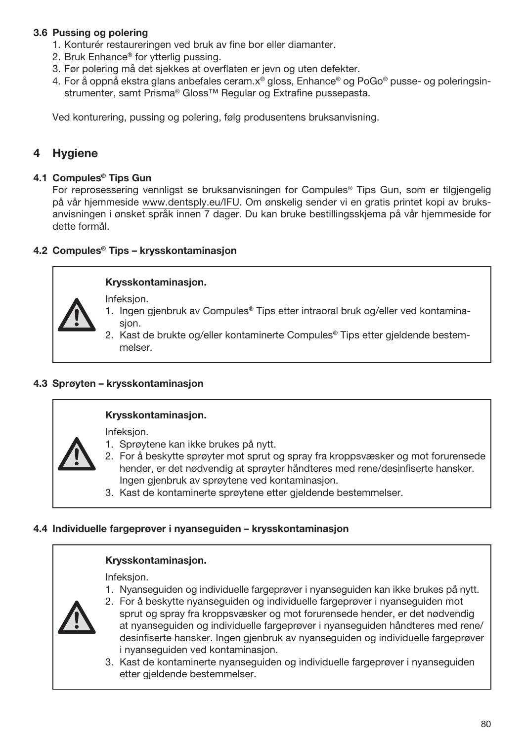# 3.6 Pussing og polering

- 1. Konturér restaureringen ved bruk av fine bor eller diamanter.
- 2. Bruk Enhance® for ytterlig pussing.
- 3. Før polering må det sjekkes at overflaten er jevn og uten defekter.
- 4. For å oppnå ekstra glans anbefales ceram.x® gloss, Enhance® og PoGo® pusse- og poleringsinstrumenter, samt Prisma® Gloss™ Regular og Extrafine pussepasta.

Ved konturering, pussing og polering, følg produsentens bruksanvisning.

# 4 Hygiene

#### 4.1 Compules® Tips Gun

For reprosessering vennligst se bruksanvisningen for Compules® Tips Gun, som er tilgjengelig på vår hjemmeside www.dentsply.eu/IFU. Om ønskelig sender vi en gratis printet kopi av bruksanvisningen i ønsket språk innen 7 dager. Du kan bruke bestillingsskjema på vår hjemmeside for dette formål.

# 4.2 Compules® Tips – krysskontaminasjon

# Krysskontaminasjon.

Infeksjon.

- 1. Ingen gjenbruk av Compules® Tips etter intraoral bruk og/eller ved kontaminasion.
- 2. Kast de brukte og/eller kontaminerte Compules® Tips etter gjeldende bestemmelser.

#### 4.3 Sprøyten – krysskontaminasjon

#### Krysskontaminasjon.

Infeksjon.

- 1. Sprøytene kan ikke brukes på nytt.
	- 2. For å beskytte sprøyter mot sprut og spray fra kroppsvæsker og mot forurensede hender, er det nødvendig at sprøyter håndteres med rene/desinfiserte hansker. Ingen gjenbruk av sprøytene ved kontaminasjon.
	- 3. Kast de kontaminerte sprøytene etter gjeldende bestemmelser.

#### 4.4 Individuelle fargeprøver i nyanseguiden – krysskontaminasjon

#### Krysskontaminasjon.

Infeksjon.

1. Nyanseguiden og individuelle fargeprøver i nyanseguiden kan ikke brukes på nytt.



3. Kast de kontaminerte nyanseguiden og individuelle fargeprøver i nyanseguiden etter gjeldende bestemmelser.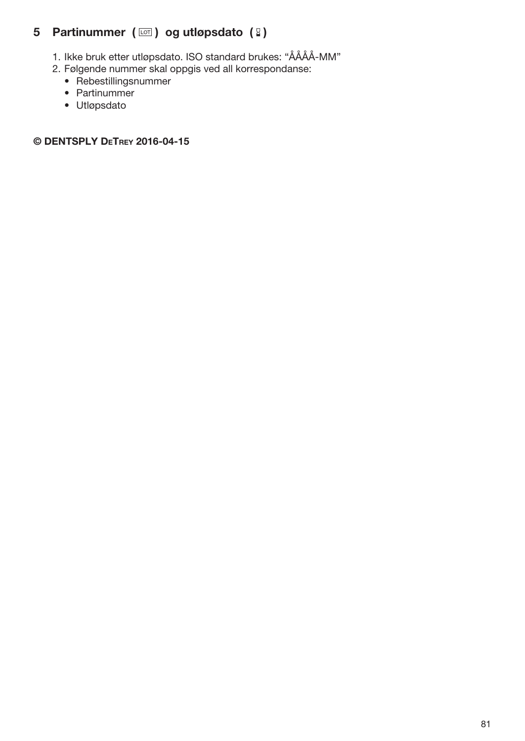# 5 Partinummer  $(\Box)$  og utløpsdato  $(2)$

- 1. Ikke bruk etter utløpsdato. ISO standard brukes: "ÅÅÅÅ-MM"
- 2. Følgende nummer skal oppgis ved all korrespondanse:
	- Rebestillingsnummer
	- Partinummer
	- Utløpsdato

© DENTSPLY DeTrey 2016-04-15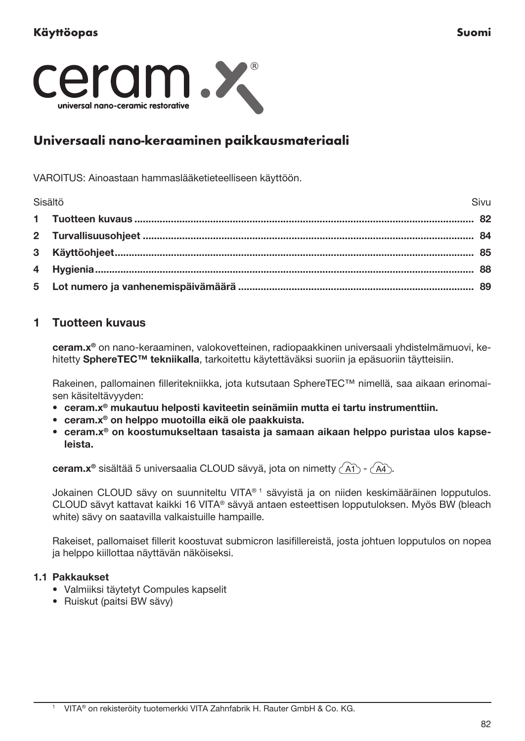

# Universaali nano-keraaminen paikkausmateriaali

VAROITUS: Ainoastaan hammaslääketieteelliseen käyttöön.

| Sisältö | Sivu |
|---------|------|
|         |      |
|         |      |
|         |      |
|         |      |
|         |      |

# 1 Tuotteen kuvaus

ceram.x® on nano-keraaminen, valokovetteinen, radiopaakkinen universaali yhdistelmämuovi, kehitetty SphereTEC™ tekniikalla, tarkoitettu käytettäväksi suoriin ja epäsuoriin täytteisiin.

Rakeinen, pallomainen filleritekniikka, jota kutsutaan SphereTEC™ nimellä, saa aikaan erinomaisen käsiteltävyyden:

- ceram.x® mukautuu helposti kaviteetin seinämiin mutta ei tartu instrumenttiin.
- ceram.x® on helppo muotoilla eikä ole paakkuista.
- ceram.x® on koostumukseltaan tasaista ja samaan aikaan helppo puristaa ulos kapseleista.

ceram.x® sisältää 5 universaalia CLOUD sävyä, jota on nimetty  $\widehat{A_1}$  -  $\widehat{A_4}$ .

Jokainen CLOUD sävy on suunniteltu VITA® 1 sävyistä ja on niiden keskimääräinen lopputulos. CLOUD sävyt kattavat kaikki 16 VITA® sävyä antaen esteettisen lopputuloksen. Myös BW (bleach white) sävy on saatavilla valkaistuille hampaille.

Rakeiset, pallomaiset fillerit koostuvat submicron lasifillereistä, josta johtuen lopputulos on nopea ja helppo kiillottaa näyttävän näköiseksi.

## 1.1 Pakkaukset

- Valmiiksi täytetyt Compules kapselit
- Ruiskut (paitsi BW sävy)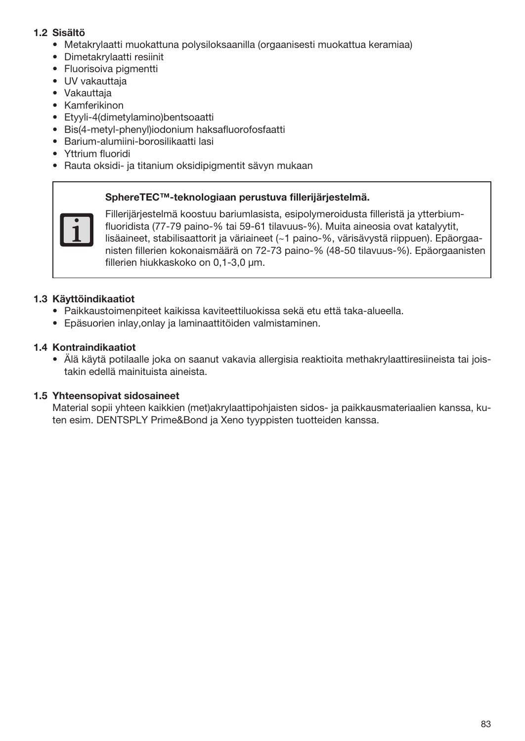# 1.2 Sisältö

- Metakrylaatti muokattuna polysiloksaanilla (orgaanisesti muokattua keramiaa)
- Dimetakrylaatti resiinit
- Fluorisoiva pigmentti
- UV vakauttaja
- Vakauttaja
- Kamferikinon
- Etyyli-4(dimetylamino)bentsoaatti
- Bis(4-metyl-phenyl)iodonium haksafluorofosfaatti
- Barium-alumiini-borosilikaatti lasi
- Yttrium fluoridi
- Rauta oksidi- ja titanium oksidipigmentit sävyn mukaan

#### SphereTEC™-teknologiaan perustuva fillerijärjestelmä.



Fillerijärjestelmä koostuu bariumlasista, esipolymeroidusta filleristä ja ytterbiumfluoridista (77-79 paino-% tai 59-61 tilavuus-%). Muita aineosia ovat katalyytit, lisäaineet, stabilisaattorit ja väriaineet (~1 paino-%, värisävystä riippuen). Epäorgaanisten fillerien kokonaismäärä on 72-73 paino-% (48-50 tilavuus-%). Epäorgaanisten fillerien hiukkaskoko on 0,1-3,0 μm.

# 1.3 Käyttöindikaatiot

- Paikkaustoimenpiteet kaikissa kaviteettiluokissa sekä etu että taka-alueella.
- Epäsuorien inlay,onlay ja laminaattitöiden valmistaminen.

### 1.4 Kontraindikaatiot

• Älä käytä potilaalle joka on saanut vakavia allergisia reaktioita methakrylaattiresiineista tai joistakin edellä mainituista aineista.

#### 1.5 Yhteensopivat sidosaineet

Material sopii yhteen kaikkien (met)akrylaattipohjaisten sidos- ja paikkausmateriaalien kanssa, kuten esim. DENTSPLY Prime&Bond ja Xeno tyyppisten tuotteiden kanssa.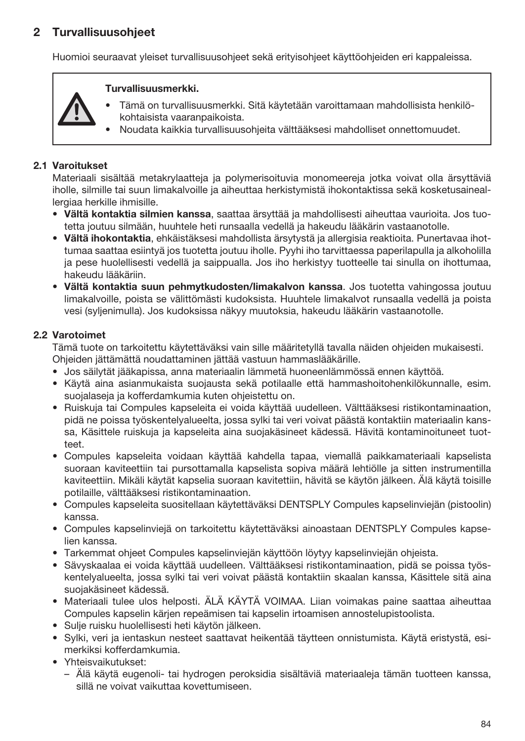# 2 Turvallisuusohjeet

Huomioi seuraavat yleiset turvallisuusohjeet sekä erityisohjeet käyttöohjeiden eri kappaleissa.

## Turvallisuusmerkki.



- Tämä on turvallisuusmerkki. Sitä käytetään varoittamaan mahdollisista henkilökohtaisista vaaranpaikoista.
- Noudata kaikkia turvallisuusohjeita välttääksesi mahdolliset onnettomuudet.

#### 2.1 Varoitukset

Materiaali sisältää metakrylaatteja ja polymerisoituvia monomeereja jotka voivat olla ärsyttäviä iholle, silmille tai suun limakalvoille ja aiheuttaa herkistymistä ihokontaktissa sekä kosketusaineallergiaa herkille ihmisille.

- Vältä kontaktia silmien kanssa, saattaa ärsyttää ja mahdollisesti aiheuttaa vaurioita. Jos tuotetta joutuu silmään, huuhtele heti runsaalla vedellä ja hakeudu lääkärin vastaanotolle.
- Vältä ihokontaktia, ehkäistäksesi mahdollista ärsytystä ja allergisia reaktioita. Punertavaa ihottumaa saattaa esiintyä jos tuotetta joutuu iholle. Pyyhi iho tarvittaessa paperilapulla ja alkoholilla ja pese huolellisesti vedellä ja saippualla. Jos iho herkistyy tuotteelle tai sinulla on ihottumaa, hakeudu lääkäriin.
- Vältä kontaktia suun pehmytkudosten/limakalvon kanssa. Jos tuotetta vahingossa joutuu limakalvoille, poista se välittömästi kudoksista. Huuhtele limakalvot runsaalla vedellä ja poista vesi (syljenimulla). Jos kudoksissa näkyy muutoksia, hakeudu lääkärin vastaanotolle.

#### 2.2 Varotoimet

Tämä tuote on tarkoitettu käytettäväksi vain sille määritetyllä tavalla näiden ohjeiden mukaisesti. Ohjeiden jättämättä noudattaminen jättää vastuun hammaslääkärille.

- Jos säilytät jääkapissa, anna materiaalin lämmetä huoneenlämmössä ennen käyttöä.
- Käytä aina asianmukaista suojausta sekä potilaalle että hammashoitohenkilökunnalle, esim. suojalaseja ja kofferdamkumia kuten ohjeistettu on.
- Ruiskuja tai Compules kapseleita ei voida käyttää uudelleen. Välttääksesi ristikontaminaation, pidä ne poissa työskentelyalueelta, jossa sylki tai veri voivat päästä kontaktiin materiaalin kanssa, Käsittele ruiskuja ja kapseleita aina suojakäsineet kädessä. Hävitä kontaminoituneet tuotteet.
- Compules kapseleita voidaan käyttää kahdella tapaa, viemallä paikkamateriaali kapselista suoraan kaviteettiin tai pursottamalla kapselista sopiva määrä lehtiölle ja sitten instrumentilla kaviteettiin. Mikäli käytät kapselia suoraan kavitettiin, hävitä se käytön jälkeen. Älä käytä toisille potilaille, välttääksesi ristikontaminaation.
- Compules kapseleita suositellaan käytettäväksi DENTSPLY Compules kapselinviejän (pistoolin) kanssa.
- Compules kapselinviejä on tarkoitettu käytettäväksi ainoastaan DENTSPLY Compules kapselien kanssa.
- Tarkemmat ohjeet Compules kapselinviejän käyttöön löytyy kapselinviejän ohjeista.
- Sävyskaalaa ei voida käyttää uudelleen. Välttääksesi ristikontaminaation, pidä se poissa työskentelyalueelta, jossa sylki tai veri voivat päästä kontaktiin skaalan kanssa, Käsittele sitä aina suojakäsineet kädessä.
- Materiaali tulee ulos helposti. ÄLÄ KÄYTÄ VOIMAA. Liian voimakas paine saattaa aiheuttaa Compules kapselin kärjen repeämisen tai kapselin irtoamisen annostelupistoolista.
- Sulje ruisku huolellisesti heti käytön jälkeen.
- Sylki, veri ja ientaskun nesteet saattavat heikentää täytteen onnistumista. Käytä eristystä, esimerkiksi kofferdamkumia.
- Yhteisvaikutukset:
	- Älä käytä eugenoli- tai hydrogen peroksidia sisältäviä materiaaleja tämän tuotteen kanssa, sillä ne voivat vaikuttaa kovettumiseen.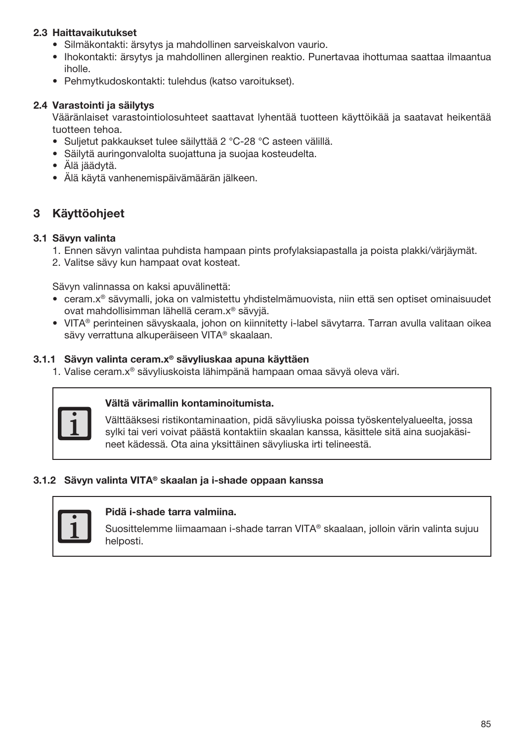## 2.3 Haittavaikutukset

- Silmäkontakti: ärsytys ja mahdollinen sarveiskalvon vaurio.
- Ihokontakti: ärsytys ja mahdollinen allerginen reaktio. Punertavaa ihottumaa saattaa ilmaantua iholle.
- Pehmytkudoskontakti: tulehdus (katso varoitukset).

#### 2.4 Varastointi ja säilytys

Vääränlaiset varastointiolosuhteet saattavat lyhentää tuotteen käyttöikää ja saatavat heikentää tuotteen tehoa.

- Suljetut pakkaukset tulee säilyttää 2 °C-28 °C asteen välillä.
- Säilytä auringonvalolta suojattuna ja suojaa kosteudelta.
- Älä jäädytä.
- Älä käytä vanhenemispäivämäärän jälkeen.

# 3 Käyttöohjeet

#### 3.1 Sävyn valinta

- 1. Ennen sävyn valintaa puhdista hampaan pints profylaksiapastalla ja poista plakki/värjäymät.
- 2. Valitse sävy kun hampaat ovat kosteat.

Sävyn valinnassa on kaksi apuvälinettä:

- ceram.x® sävymalli, joka on valmistettu yhdistelmämuovista, niin että sen optiset ominaisuudet ovat mahdollisimman lähellä ceram.x® sävyjä.
- VITA® perinteinen sävyskaala, johon on kiinnitetty i-label sävytarra. Tarran avulla valitaan oikea sävy verrattuna alkuperäiseen VITA® skaalaan.

#### 3.1.1 Sävyn valinta ceram.x® sävyliuskaa apuna käyttäen

1. Valise ceram.x® sävyliuskoista lähimpänä hampaan omaa sävyä oleva väri.



#### Vältä värimallin kontaminoitumista.

Välttääksesi ristikontaminaation, pidä sävyliuska poissa työskentelyalueelta, jossa sylki tai veri voivat päästä kontaktiin skaalan kanssa, käsittele sitä aina suojakäsineet kädessä. Ota aina yksittäinen sävyliuska irti telineestä.

## 3.1.2 Sävyn valinta VITA® skaalan ja i-shade oppaan kanssa



## Pidä i-shade tarra valmiina.

Suosittelemme liimaamaan i-shade tarran VITA® skaalaan, jolloin värin valinta sujuu helposti.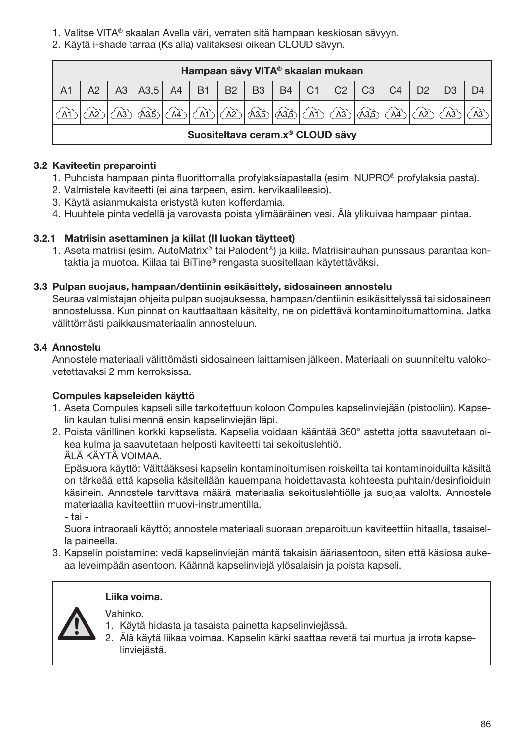1. Valitse VITA® skaalan Avella väri, verraten sitä hampaan keskiosan sävyyn.

2. Käytä i-shade tarraa (Ks alla) valitaksesi oikean CLOUD sävyn.

|                | Hampaan sävy VITA® skaalan mukaan            |  |                               |  |                  |  |  |                    |         |                |                |                |                |  |  |
|----------------|----------------------------------------------|--|-------------------------------|--|------------------|--|--|--------------------|---------|----------------|----------------|----------------|----------------|--|--|
| A <sub>1</sub> |                                              |  | A3   A3.5   A4   B1   B2   B3 |  |                  |  |  |                    | $B4$ C1 | C <sub>2</sub> | C <sub>3</sub> | C <sub>4</sub> | D <sub>2</sub> |  |  |
|                |                                              |  |                               |  | $(A1) (A1) (A2)$ |  |  | ) കൂടി കൂടി (സി (ഓ |         |                | <b>A3.5</b>    |                | وه             |  |  |
|                | Suositeltava ceram.x <sup>®</sup> CLOUD sävy |  |                               |  |                  |  |  |                    |         |                |                |                |                |  |  |

# 3.2 Kaviteetin preparointi

- 1. Puhdista hampaan pinta fluorittomalla profylaksiapastalla (esim. NUPRO® profylaksia pasta).
- 2. Valmistele kaviteetti (ei aina tarpeen, esim. kervikaalileesio).
- 3. Käytä asianmukaista eristystä kuten kofferdamia.
- 4. Huuhtele pinta vedellä ja varovasta poista ylimääräinen vesi. Älä ylikuivaa hampaan pintaa.

# 3.2.1 Matriisin asettaminen ja kiilat (II luokan täytteet)

1. Aseta matriisi (esim. AutoMatrix® tai Palodent®) ja kiila. Matriisinauhan punssaus parantaa kontaktia ja muotoa. Kiilaa tai BiTine® rengasta suositellaan käytettäväksi.

# 3.3 Pulpan suojaus, hampaan/dentiinin esikäsittely, sidosaineen annostelu

Seuraa valmistajan ohjeita pulpan suojauksessa, hampaan/dentiinin esikäsittelyssä tai sidosaineen annostelussa. Kun pinnat on kauttaaltaan käsitelty, ne on pidettävä kontaminoitumattomina. Jatka välittömästi paikkausmateriaalin annosteluun.

# 3.4 Annostelu

Annostele materiaali välittömästi sidosaineen laittamisen jälkeen. Materiaali on suunniteltu valokovetettavaksi 2 mm kerroksissa.

# Compules kapseleiden käyttö

- 1. Aseta Compules kapseli sille tarkoitettuun koloon Compules kapselinviejään (pistooliin). Kapselin kaulan tulisi mennä ensin kapselinviejän läpi.
- 2. Poista värillinen korkki kapselista. Kapselia voidaan kääntää 360° astetta jotta saavutetaan oikea kulma ja saavutetaan helposti kaviteetti tai sekoituslehtiö. ÄLÄ KÄYTÄ VOIMAA.

Epäsuora käyttö: Välttääksesi kapselin kontaminoitumisen roiskeilta tai kontaminoiduilta käsiltä on tärkeää että kapselia käsitellään kauempana hoidettavasta kohteesta puhtain/desinfioiduin käsinein. Annostele tarvittava määrä materiaalia sekoituslehtiölle ja suojaa valolta. Annostele materiaalia kaviteettiin muovi-instrumentilla.

- tai -

Suora intraoraali käyttö; annostele materiaali suoraan preparoituun kaviteettiin hitaalla, tasaisella paineella.

3. Kapselin poistamine: vedä kapselinviejän mäntä takaisin ääriasentoon, siten että käsiosa aukeaa leveimpään asentoon. Käännä kapselinviejä ylösalaisin ja poista kapseli.

#### Liika voima.

Vahinko.

- 1. Käytä hidasta ja tasaista painetta kapselinviejässä.
- 2. Älä käytä liikaa voimaa. Kapselin kärki saattaa revetä tai murtua ja irrota kapselinviejästä.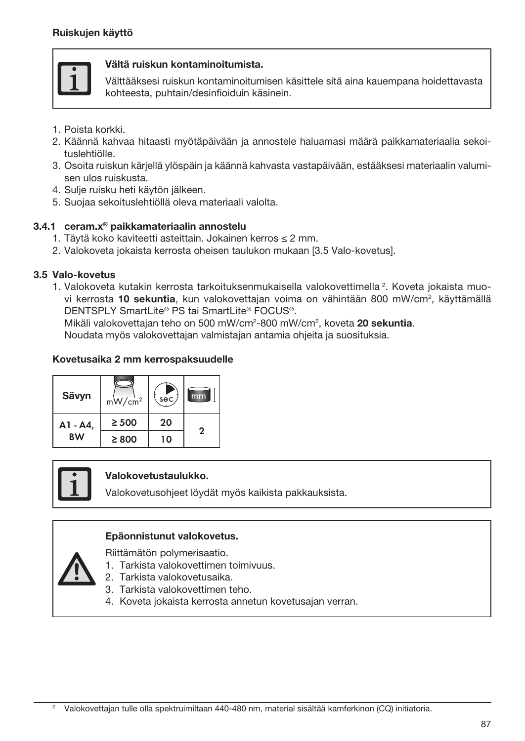

#### Vältä ruiskun kontaminoitumista.

Välttääksesi ruiskun kontaminoitumisen käsittele sitä aina kauempana hoidettavasta kohteesta, puhtain/desinfioiduin käsinein.

- 1. Poista korkki.
- 2. Käännä kahvaa hitaasti myötäpäivään ja annostele haluamasi määrä paikkamateriaalia sekoituslehtiölle.
- 3. Osoita ruiskun kärjellä ylöspäin ja käännä kahvasta vastapäivään, estääksesi materiaalin valumisen ulos ruiskusta.
- 4. Sulje ruisku heti käytön jälkeen.
- 5. Suojaa sekoituslehtiöllä oleva materiaali valolta.

#### 3.4.1 ceram.x® paikkamateriaalin annostelu

- 1. Täytä koko kaviteetti asteittain. Jokainen kerros ≤ 2 mm.
- 2. Valokoveta jokaista kerrosta oheisen taulukon mukaan [3.5 Valo-kovetus].

#### 3.5 Valo-kovetus

1. Valokoveta kutakin kerrosta tarkoituksenmukaisella valokovettimella<sup>2</sup>. Koveta jokaista muovi kerrosta **10 sekuntia**, kun valokovettajan voima on vähintään 800 mW/cm², käyttämällä DENTSPLY SmartLite® PS tai SmartLite® FOCUS®.

Mikäli valokovettajan teho on 500 mW/cm<sup>2</sup>-800 mW/cm<sup>2</sup>, koveta 20 sekuntia. Noudata myös valokovettajan valmistajan antamia ohjeita ja suosituksia.

#### Kovetusaika 2 mm kerrospaksuudelle

| Sävyn     | $mW/cm^2$  | sec | mm           |
|-----------|------------|-----|--------------|
| A1 - A4,  | $\geq 500$ | 20  | $\mathbf{2}$ |
| <b>BW</b> | $\geq 800$ | 10  |              |



#### Valokovetustaulukko.

Valokovetusohjeet löydät myös kaikista pakkauksista.

#### Epäonnistunut valokovetus.

Riittämätön polymerisaatio.

- 1. Tarkista valokovettimen toimivuus.
- 2. Tarkista valokovetusaika.
- 3. Tarkista valokovettimen teho.
- 4. Koveta jokaista kerrosta annetun kovetusajan verran.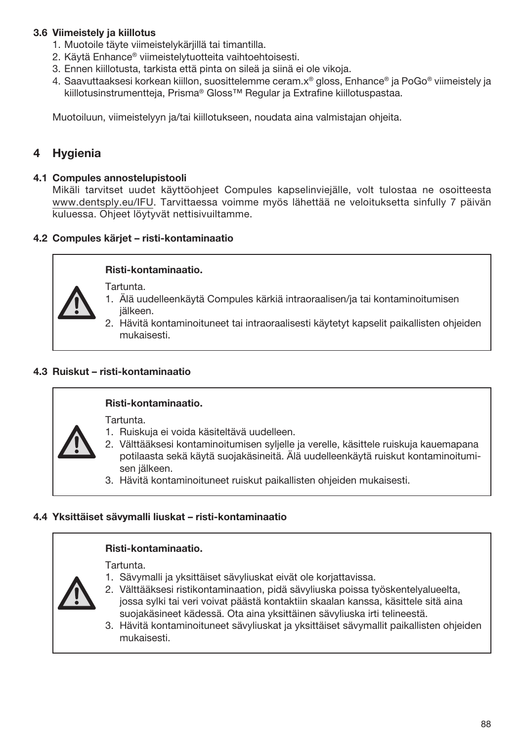# 3.6 Viimeistely ja kiillotus

- 1. Muotoile täyte viimeistelykärjillä tai timantilla.
- 2. Käytä Enhance® viimeistelytuotteita vaihtoehtoisesti.
- 3. Ennen kiillotusta, tarkista että pinta on sileä ja siinä ei ole vikoja.
- 4. Saavuttaaksesi korkean kiillon, suosittelemme ceram.x® gloss, Enhance® ja PoGo® viimeistely ja kiillotusinstrumentteja, Prisma® Gloss™ Regular ja Extrafine kiillotuspastaa.

Muotoiluun, viimeistelyyn ja/tai kiillotukseen, noudata aina valmistajan ohjeita.

# **Hygienia**

#### 4.1 Compules annostelupistooli

Mikäli tarvitset uudet käyttöohjeet Compules kapselinviejälle, volt tulostaa ne osoitteesta www.dentsply.eu/IFU. Tarvittaessa voimme myös lähettää ne veloituksetta sinfully 7 päivän kuluessa. Ohjeet löytyvät nettisivuiltamme.

#### 4.2 Compules kärjet – risti-kontaminaatio

#### Risti-kontaminaatio.

Tartunta.

- 1. Älä uudelleenkäytä Compules kärkiä intraoraalisen/ja tai kontaminoitumisen jälkeen.
- 2. Hävitä kontaminoituneet tai intraoraalisesti käytetyt kapselit paikallisten ohjeiden mukaisesti.

# 4.3 Ruiskut – risti-kontaminaatio

#### Risti-kontaminaatio.

Tartunta.

- 1. Ruiskuja ei voida käsiteltävä uudelleen.
- 2. Välttääksesi kontaminoitumisen syljelle ja verelle, käsittele ruiskuja kauemapana potilaasta sekä käytä suojakäsineitä. Älä uudelleenkäytä ruiskut kontaminoitumisen jälkeen.
- 3. Hävitä kontaminoituneet ruiskut paikallisten ohjeiden mukaisesti.

#### 4.4 Yksittäiset sävymalli liuskat – risti-kontaminaatio

#### Risti-kontaminaatio.

Tartunta.

- 1. Sävymalli ja yksittäiset sävyliuskat eivät ole korjattavissa.
- 2. Välttääksesi ristikontaminaation, pidä sävyliuska poissa työskentelyalueelta, jossa sylki tai veri voivat päästä kontaktiin skaalan kanssa, käsittele sitä aina suojakäsineet kädessä. Ota aina yksittäinen sävyliuska irti telineestä.
- 3. Hävitä kontaminoituneet sävyliuskat ja yksittäiset sävymallit paikallisten ohjeiden mukaisesti.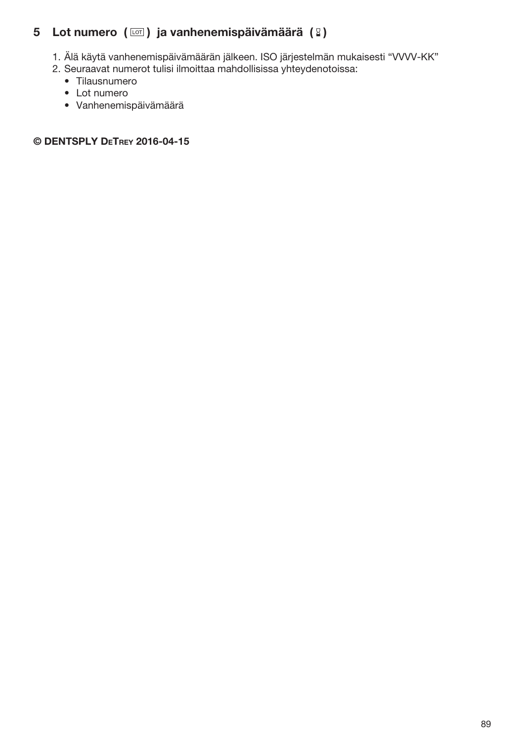# 5 Lot numero  $(\Box)$  ja vanhenemispäivämäärä  $(2)$

- 1. Älä käytä vanhenemispäivämäärän jälkeen. ISO järjestelmän mukaisesti "VVVV-KK"
- 2. Seuraavat numerot tulisi ilmoittaa mahdollisissa yhteydenotoissa:
	- Tilausnumero
	- Lot numero
	- Vanhenemispäivämäärä

# © DENTSPLY DeTrey 2016-04-15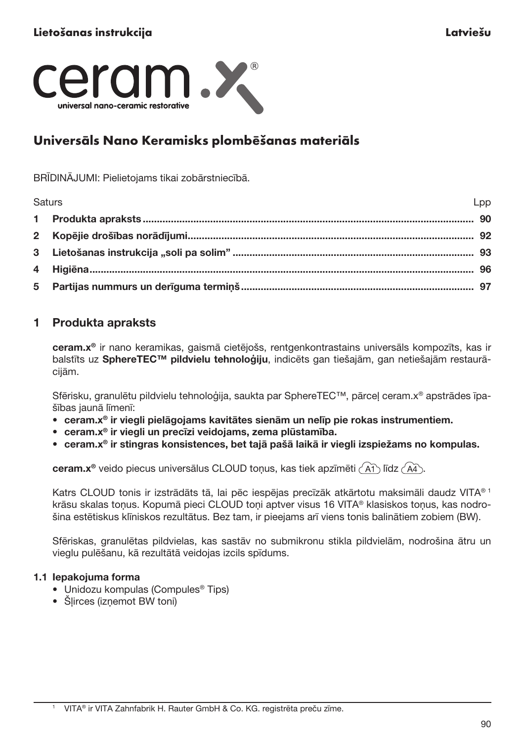

# Universāls Nano Keramisks plombēšanas materiāls

BRĪDINĀJUMI: Pielietojams tikai zobārstniecībā.

| Saturs | Lpp |
|--------|-----|
|        |     |
|        |     |
|        |     |
|        |     |
|        |     |

# 1 Produkta apraksts

ceram.x® ir nano keramikas, gaismā cietējošs, rentgenkontrastains universāls kompozīts, kas ir balstīts uz SphereTEC™ pildvielu tehnoloģiju, indicēts gan tiešajām, gan netiešajām restaurācijām.

Sfērisku, granulētu pildvielu tehnoloģija, saukta par SphereTEC™, pārceļ ceram.x® apstrādes īpašības jaunā līmenī:

- ceram.x® ir viegli pielāgojams kavitātes sienām un nelīp pie rokas instrumentiem.
- ceram.x® ir viegli un precīzi veidojams, zema plūstamība.
- ceram.x® ir stingras konsistences, bet tajā pašā laikā ir viegli izspiežams no kompulas.

ceram. $x^{\circ}$  veido piecus universālus CLOUD tonus, kas tiek apzīmēti  $\langle$  A1 $\rangle$  līdz  $\langle$  A4 $\rangle$ .

Katrs CLOUD tonis ir izstrādāts tā, lai pēc iespējas precīzāk atkārtotu maksimāli daudz VITA® 1 krāsu skalas tonus. Kopumā pieci CLOUD toni aptver visus 16 VITA® klasiskos tonus, kas nodrošina estētiskus klīniskos rezultātus. Bez tam, ir pieejams arī viens tonis balinātiem zobiem (BW).

Sfēriskas, granulētas pildvielas, kas sastāv no submikronu stikla pildvielām, nodrošina ātru un vieglu pulēšanu, kā rezultātā veidojas izcils spīdums.

#### 1.1 Iepakojuma forma

- Unidozu kompulas (Compules® Tips)
- Šļirces (izņemot BW toni)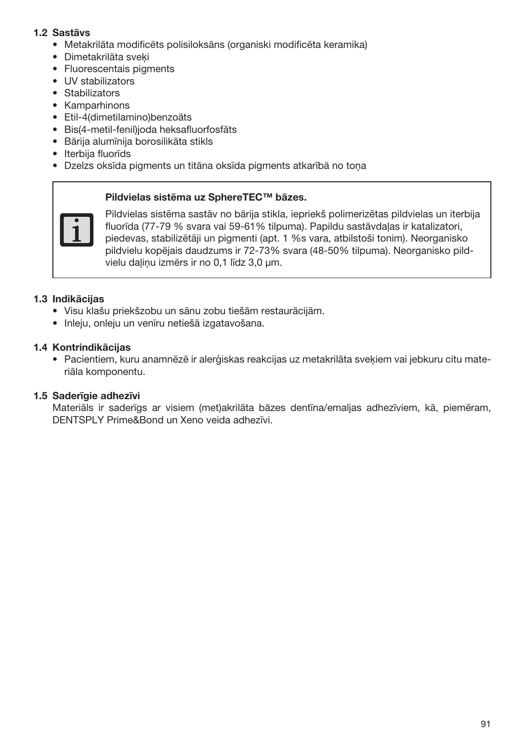# 1.2 Sastāvs

- Metakrilāta modificēts polisiloksāns (organiski modificēta keramika)
- Dimetakrilāta sveķi
- Fluorescentais pigments
- UV stabilizators
- Stabilizators
- Kamparhinons
- Etil-4(dimetilamino)benzoāts
- Bis(4-metil-fenil)joda heksafluorfosfāts
- Bārija alumīnija borosilikāta stikls
- Iterbija fluorīds
- Dzelzs oksīda pigments un titāna oksīda pigments atkarībā no toņa

#### Pildvielas sistēma uz SphereTEC™ bāzes.



Pildvielas sistēma sastāv no bārija stikla, iepriekš polimerizētas pildvielas un iterbija fluorīda (77-79 % svara vai 59-61% tilpuma). Papildu sastāvdaļas ir katalizatori, piedevas, stabilizētāji un pigmenti (apt. 1 %s vara, atbilstoši tonim). Neorganisko pildvielu kopējais daudzums ir 72-73% svara (48-50% tilpuma). Neorganisko pildvielu daļiņu izmērs ir no 0,1 līdz 3,0 μm.

#### 1.3 Indikācijas

- Visu klašu priekšzobu un sānu zobu tiešām restaurācijām.
- Inleju, onleju un venīru netiešā izgatavošana.

### 1.4 Kontrindikācijas

• Pacientiem, kuru anamnēzē ir alerģiskas reakcijas uz metakrilāta sveķiem vai jebkuru citu materiāla komponentu.

#### 1.5 Saderīgie adhezīvi

Materiāls ir saderīgs ar visiem (met)akrilāta bāzes dentīna/emaljas adhezīviem, kā, piemēram, DENTSPLY Prime&Bond un Xeno veida adhezīvi.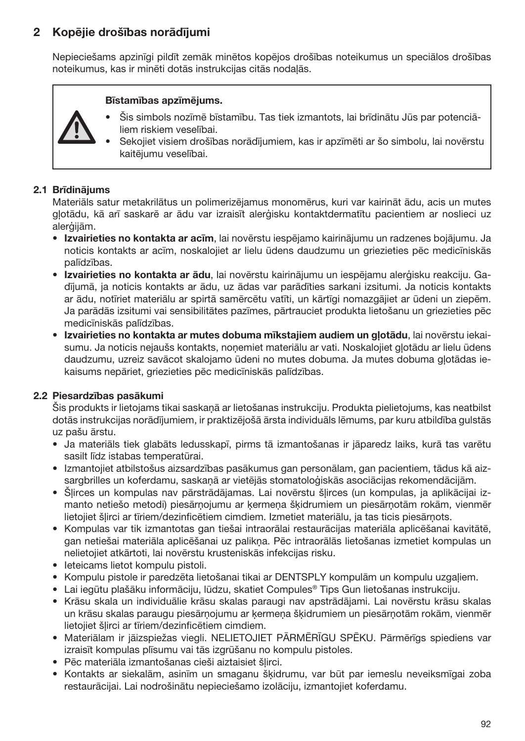# 2 Kopējie drošības norādījumi

Nepieciešams apzinīgi pildīt zemāk minētos kopējos drošības noteikumus un speciālos drošības noteikumus, kas ir minēti dotās instrukcijas citās nodaļās.

#### Bīstamības apzīmējums.

- Šis simbols nozīmē bīstamību. Tas tiek izmantots, lai brīdinātu Jūs par potenciāliem riskiem veselībai.
	- Sekojiet visiem drošības norādījumiem, kas ir apzīmēti ar šo simbolu, lai novērstu kaitējumu veselībai.

## 2.1 Brīdinājums

Materiāls satur metakrilātus un polimerizējamus monomērus, kuri var kairināt ādu, acis un mutes gļotādu, kā arī saskarē ar ādu var izraisīt alerģisku kontaktdermatītu pacientiem ar noslieci uz alerģijām.

- Izvairieties no kontakta ar acīm, lai novērstu iespējamo kairinājumu un radzenes bojājumu. Ja noticis kontakts ar acīm, noskalojiet ar lielu ūdens daudzumu un griezieties pēc medicīniskās palīdzības.
- Izvairieties no kontakta ar ādu, lai novērstu kairinājumu un iespējamu alerģisku reakciju. Gadījumā, ja noticis kontakts ar ādu, uz ādas var parādīties sarkani izsitumi. Ja noticis kontakts ar ādu, notīriet materiālu ar spirtā samērcētu vatīti, un kārtīgi nomazgājiet ar ūdeni un ziepēm. Ja parādās izsitumi vai sensibilitātes pazīmes, pārtrauciet produkta lietošanu un griezieties pēc medicīniskās palīdzības.
- Izvairieties no kontakta ar mutes dobuma mīkstaiiem audiem un glotādu, lai novērstu iekaisumu. Ja noticis nejaušs kontakts, noņemiet materiālu ar vati. Noskalojiet gļotādu ar lielu ūdens daudzumu, uzreiz savācot skalojamo ūdeni no mutes dobuma. Ja mutes dobuma gļotādas iekaisums nepāriet, griezieties pēc medicīniskās palīdzības.

# 2.2 Piesardzības pasākumi

Šis produkts ir lietojams tikai saskaņā ar lietošanas instrukciju. Produkta pielietojums, kas neatbilst dotās instrukcijas norādījumiem, ir praktizējošā ārsta individuāls lēmums, par kuru atbildība gulstās uz pašu ārstu.

- Ja materiāls tiek glabāts ledusskapī, pirms tā izmantošanas ir jāparedz laiks, kurā tas varētu sasilt līdz istabas temperatūrai.
- Izmantojiet atbilstošus aizsardzības pasākumus gan personālam, gan pacientiem, tādus kā aizsargbrilles un koferdamu, saskaņā ar vietējās stomatoloģiskās asociācijas rekomendācijām.
- Šļirces un kompulas nav pārstrādājamas. Lai novērstu šļirces (un kompulas, ja aplikācijai izmanto netiešo metodi) piesārņojumu ar ķermeņa šķidrumiem un piesārņotām rokām, vienmēr lietojiet šļirci ar tīriem/dezinficētiem cimdiem. Izmetiet materiālu, ja tas ticis piesārņots.
- Kompulas var tik izmantotas gan tiešai intraorālai restaurācijas materiāla aplicēšanai kavitātē, gan netiešai materiāla aplicēšanai uz palikņa. Pēc intraorālās lietošanas izmetiet kompulas un nelietojiet atkārtoti, lai novērstu krusteniskās infekcijas risku.
- Ieteicams lietot kompulu pistoli.
- Kompulu pistole ir paredzēta lietošanai tikai ar DENTSPLY kompulām un kompulu uzgaļiem.
- Lai iegūtu plašāku informāciju, lūdzu, skatiet Compules® Tips Gun lietošanas instrukciju.
- Krāsu skala un individuālie krāsu skalas paraugi nav apstrādājami. Lai novērstu krāsu skalas un krāsu skalas paraugu piesārņojumu ar ķermeņa šķidrumiem un piesārņotām rokām, vienmēr lietojiet šļirci ar tīriem/dezinficētiem cimdiem.
- Materiālam ir jāizspiežas viegli. NELIETOJIET PĀRMĒRĪGU SPĒKU. Pārmērīgs spiediens var izraisīt kompulas plīsumu vai tās izgrūšanu no kompulu pistoles.
- Pēc materiāla izmantošanas cieši aiztaisiet šļirci.
- Kontakts ar siekalām, asinīm un smaganu šķidrumu, var būt par iemeslu neveiksmīgai zoba restaurācijai. Lai nodrošinātu nepieciešamo izolāciju, izmantojiet koferdamu.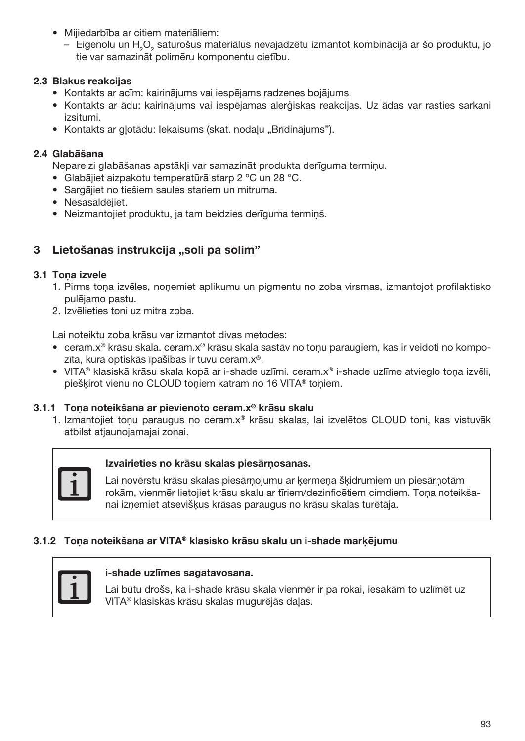- Mijiedarbība ar citiem materiāliem:
	- Eigenolu un H<sub>2</sub>O<sub>2</sub> saturošus materiālus nevajadzētu izmantot kombinācijā ar šo produktu, jo tie var samazināt polimēru komponentu cietību.

# 2.3 Blakus reakcijas

- Kontakts ar acīm: kairinājums vai iespējams radzenes bojājums.
- Kontakts ar ādu: kairinājums vai iespējamas alerģiskas reakcijas. Uz ādas var rasties sarkani izsitumi.
- Kontakts ar glotādu: Iekaisums (skat. nodaļu "Brīdinājums").

# 2.4 Glabāšana

Nepareizi glabāšanas apstākļi var samazināt produkta derīguma termiņu.

- Glabājiet aizpakotu temperatūrā starp 2 ºC un 28 °C.
- Sargājiet no tiešiem saules stariem un mitruma.
- Nesasaldējiet.
- Neizmantojiet produktu, ja tam beidzies derīguma termiņš.

# 3 Lietošanas instrukcija "soli pa solim"

# 3.1 Tona izvele

- 1. Pirms toņa izvēles, noņemiet aplikumu un pigmentu no zoba virsmas, izmantojot profilaktisko pulējamo pastu.
- 2. Izvēlieties toni uz mitra zoba.

Lai noteiktu zoba krāsu var izmantot divas metodes:

- ceram.x® krāsu skala. ceram.x® krāsu skala sastāv no toņu paraugiem, kas ir veidoti no kompozīta, kura optiskās īpašibas ir tuvu ceram.x®.
- VITA® klasiskā krāsu skala kopā ar i-shade uzlīmi. ceram.x® i-shade uzlīme atvieglo toņa izvēli, piešķirot vienu no CLOUD toņiem katram no 16 VITA® toņiem.

# 3.1.1 Toņa noteikšana ar pievienoto ceram.x® krāsu skalu

1. Izmantojiet toņu paraugus no ceram.x® krāsu skalas, lai izvelētos CLOUD toni, kas vistuvāk atbilst atjaunojamajai zonai.



# Izvairieties no krāsu skalas piesārņosanas.

Lai novērstu krāsu skalas piesārņojumu ar ķermeņa šķidrumiem un piesārņotām rokām, vienmēr lietojiet krāsu skalu ar tīriem/dezinficētiem cimdiem. Toņa noteikšanai izņemiet atsevišķus krāsas paraugus no krāsu skalas turētāja.

# 3.1.2 Toņa noteikšana ar VITA® klasisko krāsu skalu un i-shade marķējumu



### i-shade uzlīmes sagatavosana.

Lai būtu drošs, ka i-shade krāsu skala vienmēr ir pa rokai, iesakām to uzlīmēt uz VITA® klasiskās krāsu skalas mugurējās daļas.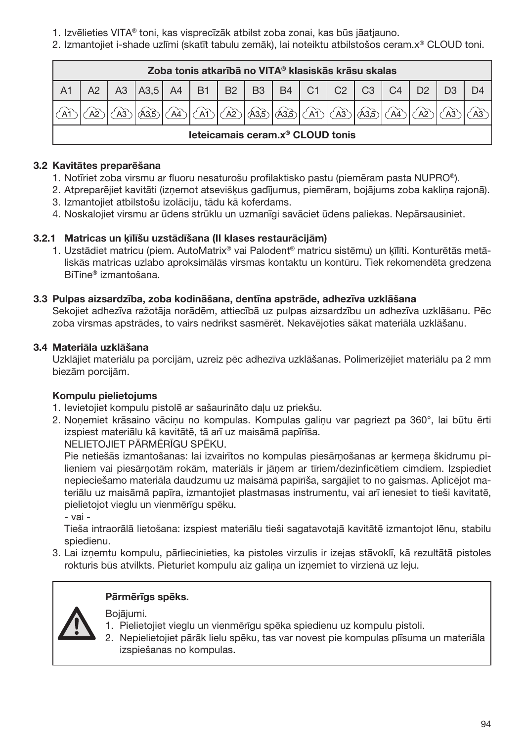- 1. Izvēlieties VITA® toni, kas visprecīzāk atbilst zoba zonai, kas būs jāatjauno.
- 2. Izmantojiet i-shade uzlīmi (skatīt tabulu zemāk), lai noteiktu atbilstošos ceram.x® CLOUD toni.

|                                              | Zoba tonis atkarībā no VITA® klasiskās krāsu skalas |    |                           |  |  |  |  |                                                 |  |  |            |    |             |  |  |
|----------------------------------------------|-----------------------------------------------------|----|---------------------------|--|--|--|--|-------------------------------------------------|--|--|------------|----|-------------|--|--|
|                                              |                                                     | A3 | A3,5 A4 B1 B2 B3 B4 C1 C2 |  |  |  |  |                                                 |  |  | C3         | C4 |             |  |  |
|                                              |                                                     |    |                           |  |  |  |  | $(A)$ $(A)$ $(A)$ $(A)$ $(B)$ $(B)$ $(A)$ $(A)$ |  |  | ) കൂടി ക്ക |    | $\sqrt{A2}$ |  |  |
| leteicamais ceram.x <sup>®</sup> CLOUD tonis |                                                     |    |                           |  |  |  |  |                                                 |  |  |            |    |             |  |  |

# 3.2 Kavitātes preparēšana

- 1. Notīriet zoba virsmu ar fluoru nesaturošu profilaktisko pastu (piemēram pasta NUPRO®).
- 2. Atpreparējiet kavitāti (izņemot atsevišķus gadījumus, piemēram, bojājums zoba kakliņa rajonā).
- 3. Izmantojiet atbilstošu izolāciju, tādu kā koferdams.
- 4. Noskalojiet virsmu ar ūdens strūklu un uzmanīgi savāciet ūdens paliekas. Nepārsausiniet.

# 3.2.1 Matricas un ķīlīšu uzstādīšana (II klases restaurācijām)

1. Uzstādiet matricu (piem. AutoMatrix® vai Palodent® matricu sistēmu) un ķīlīti. Konturētās metāliskās matricas uzlabo aproksimālās virsmas kontaktu un kontūru. Tiek rekomendēta gredzena BiTine® izmantošana.

# 3.3 Pulpas aizsardzība, zoba kodināšana, dentīna apstrāde, adhezīva uzklāšana

Sekojiet adhezīva ražotāja norādēm, attiecībā uz pulpas aizsardzību un adhezīva uzklāšanu. Pēc zoba virsmas apstrādes, to vairs nedrīkst sasmērēt. Nekavējoties sākat materiāla uzklāšanu.

# 3.4 Materiāla uzklāšana

Uzklājiet materiālu pa porcijām, uzreiz pēc adhezīva uzklāšanas. Polimerizējiet materiālu pa 2 mm biezām porcijām.

# Kompulu pielietojums

- 1. Ievietojiet kompulu pistolē ar sašaurināto daļu uz priekšu.
- 2. Noņemiet krāsaino vāciņu no kompulas. Kompulas galiņu var pagriezt pa 360°, lai būtu ērti izspiest materiālu kā kavitātē, tā arī uz maisāmā papīrīša. NELIETOJIET PĀRMĒRĪGU SPĒKU.

Pie netiešās izmantošanas: lai izvairītos no kompulas piesārņošanas ar ķermeņa škidrumu pilieniem vai piesārņotām rokām, materiāls ir jāņem ar tīriem/dezinficētiem cimdiem. Izspiediet nepieciešamo materiāla daudzumu uz maisāmā papīrīša, sargājiet to no gaismas. Aplicējot materiālu uz maisāmā papīra, izmantojiet plastmasas instrumentu, vai arī ienesiet to tieši kavitatē, pielietojot vieglu un vienmērīgu spēku.

- vai -

Tieša intraorālā lietošana: izspiest materiālu tieši sagatavotajā kavitātē izmantojot lēnu, stabilu spiedienu.

3. Lai izņemtu kompulu, pārliecinieties, ka pistoles virzulis ir izejas stāvoklī, kā rezultātā pistoles rokturis būs atvilkts. Pieturiet kompulu aiz galiņa un izņemiet to virzienā uz leju.

# Pārmērīgs spēks.

Bojājumi.

- 1. Pielietojiet vieglu un vienmērīgu spēka spiedienu uz kompulu pistoli.
- 2. Nepielietojiet pārāk lielu spēku, tas var novest pie kompulas plīsuma un materiāla izspiešanas no kompulas.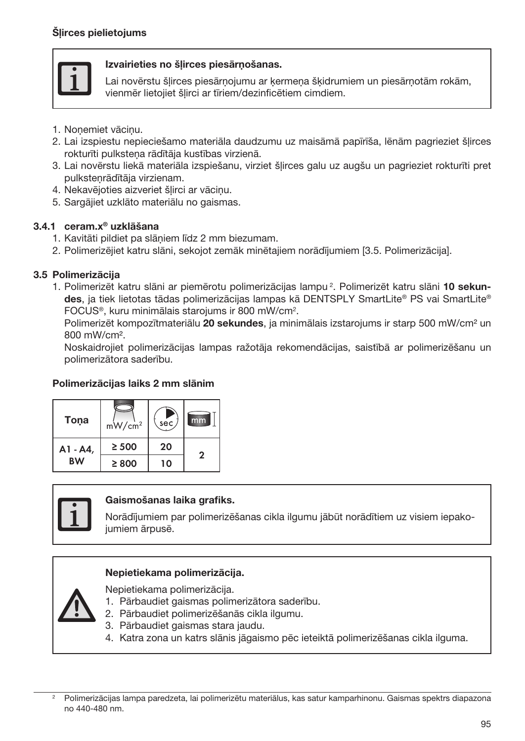

## Izvairieties no šļirces piesārņošanas.

Lai novērstu šļirces piesārņojumu ar ķermeņa šķidrumiem un piesārņotām rokām, vienmēr lietojiet šļirci ar tīriem/dezinficētiem cimdiem.

- 1. Noņemiet vāciņu.
- 2. Lai izspiestu nepieciešamo materiāla daudzumu uz maisāmā papīrīša, lēnām pagrieziet šļirces rokturīti pulksteņa rādītāja kustības virzienā.
- 3. Lai novērstu liekā materiāla izspiešanu, virziet šļirces galu uz augšu un pagrieziet rokturīti pret pulksteņrādītāja virzienam.
- 4. Nekavējoties aizveriet šļirci ar vāciņu.
- 5. Sargājiet uzklāto materiālu no gaismas.

# 3.4.1 ceram.x® uzklāšana

- 1. Kavitāti pildiet pa slāņiem līdz 2 mm biezumam.
- 2. Polimerizējiet katru slāni, sekojot zemāk minētajiem norādījumiem [3.5. Polimerizācija].

# 3.5 Polimerizācija

1. Polimerizēt katru slāni ar piemērotu polimerizācijas lampu <sup>2</sup>. Polimerizēt katru slāni 10 sekundes, ja tiek lietotas tādas polimerizācijas lampas kā DENTSPLY SmartLite® PS vai SmartLite® FOCUS®, kuru minimālais starojums ir 800 mW/cm2 .

Polimerizēt kompozītmateriālu 20 sekundes, ja minimālais izstarojums ir starp 500 mW/cm<sup>2</sup> un 800 mW/cm².

Noskaidrojiet polimerizācijas lampas ražotāja rekomendācijas, saistībā ar polimerizēšanu un polimerizātora saderību.

# Polimerizācijas laiks 2 mm slānim





# Gaismošanas laika grafiks.

Norādījumiem par polimerizēšanas cikla ilgumu jābūt norādītiem uz visiem iepakojumiem ārpusē.

# Nepietiekama polimerizācija.

Nepietiekama polimerizācija.

- 1. Pārbaudiet gaismas polimerizātora saderību.
- 2. Pārbaudiet polimerizēšanās cikla ilgumu.
- 3. Pārbaudiet gaismas stara jaudu.
- 4. Katra zona un katrs slānis jāgaismo pēc ieteiktā polimerizēšanas cikla ilguma.

<sup>2</sup> Polimerizācijas lampa paredzeta, lai polimerizētu materiālus, kas satur kamparhinonu. Gaismas spektrs diapazona no 440-480 nm.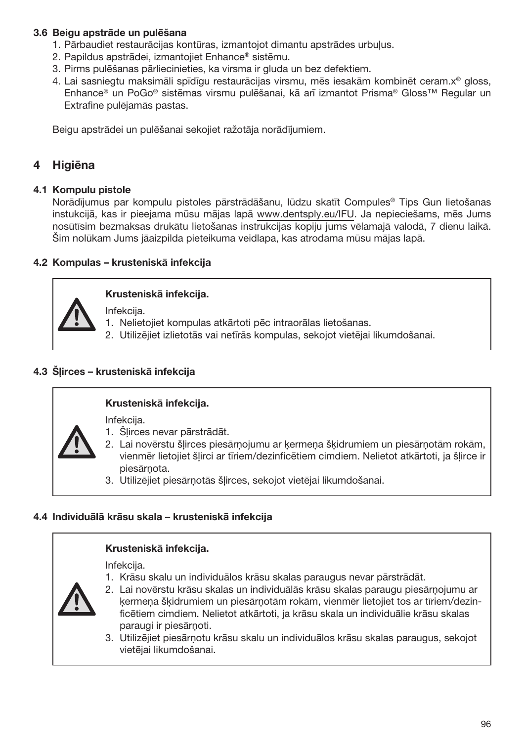# 3.6 Beigu apstrāde un pulēšana

- 1. Pārbaudiet restaurācijas kontūras, izmantojot dimantu apstrādes urbuļus.
- 2. Papildus apstrādei, izmantojiet Enhance® sistēmu.
- 3. Pirms pulēšanas pārliecinieties, ka virsma ir gluda un bez defektiem.
- 4. Lai sasniegtu maksimāli spīdīgu restaurācijas virsmu, mēs iesakām kombinēt ceram.x® gloss, Enhance® un PoGo® sistēmas virsmu pulēšanai, kā arī izmantot Prisma® Gloss™ Regular un Extrafine pulējamās pastas.

Beigu apstrādei un pulēšanai sekojiet ražotāja norādījumiem.

# **Higiēna**

#### 4.1 Kompulu pistole

Norādījumus par kompulu pistoles pārstrādāšanu, lūdzu skatīt Compules® Tips Gun lietošanas instukcijā, kas ir pieejama mūsu mājas lapā www.dentsply.eu/IFU. Ja nepieciešams, mēs Jums nosūtīsim bezmaksas drukātu lietošanas instrukcijas kopiju jums vēlamajā valodā, 7 dienu laikā. Šim nolūkam Jums jāaizpilda pieteikuma veidlapa, kas atrodama mūsu mājas lapā.

# 4.2 Kompulas – krusteniskā infekcija



# Krusteniskā infekcija.

Infekcija.

- 1. Nelietojiet kompulas atkārtoti pēc intraorālas lietošanas.
- 2. Utilizējiet izlietotās vai netīrās kompulas, sekojot vietējai likumdošanai.

# 4.3 Šļirces – krusteniskā infekcija

# Krusteniskā infekcija.

Infekcija.

- 1. Šļirces nevar pārstrādāt.
- 2. Lai novērstu šļirces piesārņojumu ar ķermeņa šķidrumiem un piesārņotām rokām, vienmēr lietojiet šļirci ar tīriem/dezinficētiem cimdiem. Nelietot atkārtoti, ja šļirce ir piesārņota.
- 3. Utilizējiet piesārņotās šļirces, sekojot vietējai likumdošanai.

# 4.4 Individuālā krāsu skala – krusteniskā infekcija

#### Krusteniskā infekcija.

Infekcija.

1. Krāsu skalu un individuālos krāsu skalas paraugus nevar pārstrādāt.



- 2. Lai novērstu krāsu skalas un individuālās krāsu skalas paraugu piesārņojumu ar ķermeņa šķidrumiem un piesārņotām rokām, vienmēr lietojiet tos ar tīriem/dezinficētiem cimdiem. Nelietot atkārtoti, ja krāsu skala un individuālie krāsu skalas paraugi ir piesārņoti.
- 3. Utilizējiet piesārņotu krāsu skalu un individuālos krāsu skalas paraugus, sekojot vietējai likumdošanai.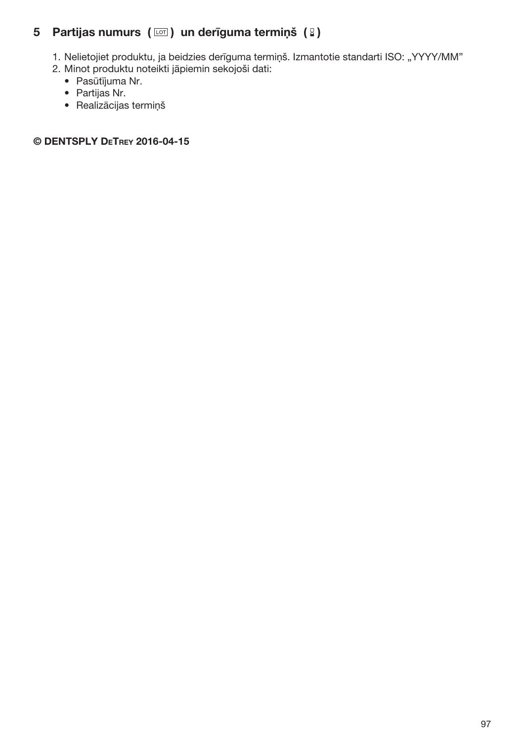# 5 Partijas numurs  $(\Box)$  un derīguma termiņš  $(2)$

- 1. Nelietojiet produktu, ja beidzies derīguma termiņš. Izmantotie standarti ISO: "YYYY/MM"
- 2. Minot produktu noteikti jāpiemin sekojoši dati:
	- Pasūtījuma Nr.
	- Partijas Nr.
	- Realizācijas termiņš

# © DENTSPLY DeTrey 2016-04-15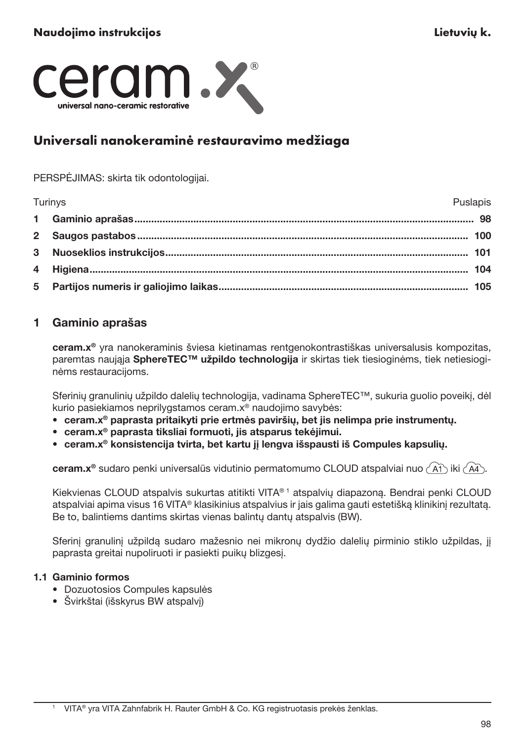

# Universali nanokeraminė restauravimo medžiaga

PERSPĖJIMAS: skirta tik odontologijai.

| Turinys<br>Puslapis |  |
|---------------------|--|
|                     |  |
|                     |  |
|                     |  |
|                     |  |
|                     |  |

# 1 Gaminio aprašas

ceram.x® yra nanokeraminis šviesa kietinamas rentgenokontrastiškas universalusis kompozitas, paremtas naująja SphereTEC™ užpildo technologija ir skirtas tiek tiesioginėms, tiek netiesioginėms restauracijoms.

Sferinių granulinių užpildo dalelių technologija, vadinama SphereTEC™, sukuria guolio poveikį, dėl kurio pasiekiamos neprilygstamos ceram.x® naudojimo savybės:

- ceram.x® paprasta pritaikyti prie ertmės paviršių, bet jis nelimpa prie instrumentų.
- ceram.x® paprasta tiksliai formuoti, jis atsparus tekėjimui.
- ceram.x® konsistencija tvirta, bet kartu jį lengva išspausti iš Compules kapsulių.

ceram.x<sup>®</sup> sudaro penki universalūs vidutinio permatomumo CLOUD atspalviai nuo  $\widehat{(\widehat{A1})}$  iki  $\widehat{(\widehat{A4})}$ .

Kiekvienas CLOUD atspalvis sukurtas atitikti VITA® 1 atspalvių diapazoną. Bendrai penki CLOUD atspalviai apima visus 16 VITA® klasikinius atspalvius ir jais galima gauti estetišką klinikinį rezultatą. Be to, balintiems dantims skirtas vienas balintų dantų atspalvis (BW).

Sferinį granulinį užpildą sudaro mažesnio nei mikronų dydžio dalelių pirminio stiklo užpildas, jį paprasta greitai nupoliruoti ir pasiekti puikų blizgesį.

# 1.1 Gaminio formos

- Dozuotosios Compules kapsulės
- Švirkštai (išskyrus BW atspalvį)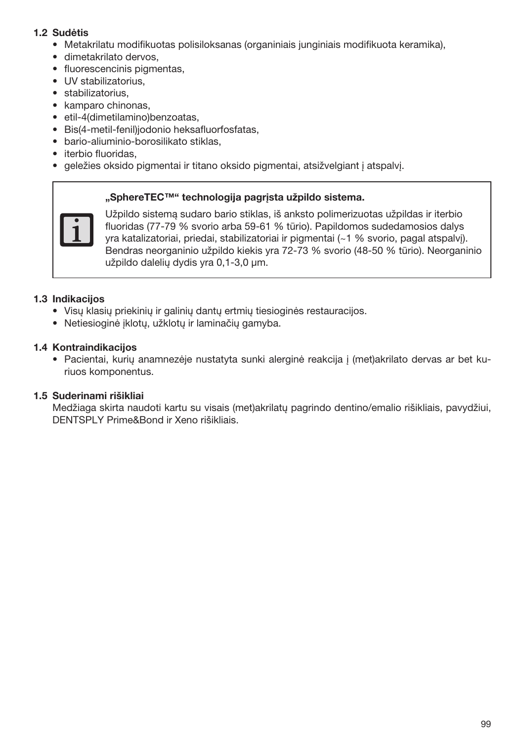## 1.2 Sudėtis

- Metakrilatu modifikuotas polisiloksanas (organiniais junginiais modifikuota keramika),
- dimetakrilato dervos,
- fluorescencinis pigmentas,
- UV stabilizatorius,
- stabilizatorius.
- kamparo chinonas,
- etil-4(dimetilamino)benzoatas,
- Bis(4-metil-fenil)jodonio heksafluorfosfatas,
- bario-aliuminio-borosilikato stiklas,
- iterbio fluoridas,
- geležies oksido pigmentai ir titano oksido pigmentai, atsižvelgiant į atspalvį.

#### "SphereTEC™" technologija pagrista užpildo sistema.



Užpildo sistemą sudaro bario stiklas, iš anksto polimerizuotas užpildas ir iterbio fluoridas (77-79 % svorio arba 59-61 % tūrio). Papildomos sudedamosios dalys yra katalizatoriai, priedai, stabilizatoriai ir pigmentai (~1 % svorio, pagal atspalvį). Bendras neorganinio užpildo kiekis yra 72-73 % svorio (48-50 % tūrio). Neorganinio užpildo dalelių dydis yra 0,1-3,0 μm.

#### 1.3 Indikacijos

- Visų klasių priekinių ir galinių dantų ertmių tiesioginės restauracijos.
- Netiesioginė įklotų, užklotų ir laminačių gamyba.

### 1.4 Kontraindikacijos

• Pacientai, kurių anamnezėje nustatyta sunki alerginė reakcija į (met)akrilato dervas ar bet kuriuos komponentus.

#### 1.5 Suderinami rišikliai

Medžiaga skirta naudoti kartu su visais (met)akrilatų pagrindo dentino/emalio rišikliais, pavydžiui, DENTSPLY Prime&Bond ir Xeno rišikliais.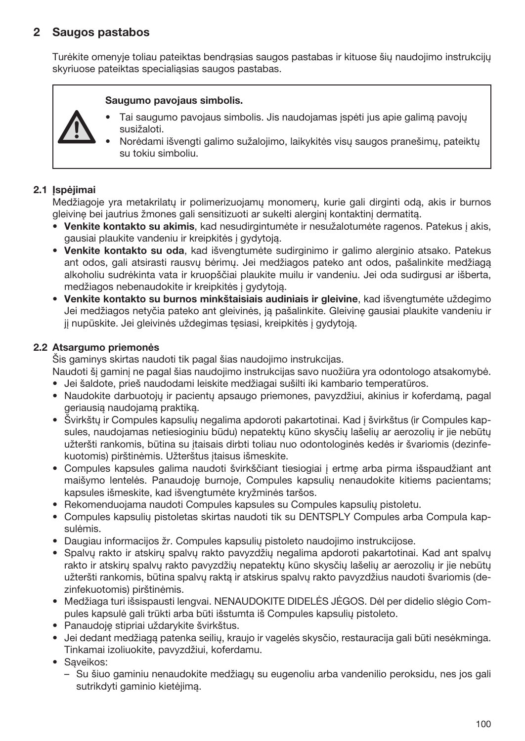# 2 Saugos pastabos

Turėkite omenyje toliau pateiktas bendrąsias saugos pastabas ir kituose šių naudojimo instrukcijų skyriuose pateiktas specialiąsias saugos pastabas.

#### Saugumo pavojaus simbolis.

- Tai saugumo pavojaus simbolis. Jis naudojamas įspėti jus apie galimą pavojų susižaloti.
	- Norėdami išvengti galimo sužalojimo, laikykitės visų saugos pranešimų, pateiktų su tokiu simboliu.

#### 2.1 Ispėjimai

Medžiagoje yra metakrilatų ir polimerizuojamų monomerų, kurie gali dirginti odą, akis ir burnos gleivinę bei jautrius žmones gali sensitizuoti ar sukelti alerginį kontaktinį dermatitą.

- Venkite kontakto su akimis, kad nesudirgintumėte ir nesužalotumėte ragenos. Patekus į akis, gausiai plaukite vandeniu ir kreipkitės į gydytoją.
- Venkite kontakto su oda, kad išvengtumėte sudirginimo ir galimo alerginio atsako. Patekus ant odos, gali atsirasti rausvų bėrimų. Jei medžiagos pateko ant odos, pašalinkite medžiagą alkoholiu sudrėkinta vata ir kruopščiai plaukite muilu ir vandeniu. Jei oda sudirgusi ar išberta, medžiagos nebenaudokite ir kreipkitės į gydytoją.
- Venkite kontakto su burnos minkštaisiais audiniais ir gleivine, kad išvengtumėte uždegimo Jei medžiagos netyčia pateko ant gleivinės, ją pašalinkite. Gleivinę gausiai plaukite vandeniu ir jį nupūskite. Jei gleivinės uždegimas tęsiasi, kreipkitės į gydytoją.

## 2.2 Atsargumo priemonės

Šis gaminys skirtas naudoti tik pagal šias naudojimo instrukcijas.

Naudoti šį gaminį ne pagal šias naudojimo instrukcijas savo nuožiūra yra odontologo atsakomybė.

- Jei šaldote, prieš naudodami leiskite medžiagai sušilti iki kambario temperatūros.
- Naudokite darbuotojų ir pacientų apsaugo priemones, pavyzdžiui, akinius ir koferdamą, pagal geriausią naudojamą praktiką.
- Švirkštų ir Compules kapsulių negalima apdoroti pakartotinai. Kad į švirkštus (ir Compules kapsules, naudojamas netiesioginiu būdu) nepatektų kūno skysčių lašelių ar aerozolių ir jie nebūtų užteršti rankomis, būtina su įtaisais dirbti toliau nuo odontologinės kedės ir švariomis (dezinfekuotomis) pirštinėmis. Užterštus įtaisus išmeskite.
- Compules kapsules galima naudoti švirkščiant tiesiogiai į ertmę arba pirma išspaudžiant ant maišymo lentelės. Panaudoję burnoje, Compules kapsulių nenaudokite kitiems pacientams; kapsules išmeskite, kad išvengtumėte kryžminės taršos.
- Rekomenduojama naudoti Compules kapsules su Compules kapsulių pistoletu.
- Compules kapsulių pistoletas skirtas naudoti tik su DENTSPLY Compules arba Compula kapsulėmis.
- Daugiau informacijos žr. Compules kapsulių pistoleto naudojimo instrukcijose.
- Spalvų rakto ir atskirų spalvų rakto pavyzdžių negalima apdoroti pakartotinai. Kad ant spalvų rakto ir atskirų spalvų rakto pavyzdžių nepatektų kūno skysčių lašelių ar aerozolių ir jie nebūtų užteršti rankomis, būtina spalvų raktą ir atskirus spalvų rakto pavyzdžius naudoti švariomis (dezinfekuotomis) pirštinėmis.
- Medžiaga turi išsispausti lengvai. NENAUDOKITE DIDELĖS JĖGOS. Dėl per didelio slėgio Compules kapsulė gali trūkti arba būti išstumta iš Compules kapsulių pistoleto.
- Panaudoję stipriai uždarykite švirkštus.
- Jei dedant medžiagą patenka seilių, kraujo ir vagelės skysčio, restauracija gali būti nesėkminga. Tinkamai izoliuokite, pavyzdžiui, koferdamu.
- Sąveikos:
	- Su šiuo gaminiu nenaudokite medžiagų su eugenoliu arba vandenilio peroksidu, nes jos gali sutrikdyti gaminio kietėjimą.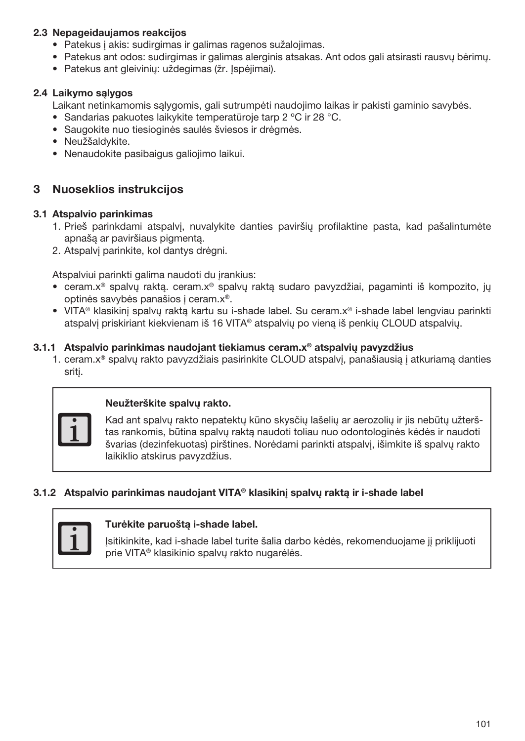## 2.3 Nepageidaujamos reakcijos

- Patekus į akis: sudirgimas ir galimas ragenos sužalojimas.
- Patekus ant odos: sudirgimas ir galimas alerginis atsakas. Ant odos gali atsirasti rausvų bėrimų.
- Patekus ant gleivinių: uždegimas (žr. Įspėjimai).

## 2.4 Laikymo sąlygos

Laikant netinkamomis sąlygomis, gali sutrumpėti naudojimo laikas ir pakisti gaminio savybės.

- Sandarias pakuotes laikykite temperatūroje tarp 2 ºC ir 28 °C.
- Saugokite nuo tiesioginės saulės šviesos ir drėgmės.
- Neužšaldykite.
- Nenaudokite pasibaigus galiojimo laikui.

# 3 Nuoseklios instrukcijos

#### 3.1 Atspalvio parinkimas

- 1. Prieš parinkdami atspalvį, nuvalykite danties paviršių profilaktine pasta, kad pašalintumėte apnašą ar paviršiaus pigmentą.
- 2. Atspalvį parinkite, kol dantys drėgni.

Atspalviui parinkti galima naudoti du įrankius:

- ceram.x® spalvų raktą. ceram.x® spalvų raktą sudaro pavyzdžiai, pagaminti iš kompozito, jų optinės savybės panašios į ceram.x®.
- VITA® klasikinį spalvų raktą kartu su i-shade label. Su ceram.x® i-shade label lengviau parinkti atspalvį priskiriant kiekvienam iš 16 VITA® atspalvių po vieną iš penkių CLOUD atspalvių.

### 3.1.1 Atspalvio parinkimas naudojant tiekiamus ceram.x<sup>®</sup> atspalviu pavvzdžius

1. ceram.x® spalvų rakto pavyzdžiais pasirinkite CLOUD atspalvį, panašiausią į atkuriamą danties sritį.



#### Neužterškite spalvų rakto.

Kad ant spalvų rakto nepatektų kūno skysčių lašelių ar aerozolių ir jis nebūtų užterštas rankomis, būtina spalvų raktą naudoti toliau nuo odontologinės kėdės ir naudoti švarias (dezinfekuotas) pirštines. Norėdami parinkti atspalvį, išimkite iš spalvų rakto laikiklio atskirus pavyzdžius.

# 3.1.2 Atspalvio parinkimas naudojant VITA® klasikinį spalvų raktą ir i-shade label

#### Turėkite paruoštą i-shade label.

Įsitikinkite, kad i-shade label turite šalia darbo kėdės, rekomenduojame jį priklijuoti prie VITA® klasikinio spalvų rakto nugarėlės.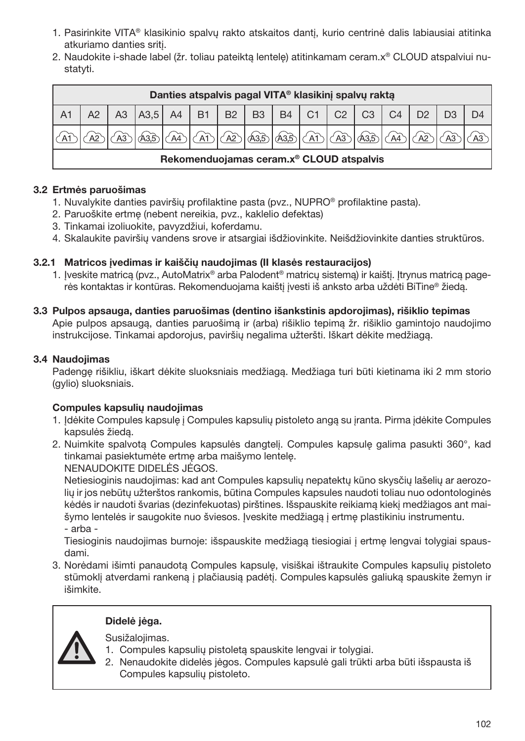- 1. Pasirinkite VITA® klasikinio spalvų rakto atskaitos dantį, kurio centrinė dalis labiausiai atitinka atkuriamo danties sritį.
- 2. Naudokite i-shade label (žr. toliau pateiktą lentelę) atitinkamam ceram.x® CLOUD atspalviui nustatyti.

| Danties atspalvis pagal VITA® klasikini spalvu rakta |    |                  |  |  |             |              |                   |                    |                       |                |                |  |  |  |
|------------------------------------------------------|----|------------------|--|--|-------------|--------------|-------------------|--------------------|-----------------------|----------------|----------------|--|--|--|
|                                                      | A3 | A3,5 A4 B1 B2 B3 |  |  |             |              | <b>B4</b>         | $ $ C <sub>1</sub> | $\mid$ C <sub>2</sub> | C <sub>3</sub> | C <sub>4</sub> |  |  |  |
|                                                      |    |                  |  |  | $\sqrt{A2}$ | <b>A3</b> .5 | $ A33 $ $\bigcap$ |                    |                       |                |                |  |  |  |
| Rekomenduojamas ceram.x <sup>®</sup> CLOUD atspalvis |    |                  |  |  |             |              |                   |                    |                       |                |                |  |  |  |

# 3.2 Ertmės paruošimas

- 1. Nuvalykite danties paviršių profilaktine pasta (pvz., NUPRO® profilaktine pasta).
- 2. Paruoškite ertmę (nebent nereikia, pvz., kaklelio defektas)
- 3. Tinkamai izoliuokite, pavyzdžiui, koferdamu.
- 4. Skalaukite paviršių vandens srove ir atsargiai išdžiovinkite. Neišdžiovinkite danties struktūros.

# 3.2.1 Matricos įvedimas ir kaiščių naudojimas (II klasės restauracijos)

- 1. Iveskite matrica (pvz., AutoMatrix® arba Palodent® matricu sistema) ir kaišti. Itrynus matrica pagerės kontaktas ir kontūras. Rekomenduojama kaištį įvesti iš anksto arba uždėti BiTine® žiedą.
- 3.3 Pulpos apsauga, danties paruošimas (dentino išankstinis apdorojimas), rišiklio tepimas Apie pulpos apsaugą, danties paruošimą ir (arba) rišiklio tepimą žr. rišiklio gamintojo naudojimo instrukcijose. Tinkamai apdorojus, paviršių negalima užteršti. Iškart dėkite medžiagą.

# 3.4 Naudojimas

Padengę rišikliu, iškart dėkite sluoksniais medžiagą. Medžiaga turi būti kietinama iki 2 mm storio (gylio) sluoksniais.

# Compules kapsulių naudojimas

- 1. Įdėkite Compules kapsulę į Compules kapsulių pistoleto angą su įranta. Pirma įdėkite Compules kapsulės žiedą.
- 2. Nuimkite spalvotą Compules kapsulės dangtelį. Compules kapsulę galima pasukti 360°, kad tinkamai pasiektumėte ertmę arba maišymo lentelę.

NENAUDOKITE DIDELĖS JĖGOS.

Netiesioginis naudojimas: kad ant Compules kapsulių nepatektų kūno skysčių lašelių ar aerozolių ir jos nebūtų užterštos rankomis, būtina Compules kapsules naudoti toliau nuo odontologinės kėdės ir naudoti švarias (dezinfekuotas) pirštines. Išspauskite reikiamą kiekį medžiagos ant maišymo lentelės ir saugokite nuo šviesos. Įveskite medžiagą į ertmę plastikiniu instrumentu. - arba -

Tiesioginis naudojimas burnoje: išspauskite medžiagą tiesiogiai į ertmę lengvai tolygiai spausdami.

3. Norėdami išimti panaudotą Compules kapsulę, visiškai ištraukite Compules kapsulių pistoleto stūmoklį atverdami rankeną į plačiausią padėtį. Compules kapsulės galiuką spauskite žemyn ir išimkite.

# Didelė jėga.



Susižalojimas.

- 1. Compules kapsulių pistoletą spauskite lengvai ir tolygiai.
- 2. Nenaudokite didelės jėgos. Compules kapsulė gali trūkti arba būti išspausta iš Compules kapsulių pistoleto.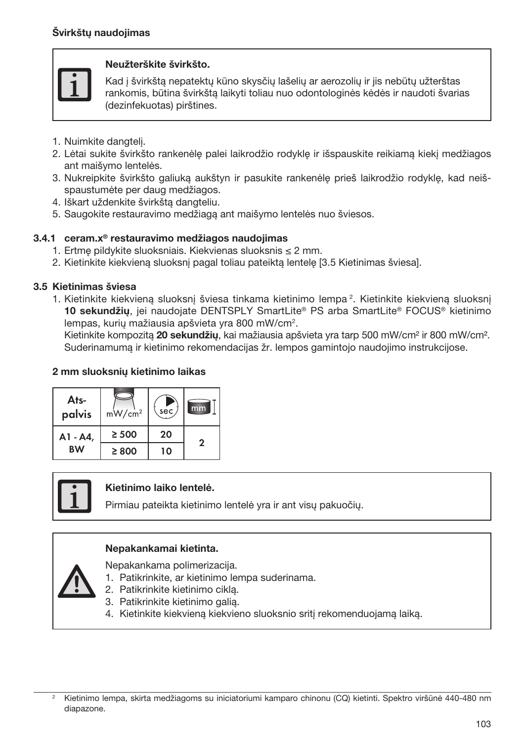#### Neužterškite švirkšto.

Kad į švirkštą nepatektų kūno skysčių lašelių ar aerozolių ir jis nebūtų užterštas rankomis, būtina švirkštą laikyti toliau nuo odontologinės kėdės ir naudoti švarias (dezinfekuotas) pirštines.

- 1. Nuimkite dangtelį.
- 2. Lėtai sukite švirkšto rankenėlę palei laikrodžio rodyklę ir išspauskite reikiamą kiekį medžiagos ant maišymo lentelės.
- 3. Nukreipkite švirkšto galiuką aukštyn ir pasukite rankenėlę prieš laikrodžio rodyklę, kad neišspaustumėte per daug medžiagos.
- 4. Iškart uždenkite švirkštą dangteliu.
- 5. Saugokite restauravimo medžiagą ant maišymo lentelės nuo šviesos.

# 3.4.1 ceram.x® restauravimo medžiagos naudojimas

- 1. Ertmę pildykite sluoksniais. Kiekvienas sluoksnis ≤ 2 mm.
- 2. Kietinkite kiekvieną sluoksnį pagal toliau pateiktą lentelę [3.5 Kietinimas šviesa].

# 3.5 Kietinimas šviesa

1. Kietinkite kiekvieną sluoksnį šviesa tinkama kietinimo lempa <sup>2</sup>. Kietinkite kiekvieną sluoksnį 10 sekundžių, jei naudojate DENTSPLY SmartLite® PS arba SmartLite® FOCUS® kietinimo lempas, kurių mažiausia apšvieta yra 800 mW/cm<sup>2</sup>.

Kietinkite kompozita 20 sekundžiu, kai mažiausia apšvieta yra tarp 500 mW/cm<sup>2</sup> ir 800 mW/cm<sup>2</sup>. Suderinamumą ir kietinimo rekomendacijas žr. lempos gamintojo naudojimo instrukcijose.

#### 2 mm sluoksnių kietinimo laikas





# Kietinimo laiko lentelė.

Pirmiau pateikta kietinimo lentelė yra ir ant visų pakuočių.

#### Nepakankamai kietinta.

Nepakankama polimerizacija.

- 1. Patikrinkite, ar kietinimo lempa suderinama.
- 2. Patikrinkite kietinimo ciklą.
- 3. Patikrinkite kietinimo galią.
- 4. Kietinkite kiekvieną kiekvieno sluoksnio sritį rekomenduojamą laiką.

<sup>2</sup> Kietinimo lempa, skirta medžiagoms su iniciatoriumi kamparo chinonu (CQ) kietinti. Spektro viršūnė 440-480 nm diapazone.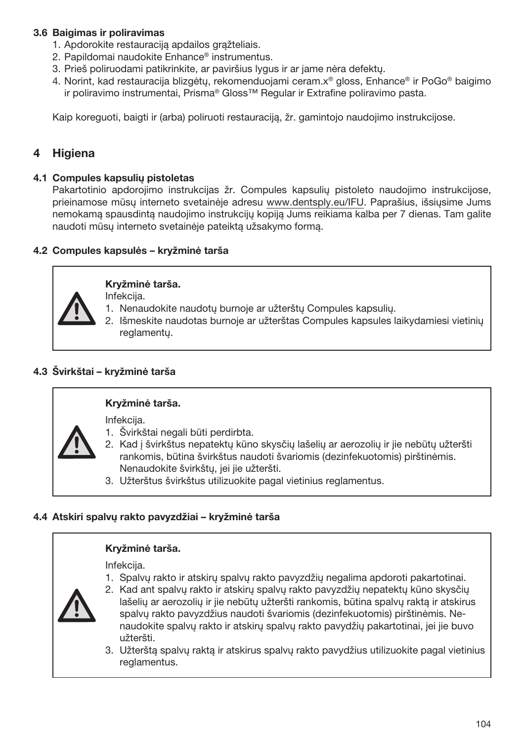# 3.6 Baigimas ir poliravimas

- 1. Apdorokite restauraciją apdailos grąžteliais.
- 2. Papildomai naudokite Enhance® instrumentus.
- 3. Prieš poliruodami patikrinkite, ar paviršius lygus ir ar jame nėra defektų.
- 4. Norint, kad restauracija blizgėtų, rekomenduojami ceram.x® gloss, Enhance® ir PoGo® baigimo ir poliravimo instrumentai, Prisma® Gloss™ Regular ir Extrafine poliravimo pasta.

Kaip koreguoti, baigti ir (arba) poliruoti restauraciją, žr. gamintojo naudojimo instrukcijose.

# **Higiena**

#### 4.1 Compules kapsulių pistoletas

Pakartotinio apdorojimo instrukcijas žr. Compules kapsulių pistoleto naudojimo instrukcijose, prieinamose mūsų interneto svetainėje adresu www.dentsply.eu/IFU. Paprašius, išsiųsime Jums nemokamą spausdintą naudojimo instrukcijų kopiją Jums reikiama kalba per 7 dienas. Tam galite naudoti mūsų interneto svetainėje pateiktą užsakymo formą.

#### 4.2 Compules kapsulės – kryžminė tarša



#### Kryžminė tarša.

Infekcija.

- 1. Nenaudokite naudotų burnoje ar užterštų Compules kapsulių.
- 2. Išmeskite naudotas burnoje ar užterštas Compules kapsules laikydamiesi vietinių reglamentų.

## 4.3 Švirkštai – kryžminė tarša

# Kryžminė tarša.

Infekcija.

- 1. Švirkštai negali būti perdirbta.
- 2. Kad į švirkštus nepatektų kūno skysčių lašelių ar aerozolių ir jie nebūtų užteršti rankomis, būtina švirkštus naudoti švariomis (dezinfekuotomis) pirštinėmis. Nenaudokite švirkštų, jei jie užteršti.
- 3. Užterštus švirkštus utilizuokite pagal vietinius reglamentus.

# 4.4 Atskiri spalvų rakto pavyzdžiai – kryžminė tarša

#### Kryžminė tarša.

Infekcija.

1. Spalvų rakto ir atskirų spalvų rakto pavyzdžių negalima apdoroti pakartotinai.



- 2. Kad ant spalvų rakto ir atskirų spalvų rakto pavyzdžių nepatektų kūno skysčių lašelių ar aerozolių ir jie nebūtų užteršti rankomis, būtina spalvų raktą ir atskirus spalvų rakto pavyzdžius naudoti švariomis (dezinfekuotomis) pirštinėmis. Nenaudokite spalvų rakto ir atskirų spalvų rakto pavydžių pakartotinai, jei jie buvo užteršti.
- 3. Užterštą spalvų raktą ir atskirus spalvų rakto pavydžius utilizuokite pagal vietinius reglamentus.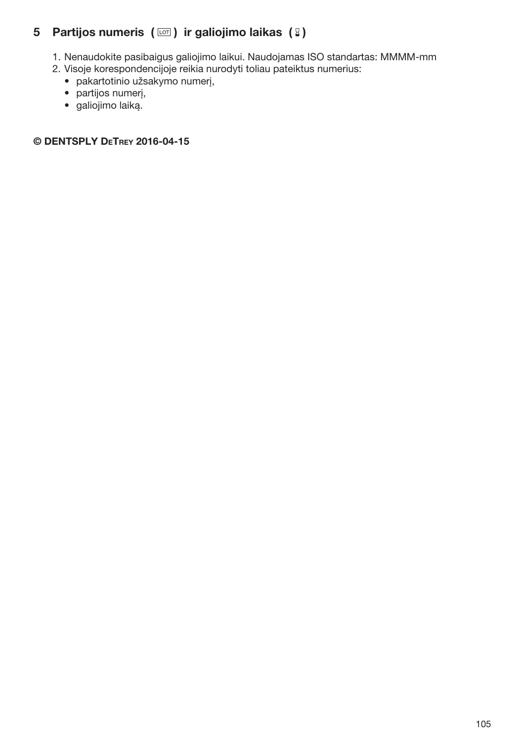# 5 Partijos numeris  $(\Box)$  ir galiojimo laikas  $(\Box)$

- 1. Nenaudokite pasibaigus galiojimo laikui. Naudojamas ISO standartas: MMMM-mm
- 2. Visoje korespondencijoje reikia nurodyti toliau pateiktus numerius:
	- pakartotinio užsakymo numerį,
	- partijos numerį,
	- galiojimo laiką.

#### © DENTSPLY DeTrey 2016-04-15